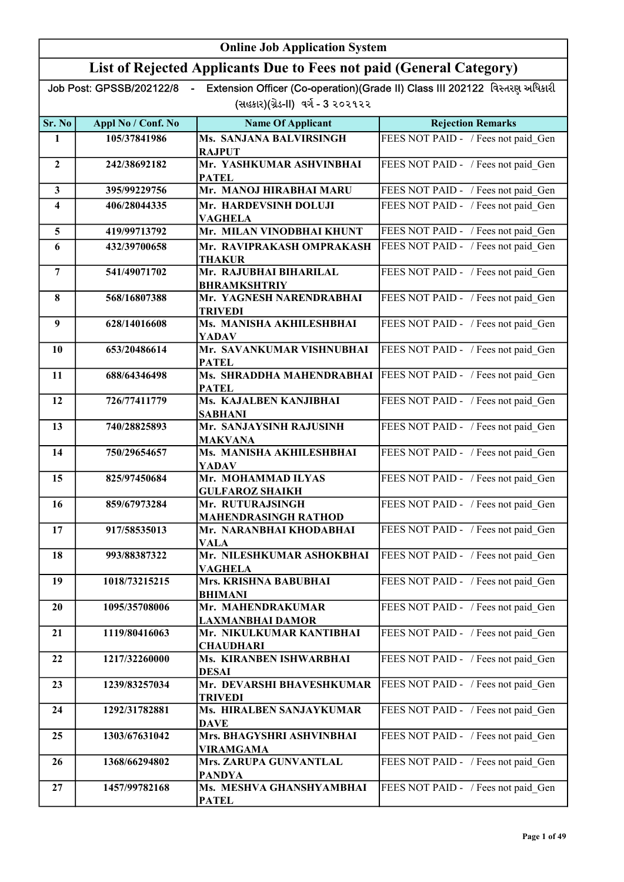| <b>Online Job Application System</b> |                          |                                                                     |                                                                             |
|--------------------------------------|--------------------------|---------------------------------------------------------------------|-----------------------------------------------------------------------------|
|                                      |                          | List of Rejected Applicants Due to Fees not paid (General Category) |                                                                             |
|                                      | Job Post: GPSSB/202122/8 |                                                                     | Extension Officer (Co-operation)(Grade II) Class III 202122 વિસ્તરણ અધિકારી |
|                                      |                          | (સહકાર)(ગ્રેડ-II) વર્ગ - 3 ૨૦૨૧૨૨                                   |                                                                             |
| Sr. No                               | Appl No / Conf. No       | <b>Name Of Applicant</b>                                            | <b>Rejection Remarks</b>                                                    |
| 1                                    | 105/37841986             | Ms. SANJANA BALVIRSINGH<br><b>RAJPUT</b>                            | FEES NOT PAID - / Fees not paid Gen                                         |
| $\overline{2}$                       | 242/38692182             | Mr. YASHKUMAR ASHVINBHAI<br><b>PATEL</b>                            | FEES NOT PAID - / Fees not paid_Gen                                         |
| $\mathbf{3}$                         | 395/99229756             | Mr. MANOJ HIRABHAI MARU                                             | FEES NOT PAID - / Fees not paid Gen                                         |
| $\overline{\mathbf{4}}$              | 406/28044335             | Mr. HARDEVSINH DOLUJI<br><b>VAGHELA</b>                             | FEES NOT PAID - / Fees not paid Gen                                         |
| 5                                    | 419/99713792             | Mr. MILAN VINODBHAI KHUNT                                           | FEES NOT PAID - / Fees not paid_Gen                                         |
| 6                                    | 432/39700658             | Mr. RAVIPRAKASH OMPRAKASH<br><b>THAKUR</b>                          | FEES NOT PAID - / Fees not paid_Gen                                         |
| $\overline{7}$                       | 541/49071702             | Mr. RAJUBHAI BIHARILAL<br><b>BHRAMKSHTRIY</b>                       | FEES NOT PAID - / Fees not paid Gen                                         |
| 8                                    | 568/16807388             | Mr. YAGNESH NARENDRABHAI<br><b>TRIVEDI</b>                          | FEES NOT PAID - / Fees not paid_Gen                                         |
| 9                                    | 628/14016608             | Ms. MANISHA AKHILESHBHAI<br><b>YADAV</b>                            | FEES NOT PAID - / Fees not paid_Gen                                         |
| 10                                   | 653/20486614             | Mr. SAVANKUMAR VISHNUBHAI<br><b>PATEL</b>                           | FEES NOT PAID - / Fees not paid_Gen                                         |
| 11                                   | 688/64346498             | Ms. SHRADDHA MAHENDRABHAI<br><b>PATEL</b>                           | FEES NOT PAID - / Fees not paid Gen                                         |
| 12                                   | 726/77411779             | Ms. KAJALBEN KANJIBHAI<br><b>SABHANI</b>                            | FEES NOT PAID - / Fees not paid Gen                                         |
| 13                                   | 740/28825893             | Mr. SANJAYSINH RAJUSINH<br><b>MAKVANA</b>                           | FEES NOT PAID - / Fees not paid Gen                                         |
| 14                                   | 750/29654657             | Ms. MANISHA AKHILESHBHAI<br>YADAV                                   | FEES NOT PAID - / Fees not paid Gen                                         |
| 15                                   | 825/97450684             | Mr. MOHAMMAD ILYAS<br><b>GULFAROZ SHAIKH</b>                        | FEES NOT PAID - / Fees not paid Gen                                         |
| 16                                   | 859/67973284             | Mr. RUTURAJSINGH<br><b>MAHENDRASINGH RATHOD</b>                     | FEES NOT PAID - / Fees not paid Gen                                         |
| 17                                   | 917/58535013             | Mr. NARANBHAI KHODABHAI<br><b>VALA</b>                              | FEES NOT PAID - / Fees not paid Gen                                         |
| 18                                   | 993/88387322             | Mr. NILESHKUMAR ASHOKBHAI<br><b>VAGHELA</b>                         | FEES NOT PAID - / Fees not paid_Gen                                         |
| 19                                   | 1018/73215215            | Mrs. KRISHNA BABUBHAI<br><b>BHIMANI</b>                             | FEES NOT PAID - / Fees not paid_Gen                                         |
| 20                                   | 1095/35708006            | Mr. MAHENDRAKUMAR<br><b>LAXMANBHAI DAMOR</b>                        | FEES NOT PAID - / Fees not paid Gen                                         |
| 21                                   | 1119/80416063            | Mr. NIKULKUMAR KANTIBHAI<br><b>CHAUDHARI</b>                        | FEES NOT PAID - / Fees not paid Gen                                         |
| 22                                   | 1217/32260000            | Ms. KIRANBEN ISHWARBHAI<br><b>DESAI</b>                             | FEES NOT PAID - / Fees not paid Gen                                         |
| 23                                   | 1239/83257034            | Mr. DEVARSHI BHAVESHKUMAR<br><b>TRIVEDI</b>                         | FEES NOT PAID - / Fees not paid Gen                                         |
| 24                                   | 1292/31782881            | Ms. HIRALBEN SANJAYKUMAR<br>DAVE                                    | FEES NOT PAID - / Fees not paid Gen                                         |
| 25                                   | 1303/67631042            | Mrs. BHAGYSHRI ASHVINBHAI<br><b>VIRAMGAMA</b>                       | FEES NOT PAID - / Fees not paid Gen                                         |
| 26                                   | 1368/66294802            | Mrs. ZARUPA GUNVANTLAL<br>PANDYA                                    | FEES NOT PAID - / Fees not paid Gen                                         |
| 27                                   | 1457/99782168            | Ms. MESHVA GHANSHYAMBHAI<br><b>PATEL</b>                            | FEES NOT PAID - / Fees not paid_Gen                                         |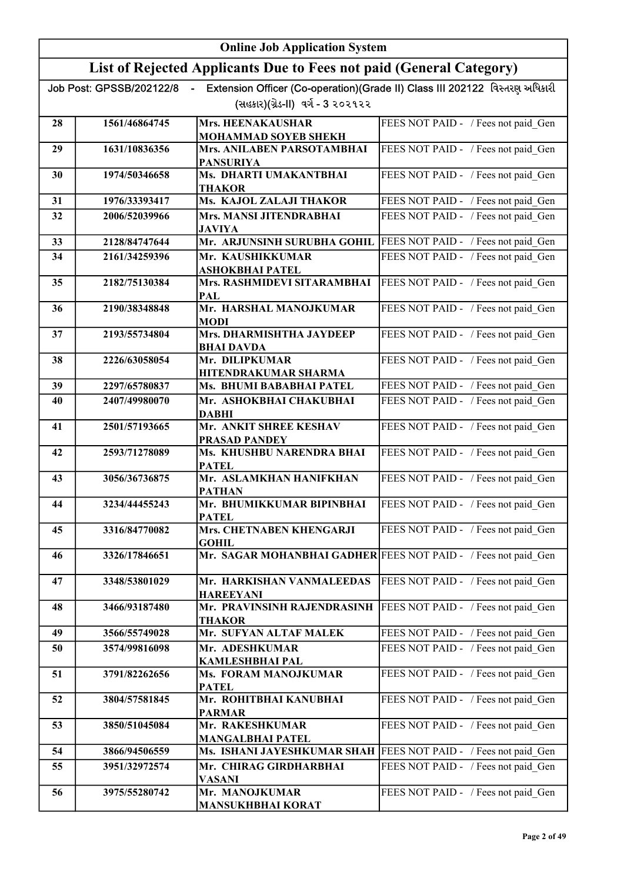|    |                          | <b>Online Job Application System</b>                                |                                                                             |
|----|--------------------------|---------------------------------------------------------------------|-----------------------------------------------------------------------------|
|    |                          | List of Rejected Applicants Due to Fees not paid (General Category) |                                                                             |
|    | Job Post: GPSSB/202122/8 |                                                                     | Extension Officer (Co-operation)(Grade II) Class III 202122 વિસ્તરણ અધિકારી |
|    |                          | (સહકાર)(ગ્રેડ-II) વર્ગ - 3 ૨૦૨૧૨૨                                   |                                                                             |
| 28 | 1561/46864745            | Mrs. HEENAKAUSHAR                                                   | FEES NOT PAID - / Fees not paid Gen                                         |
| 29 | 1631/10836356            | <b>MOHAMMAD SOYEB SHEKH</b><br>Mrs. ANILABEN PARSOTAMBHAI           | FEES NOT PAID - / Fees not paid_Gen                                         |
|    |                          | <b>PANSURIYA</b>                                                    |                                                                             |
| 30 | 1974/50346658            | Ms. DHARTI UMAKANTBHAI<br><b>THAKOR</b>                             | FEES NOT PAID - / Fees not paid Gen                                         |
| 31 | 1976/33393417            | Ms. KAJOL ZALAJI THAKOR                                             | FEES NOT PAID - / Fees not paid Gen                                         |
| 32 | 2006/52039966            | Mrs. MANSI JITENDRABHAI<br><b>JAVIYA</b>                            | FEES NOT PAID - / Fees not paid Gen                                         |
| 33 | 2128/84747644            | Mr. ARJUNSINH SURUBHA GOHIL                                         | FEES NOT PAID - / Fees not paid Gen                                         |
| 34 | 2161/34259396            | Mr. KAUSHIKKUMAR                                                    | FEES NOT PAID - / Fees not paid Gen                                         |
| 35 | 2182/75130384            | ASHOKBHAI PATEL<br>Mrs. RASHMIDEVI SITARAMBHAI                      | FEES NOT PAID - / Fees not paid_Gen                                         |
| 36 | 2190/38348848            | <b>PAL</b><br>Mr. HARSHAL MANOJKUMAR                                | FEES NOT PAID - / Fees not paid_Gen                                         |
|    |                          | <b>MODI</b>                                                         |                                                                             |
| 37 | 2193/55734804            | Mrs. DHARMISHTHA JAYDEEP<br><b>BHAI DAVDA</b>                       | FEES NOT PAID - / Fees not paid_Gen                                         |
| 38 | 2226/63058054            | Mr. DILIPKUMAR                                                      | FEES NOT PAID - / Fees not paid_Gen                                         |
| 39 | 2297/65780837            | HITENDRAKUMAR SHARMA<br>Ms. BHUMI BABABHAI PATEL                    | FEES NOT PAID - / Fees not paid Gen                                         |
| 40 | 2407/49980070            | Mr. ASHOKBHAI CHAKUBHAI                                             | FEES NOT PAID - / Fees not paid Gen                                         |
| 41 | 2501/57193665            | <b>DABHI</b><br>Mr. ANKIT SHREE KESHAV<br><b>PRASAD PANDEY</b>      | FEES NOT PAID - / Fees not paid Gen                                         |
| 42 | 2593/71278089            | Ms. KHUSHBU NARENDRA BHAI<br><b>PATEL</b>                           | FEES NOT PAID - / Fees not paid Gen                                         |
| 43 | 3056/36736875            | Mr. ASLAMKHAN HANIFKHAN<br><b>PATHAN</b>                            | FEES NOT PAID - / Fees not paid Gen                                         |
| 44 | 3234/44455243            | Mr. BHUMIKKUMAR BIPINBHAI<br><b>PATEL</b>                           | FEES NOT PAID - / Fees not paid_Gen                                         |
| 45 | 3316/84770082            | Mrs. CHETNABEN KHENGARJI<br><b>GOHIL</b>                            | FEES NOT PAID - / Fees not paid Gen                                         |
| 46 | 3326/17846651            | Mr. SAGAR MOHANBHAI GADHER FEES NOT PAID - / Fees not paid Gen      |                                                                             |
| 47 | 3348/53801029            | Mr. HARKISHAN VANMALEEDAS<br><b>HAREEYANI</b>                       | FEES NOT PAID - / Fees not paid Gen                                         |
| 48 | 3466/93187480            | Mr. PRAVINSINH RAJENDRASINH<br>THAKOR                               | FEES NOT PAID - / Fees not paid Gen                                         |
| 49 | 3566/55749028            | Mr. SUFYAN ALTAF MALEK                                              | FEES NOT PAID - / Fees not paid Gen                                         |
| 50 | 3574/99816098            | Mr. ADESHKUMAR<br><b>KAMLESHBHAI PAL</b>                            | FEES NOT PAID - / Fees not paid Gen                                         |
| 51 | 3791/82262656            | Ms. FORAM MANOJKUMAR<br><b>PATEL</b>                                | FEES NOT PAID - / Fees not paid_Gen                                         |
| 52 | 3804/57581845            | Mr. ROHITBHAI KANUBHAI<br><b>PARMAR</b>                             | FEES NOT PAID - / Fees not paid_Gen                                         |
| 53 | 3850/51045084            | Mr. RAKESHKUMAR<br><b>MANGALBHAI PATEL</b>                          | FEES NOT PAID - / Fees not paid_Gen                                         |
| 54 | 3866/94506559            | Ms. ISHANI JAYESHKUMAR SHAH   FEES NOT PAID - / Fees not paid Gen   |                                                                             |
| 55 | 3951/32972574            | Mr. CHIRAG GIRDHARBHAI<br><b>VASANI</b>                             | FEES NOT PAID - / Fees not paid Gen                                         |
| 56 | 3975/55280742            | Mr. MANOJKUMAR<br><b>MANSUKHBHAI KORAT</b>                          | FEES NOT PAID - / Fees not paid Gen                                         |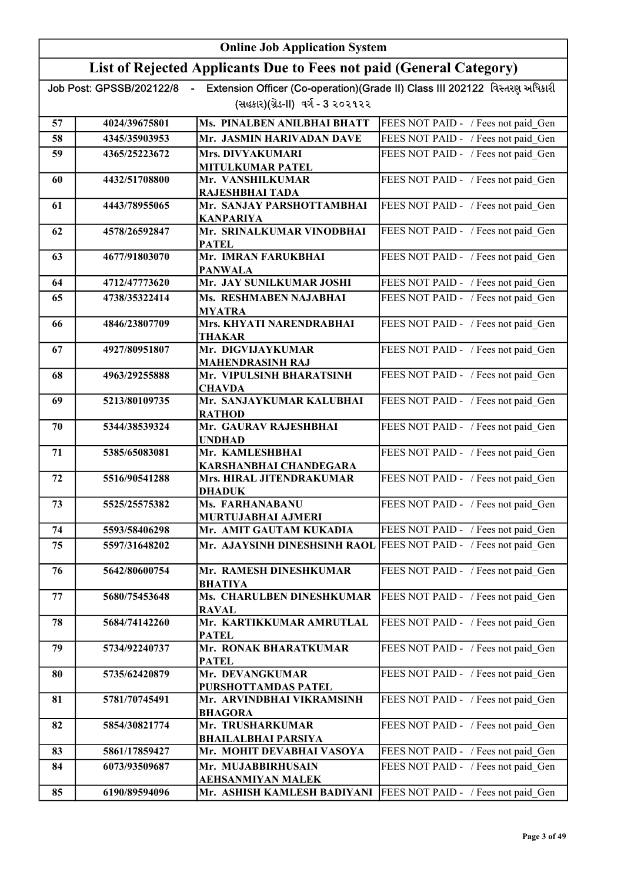|    | <b>Online Job Application System</b> |                                                                      |                                                                             |
|----|--------------------------------------|----------------------------------------------------------------------|-----------------------------------------------------------------------------|
|    |                                      | List of Rejected Applicants Due to Fees not paid (General Category)  |                                                                             |
|    | Job Post: GPSSB/202122/8             |                                                                      | Extension Officer (Co-operation)(Grade II) Class III 202122 વિસ્તરણ અધિકારી |
|    |                                      | (સહકાર)(ગ્રેડ-II) વર્ગ - 3 ૨૦૨૧૨૨                                    |                                                                             |
| 57 | 4024/39675801                        | Ms. PINALBEN ANILBHAI BHATT                                          | FEES NOT PAID - / Fees not paid Gen                                         |
| 58 | 4345/35903953                        | Mr. JASMIN HARIVADAN DAVE                                            | FEES NOT PAID - / Fees not paid Gen                                         |
| 59 | 4365/25223672                        | Mrs. DIVYAKUMARI                                                     | FEES NOT PAID - / Fees not paid Gen                                         |
|    |                                      | MITULKUMAR PATEL                                                     |                                                                             |
| 60 | 4432/51708800                        | Mr. VANSHILKUMAR<br>RAJESHBHAI TADA                                  | FEES NOT PAID - / Fees not paid_Gen                                         |
| 61 | 4443/78955065                        | Mr. SANJAY PARSHOTTAMBHAI<br><b>KANPARIYA</b>                        | FEES NOT PAID - / Fees not paid_Gen                                         |
| 62 | 4578/26592847                        | Mr. SRINALKUMAR VINODBHAI<br><b>PATEL</b>                            | FEES NOT PAID - / Fees not paid Gen                                         |
| 63 | 4677/91803070                        | Mr. IMRAN FARUKBHAI                                                  | FEES NOT PAID - / Fees not paid_Gen                                         |
|    | 4712/47773620                        | <b>PANWALA</b><br>Mr. JAY SUNILKUMAR JOSHI                           |                                                                             |
| 64 |                                      | Ms. RESHMABEN NAJABHAI                                               | FEES NOT PAID - / Fees not paid Gen                                         |
| 65 | 4738/35322414                        | <b>MYATRA</b>                                                        | FEES NOT PAID - / Fees not paid Gen                                         |
| 66 | 4846/23807709                        | Mrs. KHYATI NARENDRABHAI<br><b>THAKAR</b>                            | FEES NOT PAID - / Fees not paid Gen                                         |
| 67 | 4927/80951807                        | Mr. DIGVIJAYKUMAR                                                    | FEES NOT PAID - / Fees not paid Gen                                         |
| 68 | 4963/29255888                        | <b>MAHENDRASINH RAJ</b><br>Mr. VIPULSINH BHARATSINH<br><b>CHAVDA</b> | FEES NOT PAID - / Fees not paid Gen                                         |
| 69 | 5213/80109735                        | Mr. SANJAYKUMAR KALUBHAI<br><b>RATHOD</b>                            | FEES NOT PAID - / Fees not paid Gen                                         |
| 70 | 5344/38539324                        | Mr. GAURAV RAJESHBHAI<br><b>UNDHAD</b>                               | FEES NOT PAID - / Fees not paid Gen                                         |
| 71 | 5385/65083081                        | Mr. KAMLESHBHAI<br>KARSHANBHAI CHANDEGARA                            | FEES NOT PAID - / Fees not paid Gen                                         |
| 72 | 5516/90541288                        | Mrs. HIRAL JITENDRAKUMAR                                             | FEES NOT PAID - / Fees not paid_Gen                                         |
| 73 | 5525/25575382                        | <b>DHADUK</b><br>Ms. FARHANABANU                                     | FEES NOT PAID - / Fees not paid_Gen                                         |
|    |                                      | MURTUJABHAI AJMERI                                                   |                                                                             |
| 74 | 5593/58406298                        | Mr. AMIT GAUTAM KUKADIA                                              | FEES NOT PAID - / Fees not paid Gen                                         |
| 75 | 5597/31648202                        | Mr. AJAYSINH DINESHSINH RAOL                                         | FEES NOT PAID - / Fees not paid Gen                                         |
| 76 | 5642/80600754                        | Mr. RAMESH DINESHKUMAR<br><b>BHATIYA</b>                             | FEES NOT PAID - / Fees not paid Gen                                         |
| 77 | 5680/75453648                        | Ms. CHARULBEN DINESHKUMAR<br><b>RAVAL</b>                            | FEES NOT PAID - / Fees not paid Gen                                         |
| 78 | 5684/74142260                        | Mr. KARTIKKUMAR AMRUTLAL<br><b>PATEL</b>                             | FEES NOT PAID - / Fees not paid Gen                                         |
| 79 | 5734/92240737                        | Mr. RONAK BHARATKUMAR<br><b>PATEL</b>                                | FEES NOT PAID - / Fees not paid Gen                                         |
| 80 | 5735/62420879                        | Mr. DEVANGKUMAR<br>PURSHOTTAMDAS PATEL                               | FEES NOT PAID - / Fees not paid_Gen                                         |
| 81 | 5781/70745491                        | Mr. ARVINDBHAI VIKRAMSINH<br><b>BHAGORA</b>                          | FEES NOT PAID - / Fees not paid Gen                                         |
| 82 | 5854/30821774                        | Mr. TRUSHARKUMAR<br><b>BHAILALBHAI PARSIYA</b>                       | FEES NOT PAID - / Fees not paid_Gen                                         |
| 83 | 5861/17859427                        | Mr. MOHIT DEVABHAI VASOYA                                            | FEES NOT PAID - / Fees not paid Gen                                         |
| 84 | 6073/93509687                        | Mr. MUJABBIRHUSAIN                                                   | FEES NOT PAID - / Fees not paid Gen                                         |
|    |                                      | AEHSANMIYAN MALEK                                                    |                                                                             |
| 85 | 6190/89594096                        | Mr. ASHISH KAMLESH BADIYANI                                          | FEES NOT PAID - / Fees not paid Gen                                         |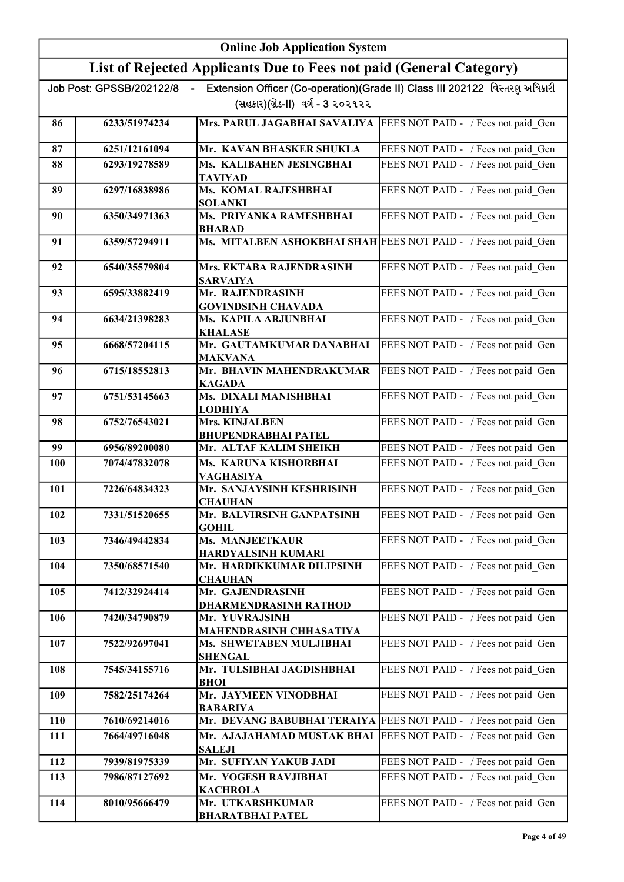|            |                          | <b>Online Job Application System</b>                                |                                                                             |
|------------|--------------------------|---------------------------------------------------------------------|-----------------------------------------------------------------------------|
|            |                          | List of Rejected Applicants Due to Fees not paid (General Category) |                                                                             |
|            | Job Post: GPSSB/202122/8 | (સહકાર)(ગ્રેડ-II) વર્ગ - 3 ૨૦૨૧૨૨                                   | Extension Officer (Co-operation)(Grade II) Class III 202122 વિસ્તરણ અધિકારી |
| 86         | 6233/51974234            | Mrs. PARUL JAGABHAI SAVALIYA   FEES NOT PAID - / Fees not paid Gen  |                                                                             |
| 87         | 6251/12161094            | Mr. KAVAN BHASKER SHUKLA                                            | FEES NOT PAID - / Fees not paid Gen                                         |
| 88         | 6293/19278589            | Ms. KALIBAHEN JESINGBHAI<br>TAVIYAD                                 | FEES NOT PAID - / Fees not paid Gen                                         |
| 89         | 6297/16838986            | Ms. KOMAL RAJESHBHAI<br><b>SOLANKI</b>                              | FEES NOT PAID - / Fees not paid Gen                                         |
| 90         | 6350/34971363            | Ms. PRIYANKA RAMESHBHAI<br><b>BHARAD</b>                            | FEES NOT PAID - / Fees not paid Gen                                         |
| 91         | 6359/57294911            | Ms. MITALBEN ASHOKBHAI SHAH FEES NOT PAID - / Fees not paid Gen     |                                                                             |
| 92         | 6540/35579804            | Mrs. EKTABA RAJENDRASINH<br><b>SARVAIYA</b>                         | FEES NOT PAID - / Fees not paid Gen                                         |
| 93         | 6595/33882419            | Mr. RAJENDRASINH<br><b>GOVINDSINH CHAVADA</b>                       | FEES NOT PAID - / Fees not paid Gen                                         |
| 94         | 6634/21398283            | Ms. KAPILA ARJUNBHAI<br><b>KHALASE</b>                              | FEES NOT PAID - / Fees not paid Gen                                         |
| 95         | 6668/57204115            | Mr. GAUTAMKUMAR DANABHAI<br><b>MAKVANA</b>                          | FEES NOT PAID - / Fees not paid_Gen                                         |
| 96         | 6715/18552813            | Mr. BHAVIN MAHENDRAKUMAR<br><b>KAGADA</b>                           | FEES NOT PAID - / Fees not paid_Gen                                         |
| 97         | 6751/53145663            | Ms. DIXALI MANISHBHAI<br><b>LODHIYA</b>                             | FEES NOT PAID - / Fees not paid_Gen                                         |
| 98         | 6752/76543021            | <b>Mrs. KINJALBEN</b><br><b>BHUPENDRABHAI PATEL</b>                 | FEES NOT PAID - / Fees not paid Gen                                         |
| 99         | 6956/89200080            | Mr. ALTAF KALIM SHEIKH                                              | FEES NOT PAID - / Fees not paid Gen                                         |
| <b>100</b> | 7074/47832078            | Ms. KARUNA KISHORBHAI<br><b>VAGHASIYA</b>                           | FEES NOT PAID - / Fees not paid Gen                                         |
| 101        | 7226/64834323            | Mr. SANJAYSINH KESHRISINH<br><b>CHAUHAN</b>                         | FEES NOT PAID - / Fees not paid Gen                                         |
| 102        | 7331/51520655            | Mr. BALVIRSINH GANPATSINH<br><b>GOHIL</b>                           | FEES NOT PAID - / Fees not paid Gen                                         |
| 103        | 7346/49442834            | <b>Ms. MANJEETKAUR</b><br>HARDYALSINH KUMARI                        | FEES NOT PAID - / Fees not paid Gen                                         |
| 104        | 7350/68571540            | Mr. HARDIKKUMAR DILIPSINH<br><b>CHAUHAN</b>                         | FEES NOT PAID - / Fees not paid_Gen                                         |
| 105        | 7412/32924414            | Mr. GAJENDRASINH<br>DHARMENDRASINH RATHOD                           | FEES NOT PAID - / Fees not paid_Gen                                         |
| 106        | 7420/34790879            | Mr. YUVRAJSINH<br>MAHENDRASINH CHHASATIYA                           | FEES NOT PAID - / Fees not paid Gen                                         |
| 107        | 7522/92697041            | Ms. SHWETABEN MULJIBHAI<br><b>SHENGAL</b>                           | FEES NOT PAID - / Fees not paid Gen                                         |
| 108        | 7545/34155716            | Mr. TULSIBHAI JAGDISHBHAI<br><b>BHOI</b>                            | FEES NOT PAID - / Fees not paid Gen                                         |
| 109        | 7582/25174264            | Mr. JAYMEEN VINODBHAI<br><b>BABARIYA</b>                            | FEES NOT PAID - / Fees not paid Gen                                         |
| 110        | 7610/69214016            | Mr. DEVANG BABUBHAI TERAIYA                                         | FEES NOT PAID - / Fees not paid_Gen                                         |
| 111        | 7664/49716048            | Mr. AJAJAHAMAD MUSTAK BHAI<br><b>SALEJI</b>                         | FEES NOT PAID - / Fees not paid Gen                                         |
| 112        | 7939/81975339            | Mr. SUFIYAN YAKUB JADI                                              | FEES NOT PAID - / Fees not paid_Gen                                         |
| 113        | 7986/87127692            | Mr. YOGESH RAVJIBHAI<br><b>KACHROLA</b>                             | FEES NOT PAID - / Fees not paid Gen                                         |
| 114        | 8010/95666479            | Mr. UTKARSHKUMAR<br><b>BHARATBHAI PATEL</b>                         | FEES NOT PAID - / Fees not paid_Gen                                         |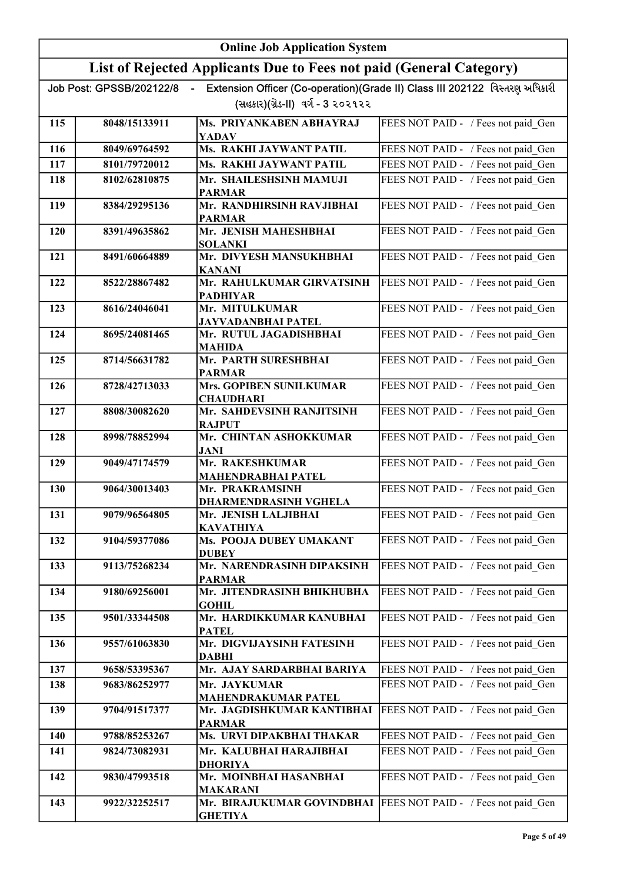|     | <b>Online Job Application System</b> |                                                                                    |                                                                             |
|-----|--------------------------------------|------------------------------------------------------------------------------------|-----------------------------------------------------------------------------|
|     |                                      | List of Rejected Applicants Due to Fees not paid (General Category)                |                                                                             |
|     | Job Post: GPSSB/202122/8             | (સહકાર)(ગ્રેડ-II) વર્ગ - 3 ૨૦૨૧૨૨                                                  | Extension Officer (Co-operation)(Grade II) Class III 202122 વિસ્તરણ અધિકારી |
| 115 | 8048/15133911                        | Ms. PRIYANKABEN ABHAYRAJ<br><b>YADAV</b>                                           | FEES NOT PAID - / Fees not paid Gen                                         |
| 116 | 8049/69764592                        | <b>Ms. RAKHI JAYWANT PATIL</b>                                                     | FEES NOT PAID - / Fees not paid_Gen                                         |
| 117 | 8101/79720012                        | Ms. RAKHI JAYWANT PATIL                                                            | FEES NOT PAID - / Fees not paid Gen                                         |
| 118 | 8102/62810875                        | Mr. SHAILESHSINH MAMUJI<br><b>PARMAR</b>                                           | FEES NOT PAID - / Fees not paid Gen                                         |
| 119 | 8384/29295136                        | Mr. RANDHIRSINH RAVJIBHAI<br><b>PARMAR</b>                                         | FEES NOT PAID - / Fees not paid_Gen                                         |
| 120 | 8391/49635862                        | Mr. JENISH MAHESHBHAI<br><b>SOLANKI</b>                                            | FEES NOT PAID - / Fees not paid Gen                                         |
| 121 | 8491/60664889                        | Mr. DIVYESH MANSUKHBHAI<br><b>KANANI</b>                                           | FEES NOT PAID - / Fees not paid Gen                                         |
| 122 | 8522/28867482                        | Mr. RAHULKUMAR GIRVATSINH<br><b>PADHIYAR</b>                                       | FEES NOT PAID - / Fees not paid Gen                                         |
| 123 | 8616/24046041                        | Mr. MITULKUMAR<br><b>JAYVADANBHAI PATEL</b>                                        | FEES NOT PAID - / Fees not paid Gen                                         |
| 124 | 8695/24081465                        | Mr. RUTUL JAGADISHBHAI<br><b>MAHIDA</b>                                            | FEES NOT PAID - / Fees not paid Gen                                         |
| 125 | 8714/56631782                        | Mr. PARTH SURESHBHAI<br><b>PARMAR</b>                                              | FEES NOT PAID - / Fees not paid_Gen                                         |
| 126 | 8728/42713033                        | <b>Mrs. GOPIBEN SUNILKUMAR</b><br><b>CHAUDHARI</b>                                 | FEES NOT PAID - / Fees not paid Gen                                         |
| 127 | 8808/30082620                        | Mr. SAHDEVSINH RANJITSINH<br><b>RAJPUT</b>                                         | FEES NOT PAID - / Fees not paid Gen                                         |
| 128 | 8998/78852994                        | Mr. CHINTAN ASHOKKUMAR<br><b>JANI</b>                                              | FEES NOT PAID - / Fees not paid Gen                                         |
| 129 | 9049/47174579                        | Mr. RAKESHKUMAR<br><b>MAHENDRABHAI PATEL</b>                                       | FEES NOT PAID - / Fees not paid Gen                                         |
| 130 | 9064/30013403                        | Mr. PRAKRAMSINH<br><b>DHARMENDRASINH VGHELA</b>                                    | FEES NOT PAID - / Fees not paid Gen                                         |
| 131 | 9079/96564805                        | Mr. JENISH LALJIBHAI<br><b>KAVATHIYA</b>                                           | FEES NOT PAID - / Fees not paid Gen                                         |
| 132 | 9104/59377086                        | Ms. POOJA DUBEY UMAKANT<br><b>DUBEY</b>                                            | FEES NOT PAID - / Fees not paid_Gen                                         |
| 133 | 9113/75268234                        | Mr. NARENDRASINH DIPAKSINH<br><b>PARMAR</b>                                        | FEES NOT PAID - / Fees not paid Gen                                         |
| 134 | 9180/69256001                        | Mr. JITENDRASINH BHIKHUBHA<br><b>GOHIL</b>                                         | FEES NOT PAID - / Fees not paid Gen                                         |
| 135 | 9501/33344508                        | Mr. HARDIKKUMAR KANUBHAI<br><b>PATEL</b>                                           | FEES NOT PAID - / Fees not paid Gen                                         |
| 136 | 9557/61063830                        | Mr. DIGVIJAYSINH FATESINH<br><b>DABHI</b>                                          | FEES NOT PAID - / Fees not paid Gen                                         |
| 137 | 9658/53395367                        | Mr. AJAY SARDARBHAI BARIYA                                                         | FEES NOT PAID - / Fees not paid_Gen                                         |
| 138 | 9683/86252977                        | Mr. JAYKUMAR<br><b>MAHENDRAKUMAR PATEL</b>                                         | FEES NOT PAID - / Fees not paid Gen                                         |
| 139 | 9704/91517377                        | Mr. JAGDISHKUMAR KANTIBHAI<br><b>PARMAR</b>                                        | FEES NOT PAID - / Fees not paid Gen                                         |
| 140 | 9788/85253267                        | Ms. URVI DIPAKBHAI THAKAR                                                          | FEES NOT PAID - / Fees not paid Gen                                         |
| 141 | 9824/73082931                        | Mr. KALUBHAI HARAJIBHAI<br><b>DHORIYA</b>                                          | FEES NOT PAID - / Fees not paid_Gen                                         |
| 142 | 9830/47993518                        | Mr. MOINBHAI HASANBHAI<br><b>MAKARANI</b>                                          | FEES NOT PAID - / Fees not paid_Gen                                         |
| 143 | 9922/32252517                        | Mr. BIRAJUKUMAR GOVINDBHAI   FEES NOT PAID - / Fees not paid Gen<br><b>GHETIYA</b> |                                                                             |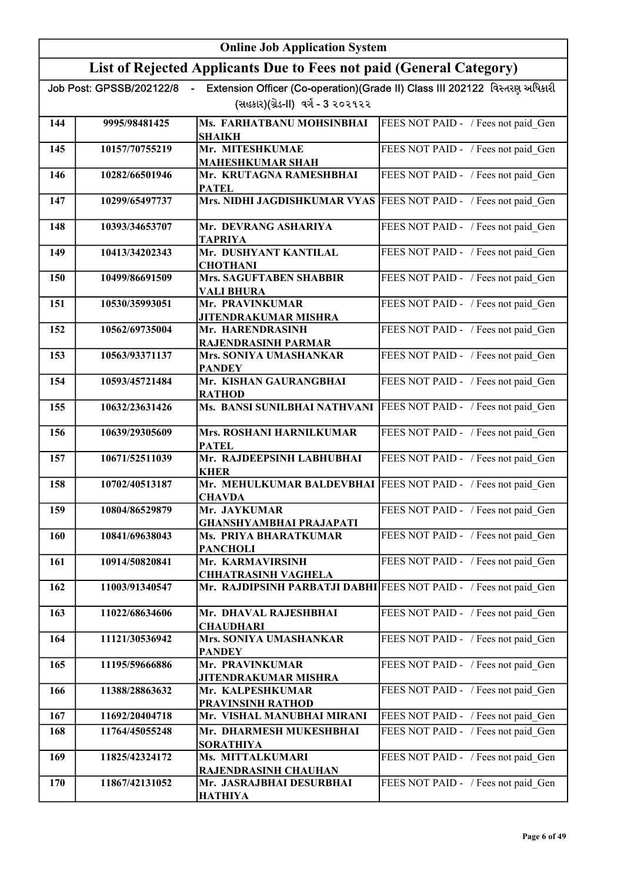|     | <b>Online Job Application System</b> |                                                                       |                                                                             |
|-----|--------------------------------------|-----------------------------------------------------------------------|-----------------------------------------------------------------------------|
|     |                                      | List of Rejected Applicants Due to Fees not paid (General Category)   |                                                                             |
|     | Job Post: GPSSB/202122/8             |                                                                       | Extension Officer (Co-operation)(Grade II) Class III 202122 વિસ્તરણ અધિકારી |
|     |                                      | (સહકાર)(ગ્રેડ-II) વર્ગ - 3 ૨૦૨૧૨૨                                     |                                                                             |
| 144 | 9995/98481425                        | Ms. FARHATBANU MOHSINBHAI<br><b>SHAIKH</b>                            | FEES NOT PAID - / Fees not paid Gen                                         |
| 145 | 10157/70755219                       | Mr. MITESHKUMAE                                                       | FEES NOT PAID - / Fees not paid Gen                                         |
|     |                                      | <b>MAHESHKUMAR SHAH</b>                                               |                                                                             |
| 146 | 10282/66501946                       | Mr. KRUTAGNA RAMESHBHAI<br><b>PATEL</b>                               | FEES NOT PAID - / Fees not paid Gen                                         |
| 147 | 10299/65497737                       | Mrs. NIDHI JAGDISHKUMAR VYAS                                          | FEES NOT PAID - / Fees not paid Gen                                         |
| 148 | 10393/34653707                       | Mr. DEVRANG ASHARIYA<br>TAPRIYA                                       | FEES NOT PAID - / Fees not paid Gen                                         |
| 149 | 10413/34202343                       | Mr. DUSHYANT KANTILAL<br><b>CHOTHANI</b>                              | FEES NOT PAID - / Fees not paid Gen                                         |
| 150 | 10499/86691509                       | Mrs. SAGUFTABEN SHABBIR<br><b>VALI BHURA</b>                          | FEES NOT PAID - / Fees not paid Gen                                         |
| 151 | 10530/35993051                       | Mr. PRAVINKUMAR<br><b>JITENDRAKUMAR MISHRA</b>                        | FEES NOT PAID - / Fees not paid_Gen                                         |
| 152 | 10562/69735004                       | Mr. HARENDRASINH                                                      | FEES NOT PAID - / Fees not paid Gen                                         |
| 153 | 10563/93371137                       | <b>RAJENDRASINH PARMAR</b><br>Mrs. SONIYA UMASHANKAR<br><b>PANDEY</b> | FEES NOT PAID - / Fees not paid_Gen                                         |
| 154 | 10593/45721484                       | Mr. KISHAN GAURANGBHAI<br><b>RATHOD</b>                               | FEES NOT PAID - / Fees not paid Gen                                         |
| 155 | 10632/23631426                       | Ms. BANSI SUNILBHAI NATHVANI                                          | FEES NOT PAID - / Fees not paid_Gen                                         |
| 156 | 10639/29305609                       | <b>Mrs. ROSHANI HARNILKUMAR</b><br><b>PATEL</b>                       | FEES NOT PAID - / Fees not paid_Gen                                         |
| 157 | 10671/52511039                       | Mr. RAJDEEPSINH LABHUBHAI<br><b>KHER</b>                              | FEES NOT PAID - / Fees not paid Gen                                         |
| 158 | 10702/40513187                       | Mr. MEHULKUMAR BALDEVBHAI<br><b>CHAVDA</b>                            | FEES NOT PAID - / Fees not paid Gen                                         |
| 159 | 10804/86529879                       | Mr. JAYKUMAR<br><b>GHANSHYAMBHAI PRAJAPATI</b>                        | FEES NOT PAID - / Fees not paid Gen                                         |
| 160 | 10841/69638043                       | Ms. PRIYA BHARATKUMAR<br><b>PANCHOLI</b>                              | FEES NOT PAID - / Fees not paid Gen                                         |
| 161 | 10914/50820841                       | Mr. KARMAVIRSINH<br><b>CHHATRASINH VAGHELA</b>                        | FEES NOT PAID - / Fees not paid Gen                                         |
| 162 | 11003/91340547                       | Mr. RAJDIPSINH PARBATJI DABHI                                         | FEES NOT PAID - / Fees not paid Gen                                         |
| 163 | 11022/68634606                       | Mr. DHAVAL RAJESHBHAI<br><b>CHAUDHARI</b>                             | FEES NOT PAID - / Fees not paid Gen                                         |
| 164 | 11121/30536942                       | Mrs. SONIYA UMASHANKAR<br><b>PANDEY</b>                               | FEES NOT PAID - / Fees not paid Gen                                         |
| 165 | 11195/59666886                       | Mr. PRAVINKUMAR<br>JITENDRAKUMAR MISHRA                               | FEES NOT PAID - / Fees not paid_Gen                                         |
| 166 | 11388/28863632                       | Mr. KALPESHKUMAR<br>PRAVINSINH RATHOD                                 | FEES NOT PAID - / Fees not paid_Gen                                         |
| 167 | 11692/20404718                       | Mr. VISHAL MANUBHAI MIRANI                                            | FEES NOT PAID - / Fees not paid Gen                                         |
| 168 | 11764/45055248                       | Mr. DHARMESH MUKESHBHAI<br><b>SORATHIYA</b>                           | FEES NOT PAID - / Fees not paid Gen                                         |
| 169 | 11825/42324172                       | Ms. MITTALKUMARI                                                      | FEES NOT PAID - / Fees not paid Gen                                         |
| 170 | 11867/42131052                       | RAJENDRASINH CHAUHAN<br>Mr. JASRAJBHAI DESURBHAI<br><b>HATHIYA</b>    | FEES NOT PAID - / Fees not paid Gen                                         |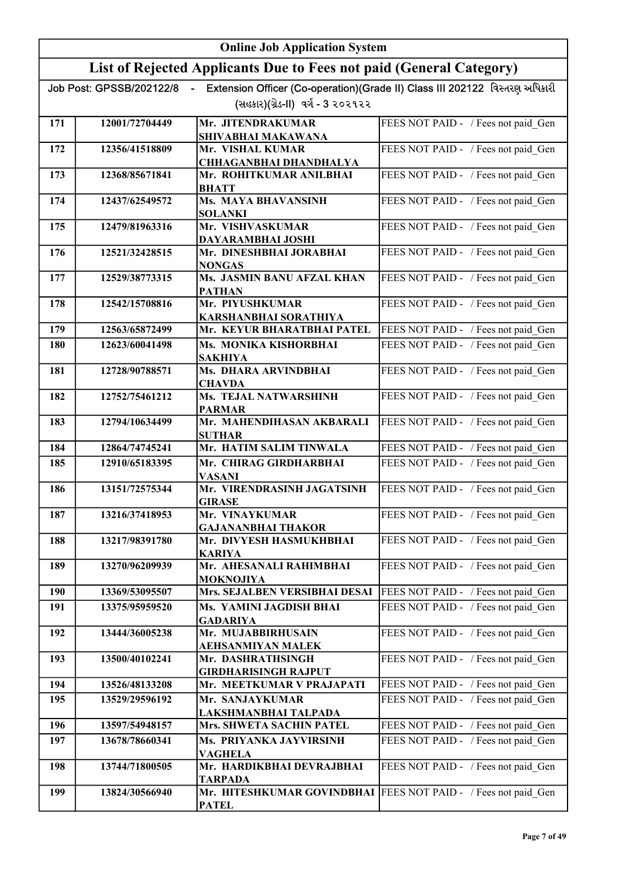|     | <b>Online Job Application System</b> |                                                                     |                                                                             |
|-----|--------------------------------------|---------------------------------------------------------------------|-----------------------------------------------------------------------------|
|     |                                      | List of Rejected Applicants Due to Fees not paid (General Category) |                                                                             |
|     | Job Post: GPSSB/202122/8             | $\sim$                                                              | Extension Officer (Co-operation)(Grade II) Class III 202122 વિસ્તરણ અધિકારી |
|     |                                      | (સહકાર)(ગ્રેડ-II) વર્ગ - 3 ૨૦૨૧૨૨                                   |                                                                             |
| 171 | 12001/72704449                       | Mr. JITENDRAKUMAR                                                   | FEES NOT PAID - / Fees not paid Gen                                         |
| 172 | 12356/41518809                       | SHIVABHAI MAKAWANA<br>Mr. VISHAL KUMAR                              | FEES NOT PAID - / Fees not paid Gen                                         |
|     |                                      | <b>CHHAGANBHAI DHANDHALYA</b>                                       |                                                                             |
| 173 | 12368/85671841                       | Mr. ROHITKUMAR ANILBHAI<br><b>BHATT</b>                             | FEES NOT PAID - / Fees not paid Gen                                         |
| 174 | 12437/62549572                       | Ms. MAYA BHAVANSINH<br><b>SOLANKI</b>                               | FEES NOT PAID - / Fees not paid Gen                                         |
| 175 | 12479/81963316                       | Mr. VISHVASKUMAR<br>DAYARAMBHAI JOSHI                               | FEES NOT PAID - / Fees not paid Gen                                         |
| 176 | 12521/32428515                       | Mr. DINESHBHAI JORABHAI<br><b>NONGAS</b>                            | FEES NOT PAID - / Fees not paid Gen                                         |
| 177 | 12529/38773315                       | Ms. JASMIN BANU AFZAL KHAN<br><b>PATHAN</b>                         | FEES NOT PAID - / Fees not paid Gen                                         |
| 178 | 12542/15708816                       | Mr. PIYUSHKUMAR<br>KARSHANBHAI SORATHIYA                            | FEES NOT PAID - / Fees not paid_Gen                                         |
| 179 | 12563/65872499                       | Mr. KEYUR BHARATBHAI PATEL                                          | FEES NOT PAID - / Fees not paid Gen                                         |
| 180 | 12623/60041498                       | Ms. MONIKA KISHORBHAI<br><b>SAKHIYA</b>                             | FEES NOT PAID - / Fees not paid Gen                                         |
| 181 | 12728/90788571                       | Ms. DHARA ARVINDBHAI<br><b>CHAVDA</b>                               | FEES NOT PAID - / Fees not paid_Gen                                         |
| 182 | 12752/75461212                       | Ms. TEJAL NATWARSHINH<br><b>PARMAR</b>                              | FEES NOT PAID - / Fees not paid_Gen                                         |
| 183 | 12794/10634499                       | Mr. MAHENDIHASAN AKBARALI<br><b>SUTHAR</b>                          | FEES NOT PAID - / Fees not paid Gen                                         |
| 184 | 12864/74745241                       | Mr. HATIM SALIM TINWALA                                             | FEES NOT PAID - / Fees not paid Gen                                         |
| 185 | 12910/65183395                       | Mr. CHIRAG GIRDHARBHAI<br><b>VASANI</b>                             | FEES NOT PAID - / Fees not paid Gen                                         |
| 186 | 13151/72575344                       | Mr. VIRENDRASINH JAGATSINH<br><b>GIRASE</b>                         | FEES NOT PAID - / Fees not paid Gen                                         |
| 187 | 13216/37418953                       | Mr. VINAYKUMAR<br><b>GAJANANBHAI THAKOR</b>                         | FEES NOT PAID - / Fees not paid Gen                                         |
| 188 | 13217/98391780                       | Mr. DIVYESH HASMUKHBHAI<br><b>KARIYA</b>                            | FEES NOT PAID - / Fees not paid Gen                                         |
| 189 | 13270/96209939                       | Mr. AHESANALI RAHIMBHAI<br>MOKNOJIYA                                | FEES NOT PAID - / Fees not paid Gen                                         |
| 190 | 13369/53095507                       | Mrs. SEJALBEN VERSIBHAI DESAI                                       | FEES NOT PAID - / Fees not paid Gen                                         |
| 191 | 13375/95959520                       | Ms. YAMINI JAGDISH BHAI<br><b>GADARIYA</b>                          | FEES NOT PAID - / Fees not paid Gen                                         |
| 192 | 13444/36005238                       | Mr. MUJABBIRHUSAIN<br>AEHSANMIYAN MALEK                             | FEES NOT PAID - / Fees not paid Gen                                         |
| 193 | 13500/40102241                       | Mr. DASHRATHSINGH<br><b>GIRDHARISINGH RAJPUT</b>                    | FEES NOT PAID - / Fees not paid Gen                                         |
| 194 | 13526/48133208                       | Mr. MEETKUMAR V PRAJAPATI                                           | FEES NOT PAID - / Fees not paid_Gen                                         |
| 195 | 13529/29596192                       | Mr. SANJAYKUMAR<br>LAKSHMANBHAI TALPADA                             | FEES NOT PAID - / Fees not paid_Gen                                         |
| 196 | 13597/54948157                       | Mrs. SHWETA SACHIN PATEL                                            | FEES NOT PAID - / Fees not paid_Gen                                         |
| 197 | 13678/78660341                       | Ms. PRIYANKA JAYVIRSINH<br><b>VAGHELA</b>                           | FEES NOT PAID - / Fees not paid Gen                                         |
| 198 | 13744/71800505                       | Mr. HARDIKBHAI DEVRAJBHAI<br>TARPADA                                | FEES NOT PAID - / Fees not paid_Gen                                         |
| 199 | 13824/30566940                       | Mr. HITESHKUMAR GOVINDBHAI<br><b>PATEL</b>                          | FEES NOT PAID - / Fees not paid Gen                                         |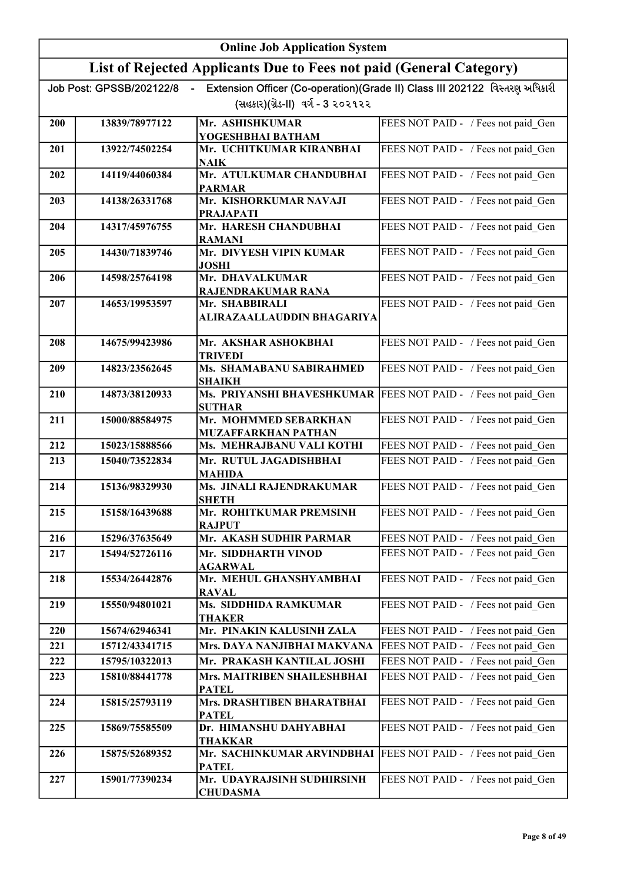|     | <b>Online Job Application System</b> |                                                                     |                                                                              |
|-----|--------------------------------------|---------------------------------------------------------------------|------------------------------------------------------------------------------|
|     |                                      | List of Rejected Applicants Due to Fees not paid (General Category) |                                                                              |
|     | Job Post: GPSSB/202122/8             |                                                                     | Extension Officer (Co-operation) (Grade II) Class III 202122 વિસ્તરણ અધિકારી |
|     |                                      | (સહકાર)(ગ્રેડ-II) વર્ગ - 3 ૨૦૨૧૨૨                                   |                                                                              |
| 200 | 13839/78977122                       | Mr. ASHISHKUMAR<br>YOGESHBHAI BATHAM                                | FEES NOT PAID - / Fees not paid Gen                                          |
| 201 | 13922/74502254                       | Mr. UCHITKUMAR KIRANBHAI<br>NAIK                                    | FEES NOT PAID - / Fees not paid Gen                                          |
| 202 | 14119/44060384                       | Mr. ATULKUMAR CHANDUBHAI<br><b>PARMAR</b>                           | FEES NOT PAID - / Fees not paid Gen                                          |
| 203 | 14138/26331768                       | Mr. KISHORKUMAR NAVAJI                                              | FEES NOT PAID - / Fees not paid Gen                                          |
| 204 | 14317/45976755                       | <b>PRAJAPATI</b><br>Mr. HARESH CHANDUBHAI<br><b>RAMANI</b>          | FEES NOT PAID - / Fees not paid Gen                                          |
| 205 | 14430/71839746                       | Mr. DIVYESH VIPIN KUMAR<br><b>JOSHI</b>                             | FEES NOT PAID - / Fees not paid Gen                                          |
| 206 | 14598/25764198                       | Mr. DHAVALKUMAR<br>RAJENDRAKUMAR RANA                               | FEES NOT PAID - / Fees not paid Gen                                          |
| 207 | 14653/19953597                       | Mr. SHABBIRALI<br><b>ALIRAZAALLAUDDIN BHAGARIYA</b>                 | FEES NOT PAID - / Fees not paid Gen                                          |
| 208 | 14675/99423986                       | Mr. AKSHAR ASHOKBHAI<br><b>TRIVEDI</b>                              | FEES NOT PAID - / Fees not paid Gen                                          |
| 209 | 14823/23562645                       | Ms. SHAMABANU SABIRAHMED<br><b>SHAIKH</b>                           | FEES NOT PAID - / Fees not paid Gen                                          |
| 210 | 14873/38120933                       | <b>SUTHAR</b>                                                       | Ms. PRIYANSHI BHAVESHKUMAR   FEES NOT PAID - / Fees not paid Gen             |
| 211 | 15000/88584975                       | Mr. MOHMMED SEBARKHAN<br><b>MUZAFFARKHAN PATHAN</b>                 | FEES NOT PAID - / Fees not paid_Gen                                          |
| 212 | 15023/15888566                       | Ms. MEHRAJBANU VALI KOTHI                                           | FEES NOT PAID - / Fees not paid Gen                                          |
| 213 | 15040/73522834                       | Mr. RUTUL JAGADISHBHAI<br><b>MAHIDA</b>                             | FEES NOT PAID - / Fees not paid Gen                                          |
| 214 | 15136/98329930                       | Ms. JINALI RAJENDRAKUMAR<br><b>SHETH</b>                            | FEES NOT PAID - / Fees not paid Gen                                          |
| 215 | 15158/16439688                       | Mr. ROHITKUMAR PREMSINH<br><b>RAJPUT</b>                            | FEES NOT PAID - / Fees not paid Gen                                          |
| 216 | 15296/37635649                       | Mr. AKASH SUDHIR PARMAR                                             | FEES NOT PAID - / Fees not paid Gen                                          |
| 217 | 15494/52726116                       | Mr. SIDDHARTH VINOD<br><b>AGARWAL</b>                               | FEES NOT PAID - / Fees not paid_Gen                                          |
| 218 | 15534/26442876                       | Mr. MEHUL GHANSHYAMBHAI<br><b>RAVAL</b>                             | FEES NOT PAID - / Fees not paid Gen                                          |
| 219 | 15550/94801021                       | Ms. SIDDHIDA RAMKUMAR<br><b>THAKER</b>                              | FEES NOT PAID - / Fees not paid Gen                                          |
| 220 | 15674/62946341                       | Mr. PINAKIN KALUSINH ZALA                                           | FEES NOT PAID - / Fees not paid_Gen                                          |
| 221 | 15712/43341715                       | Mrs. DAYA NANJIBHAI MAKVANA                                         | FEES NOT PAID - / Fees not paid_Gen                                          |
| 222 | 15795/10322013                       | Mr. PRAKASH KANTILAL JOSHI                                          | FEES NOT PAID - / Fees not paid Gen                                          |
| 223 | 15810/88441778                       | Mrs. MAITRIBEN SHAILESHBHAI<br><b>PATEL</b>                         | FEES NOT PAID - / Fees not paid_Gen                                          |
| 224 | 15815/25793119                       | Mrs. DRASHTIBEN BHARATBHAI<br><b>PATEL</b>                          | FEES NOT PAID - / Fees not paid_Gen                                          |
| 225 | 15869/75585509                       | Dr. HIMANSHU DAHYABHAI<br>THAKKAR                                   | FEES NOT PAID - / Fees not paid_Gen                                          |
| 226 | 15875/52689352                       | Mr. SACHINKUMAR ARVINDBHAI<br><b>PATEL</b>                          | FEES NOT PAID - / Fees not paid Gen                                          |
| 227 | 15901/77390234                       | Mr. UDAYRAJSINH SUDHIRSINH<br><b>CHUDASMA</b>                       | FEES NOT PAID - / Fees not paid_Gen                                          |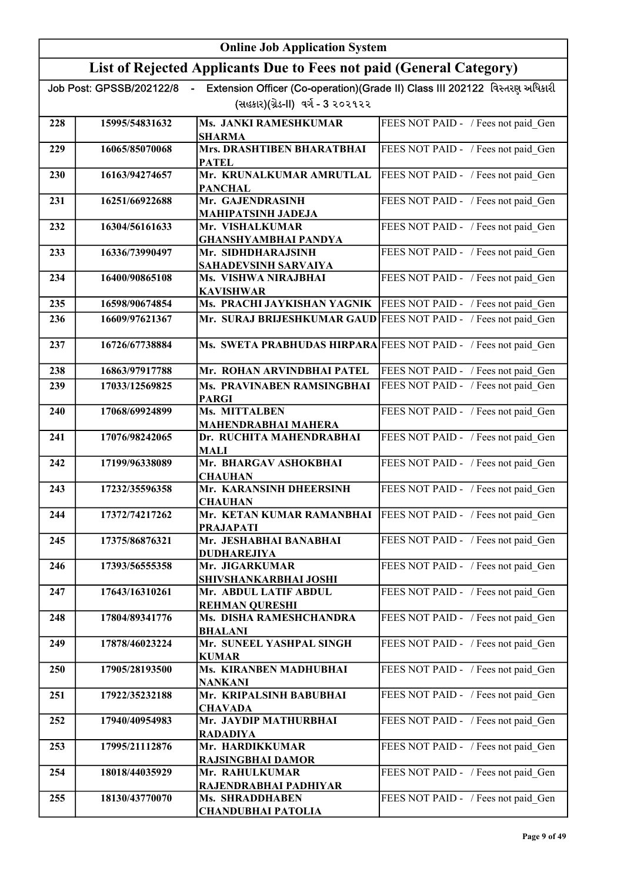|     |                          | <b>Online Job Application System</b>                                |                                                                             |
|-----|--------------------------|---------------------------------------------------------------------|-----------------------------------------------------------------------------|
|     |                          | List of Rejected Applicants Due to Fees not paid (General Category) |                                                                             |
|     | Job Post: GPSSB/202122/8 | (સહકાર)(ગ્રેડ-II) વર્ગ - 3 ૨૦૨૧૨૨                                   | Extension Officer (Co-operation)(Grade II) Class III 202122 વિસ્તરણ અધિકારી |
| 228 | 15995/54831632           | Ms. JANKI RAMESHKUMAR                                               | FEES NOT PAID - / Fees not paid Gen                                         |
|     |                          | <b>SHARMA</b>                                                       |                                                                             |
| 229 | 16065/85070068           | Mrs. DRASHTIBEN BHARATBHAI<br><b>PATEL</b>                          | FEES NOT PAID - / Fees not paid Gen                                         |
| 230 | 16163/94274657           | Mr. KRUNALKUMAR AMRUTLAL<br><b>PANCHAL</b>                          | FEES NOT PAID - / Fees not paid Gen                                         |
| 231 | 16251/66922688           | Mr. GAJENDRASINH<br><b>MAHIPATSINH JADEJA</b>                       | FEES NOT PAID - / Fees not paid Gen                                         |
| 232 | 16304/56161633           | Mr. VISHALKUMAR<br><b>GHANSHYAMBHAI PANDYA</b>                      | FEES NOT PAID - / Fees not paid Gen                                         |
| 233 | 16336/73990497           | Mr. SIDHDHARAJSINH<br><b>SAHADEVSINH SARVAIYA</b>                   | FEES NOT PAID - / Fees not paid Gen                                         |
| 234 | 16400/90865108           | Ms. VISHWA NIRAJBHAI<br><b>KAVISHWAR</b>                            | FEES NOT PAID - / Fees not paid Gen                                         |
| 235 | 16598/90674854           | Ms. PRACHI JAYKISHAN YAGNIK                                         | FEES NOT PAID - / Fees not paid Gen                                         |
| 236 | 16609/97621367           | Mr. SURAJ BRIJESHKUMAR GAUD                                         | FEES NOT PAID - / Fees not paid Gen                                         |
| 237 | 16726/67738884           | Ms. SWETA PRABHUDAS HIRPARA FEES NOT PAID - / Fees not paid Gen     |                                                                             |
| 238 | 16863/97917788           | Mr. ROHAN ARVINDBHAI PATEL                                          | FEES NOT PAID - / Fees not paid Gen                                         |
| 239 | 17033/12569825           | Ms. PRAVINABEN RAMSINGBHAI<br><b>PARGI</b>                          | FEES NOT PAID - / Fees not paid Gen                                         |
| 240 | 17068/69924899           | Ms. MITTALBEN<br><b>MAHENDRABHAI MAHERA</b>                         | FEES NOT PAID - / Fees not paid Gen                                         |
| 241 | 17076/98242065           | Dr. RUCHITA MAHENDRABHAI<br><b>MALI</b>                             | FEES NOT PAID - / Fees not paid Gen                                         |
| 242 | 17199/96338089           | Mr. BHARGAV ASHOKBHAI<br><b>CHAUHAN</b>                             | FEES NOT PAID - / Fees not paid Gen                                         |
| 243 | 17232/35596358           | Mr. KARANSINH DHEERSINH<br><b>CHAUHAN</b>                           | FEES NOT PAID - / Fees not paid Gen                                         |
| 244 | 17372/74217262           | Mr. KETAN KUMAR RAMANBHAI<br><b>PRAJAPATI</b>                       | FEES NOT PAID - / Fees not paid Gen                                         |
| 245 | 17375/86876321           | Mr. JESHABHAI BANABHAI<br><b>DUDHAREJIYA</b>                        | FEES NOT PAID - / Fees not paid Gen                                         |
| 246 | 17393/56555358           | Mr. JIGARKUMAR<br>SHIVSHANKARBHAI JOSHI                             | FEES NOT PAID - / Fees not paid Gen                                         |
| 247 | 17643/16310261           | Mr. ABDUL LATIF ABDUL<br><b>REHMAN QURESHI</b>                      | FEES NOT PAID - / Fees not paid Gen                                         |
| 248 | 17804/89341776           | Ms. DISHA RAMESHCHANDRA<br><b>BHALANI</b>                           | FEES NOT PAID - / Fees not paid Gen                                         |
| 249 | 17878/46023224           | Mr. SUNEEL YASHPAL SINGH<br><b>KUMAR</b>                            | FEES NOT PAID - / Fees not paid Gen                                         |
| 250 | 17905/28193500           | Ms. KIRANBEN MADHUBHAI<br>NANKANI                                   | FEES NOT PAID - / Fees not paid Gen                                         |
| 251 | 17922/35232188           | Mr. KRIPALSINH BABUBHAI<br><b>CHAVADA</b>                           | FEES NOT PAID - / Fees not paid Gen                                         |
| 252 | 17940/40954983           | Mr. JAYDIP MATHURBHAI<br><b>RADADIYA</b>                            | FEES NOT PAID - / Fees not paid Gen                                         |
| 253 | 17995/21112876           | Mr. HARDIKKUMAR<br><b>RAJSINGBHAI DAMOR</b>                         | FEES NOT PAID - / Fees not paid Gen                                         |
| 254 | 18018/44035929           | Mr. RAHULKUMAR<br>RAJENDRABHAI PADHIYAR                             | FEES NOT PAID - / Fees not paid Gen                                         |
| 255 | 18130/43770070           | Ms. SHRADDHABEN<br><b>CHANDUBHAI PATOLIA</b>                        | FEES NOT PAID - / Fees not paid Gen                                         |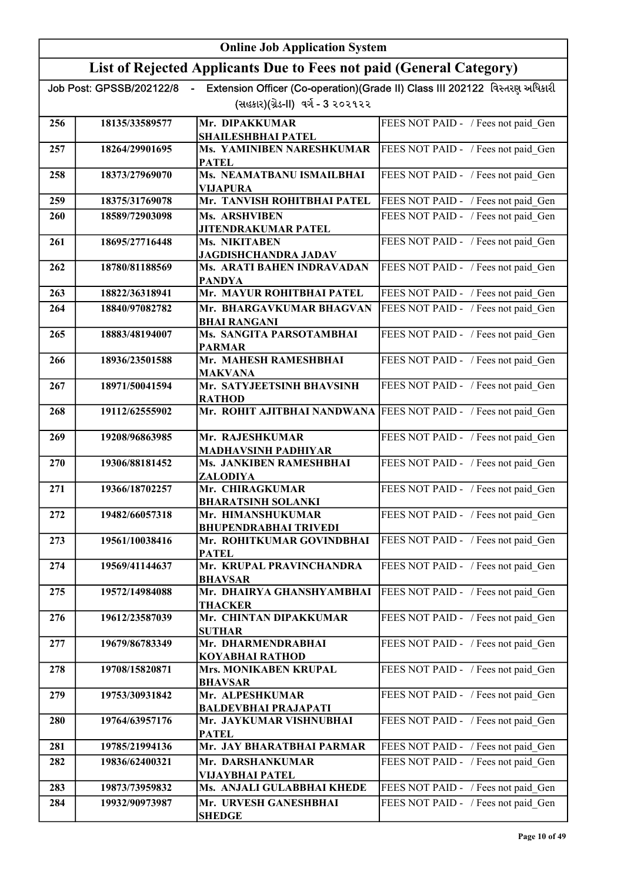|     | <b>Online Job Application System</b> |                                                                     |                                                                             |
|-----|--------------------------------------|---------------------------------------------------------------------|-----------------------------------------------------------------------------|
|     |                                      | List of Rejected Applicants Due to Fees not paid (General Category) |                                                                             |
|     | Job Post: GPSSB/202122/8             |                                                                     | Extension Officer (Co-operation)(Grade II) Class III 202122 વિસ્તરણ અધિકારી |
|     |                                      | (સહકાર)(ગ્રેડ-II) વર્ગ - 3 ૨૦૨૧૨૨                                   |                                                                             |
| 256 | 18135/33589577                       | Mr. DIPAKKUMAR                                                      | FEES NOT PAID - / Fees not paid Gen                                         |
| 257 | 18264/29901695                       | SHAILESHBHAI PATEL<br>Ms. YAMINIBEN NARESHKUMAR                     | FEES NOT PAID - / Fees not paid_Gen                                         |
|     |                                      | <b>PATEL</b>                                                        |                                                                             |
| 258 | 18373/27969070                       | Ms. NEAMATBANU ISMAILBHAI<br><b>VIJAPURA</b>                        | FEES NOT PAID - / Fees not paid Gen                                         |
| 259 | 18375/31769078                       | Mr. TANVISH ROHITBHAI PATEL                                         | FEES NOT PAID - / Fees not paid Gen                                         |
| 260 | 18589/72903098                       | Ms. ARSHVIBEN                                                       | FEES NOT PAID - / Fees not paid Gen                                         |
| 261 | 18695/27716448                       | <b>JITENDRAKUMAR PATEL</b><br>Ms. NIKITABEN                         | FEES NOT PAID - / Fees not paid Gen                                         |
| 262 | 18780/81188569                       | <b>JAGDISHCHANDRA JADAV</b><br>Ms. ARATI BAHEN INDRAVADAN           | FEES NOT PAID - / Fees not paid Gen                                         |
|     |                                      | <b>PANDYA</b>                                                       |                                                                             |
| 263 | 18822/36318941                       | Mr. MAYUR ROHITBHAI PATEL                                           | FEES NOT PAID - / Fees not paid Gen                                         |
| 264 | 18840/97082782                       | Mr. BHARGAVKUMAR BHAGVAN<br><b>BHAI RANGANI</b>                     | FEES NOT PAID - / Fees not paid Gen                                         |
| 265 | 18883/48194007                       | Ms. SANGITA PARSOTAMBHAI                                            | FEES NOT PAID - / Fees not paid Gen                                         |
| 266 | 18936/23501588                       | <b>PARMAR</b><br>Mr. MAHESH RAMESHBHAI                              | FEES NOT PAID - / Fees not paid Gen                                         |
|     |                                      | <b>MAKVANA</b>                                                      |                                                                             |
| 267 | 18971/50041594                       | Mr. SATYJEETSINH BHAVSINH<br><b>RATHOD</b>                          | FEES NOT PAID - / Fees not paid Gen                                         |
| 268 | 19112/62555902                       | Mr. ROHIT AJITBHAI NANDWANA FEES NOT PAID - / Fees not paid Gen     |                                                                             |
| 269 | 19208/96863985                       | Mr. RAJESHKUMAR                                                     | FEES NOT PAID - / Fees not paid Gen                                         |
|     |                                      | <b>MADHAVSINH PADHIYAR</b>                                          |                                                                             |
| 270 | 19306/88181452                       | Ms. JANKIBEN RAMESHBHAI<br>ZALODIYA                                 | FEES NOT PAID - / Fees not paid Gen                                         |
| 271 | 19366/18702257                       | Mr. CHIRAGKUMAR                                                     | FEES NOT PAID - / Fees not paid Gen                                         |
| 272 | 19482/66057318                       | <b>BHARATSINH SOLANKI</b><br>Mr. HIMANSHUKUMAR                      | FEES NOT PAID - / Fees not paid Gen                                         |
|     |                                      | <b>BHUPENDRABHAI TRIVEDI</b>                                        |                                                                             |
| 273 | 19561/10038416                       | Mr. ROHITKUMAR GOVINDBHAI<br><b>PATEL</b>                           | FEES NOT PAID - / Fees not paid Gen                                         |
| 274 | 19569/41144637                       | Mr. KRUPAL PRAVINCHANDRA                                            | FEES NOT PAID - / Fees not paid Gen                                         |
| 275 | 19572/14984088                       | <b>BHAVSAR</b><br>Mr. DHAIRYA GHANSHYAMBHAI                         |                                                                             |
|     |                                      | <b>THACKER</b>                                                      | FEES NOT PAID - / Fees not paid_Gen                                         |
| 276 | 19612/23587039                       | Mr. CHINTAN DIPAKKUMAR                                              | FEES NOT PAID - / Fees not paid Gen                                         |
| 277 | 19679/86783349                       | <b>SUTHAR</b><br>Mr. DHARMENDRABHAI                                 | FEES NOT PAID - / Fees not paid Gen                                         |
|     |                                      | KOYABHAI RATHOD                                                     |                                                                             |
| 278 | 19708/15820871                       | Mrs. MONIKABEN KRUPAL<br><b>BHAVSAR</b>                             | FEES NOT PAID - / Fees not paid Gen                                         |
| 279 | 19753/30931842                       | Mr. ALPESHKUMAR                                                     | FEES NOT PAID - / Fees not paid Gen                                         |
| 280 | 19764/63957176                       | <b>BALDEVBHAI PRAJAPATI</b><br>Mr. JAYKUMAR VISHNUBHAI              | FEES NOT PAID - / Fees not paid Gen                                         |
|     |                                      | <b>PATEL</b>                                                        |                                                                             |
| 281 | 19785/21994136                       | Mr. JAY BHARATBHAI PARMAR                                           | FEES NOT PAID - / Fees not paid Gen                                         |
| 282 | 19836/62400321                       | Mr. DARSHANKUMAR<br>VIJAYBHAI PATEL                                 | FEES NOT PAID - / Fees not paid Gen                                         |
| 283 | 19873/73959832                       | Ms. ANJALI GULABBHAI KHEDE                                          | FEES NOT PAID - / Fees not paid Gen                                         |
| 284 | 19932/90973987                       | Mr. URVESH GANESHBHAI                                               | FEES NOT PAID - / Fees not paid Gen                                         |
|     |                                      | <b>SHEDGE</b>                                                       |                                                                             |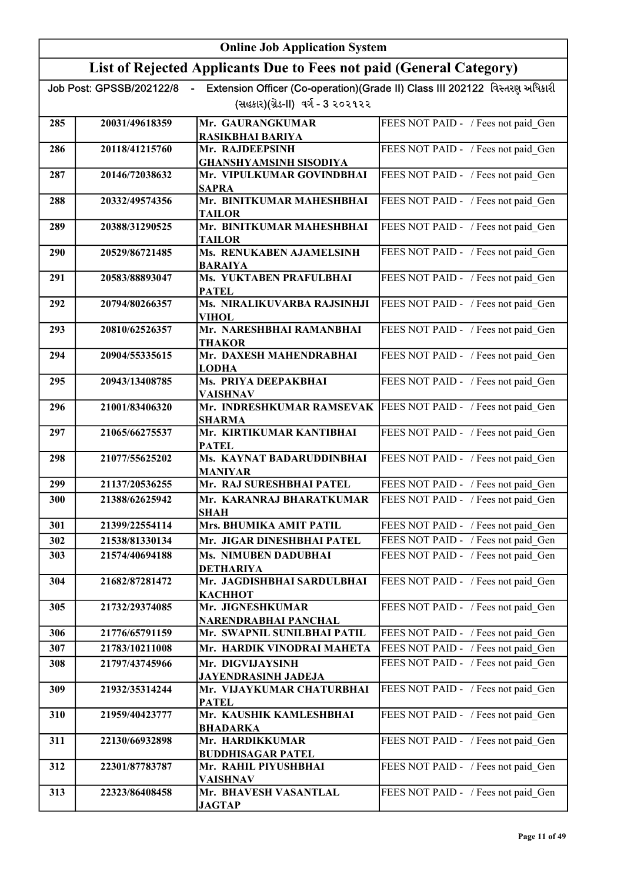|     | <b>Online Job Application System</b> |                                                                     |                                                                             |
|-----|--------------------------------------|---------------------------------------------------------------------|-----------------------------------------------------------------------------|
|     |                                      | List of Rejected Applicants Due to Fees not paid (General Category) |                                                                             |
|     | Job Post: GPSSB/202122/8             | $\blacksquare$                                                      | Extension Officer (Co-operation)(Grade II) Class III 202122 વિસ્તરણ અધિકારી |
|     |                                      | (સહકાર)(ગ્રેડ-II)  વર્ગ - 3 ૨૦૨૧૨૨                                  |                                                                             |
| 285 | 20031/49618359                       | Mr. GAURANGKUMAR                                                    | FEES NOT PAID - / Fees not paid Gen                                         |
| 286 | 20118/41215760                       | RASIKBHAI BARIYA<br>Mr. RAJDEEPSINH                                 | FEES NOT PAID - / Fees not paid Gen                                         |
|     |                                      | <b>GHANSHYAMSINH SISODIYA</b>                                       |                                                                             |
| 287 | 20146/72038632                       | Mr. VIPULKUMAR GOVINDBHAI<br><b>SAPRA</b>                           | FEES NOT PAID - / Fees not paid Gen                                         |
| 288 | 20332/49574356                       | Mr. BINITKUMAR MAHESHBHAI<br>TAILOR                                 | FEES NOT PAID - / Fees not paid Gen                                         |
| 289 | 20388/31290525                       | Mr. BINITKUMAR MAHESHBHAI<br>TAILOR                                 | FEES NOT PAID - / Fees not paid Gen                                         |
| 290 | 20529/86721485                       | Ms. RENUKABEN AJAMELSINH<br><b>BARAIYA</b>                          | FEES NOT PAID - / Fees not paid Gen                                         |
| 291 | 20583/88893047                       | Ms. YUKTABEN PRAFULBHAI<br><b>PATEL</b>                             | FEES NOT PAID - / Fees not paid Gen                                         |
| 292 | 20794/80266357                       | Ms. NIRALIKUVARBA RAJSINHJI<br><b>VIHOL</b>                         | FEES NOT PAID - / Fees not paid_Gen                                         |
| 293 | 20810/62526357                       | Mr. NARESHBHAI RAMANBHAI<br><b>THAKOR</b>                           | FEES NOT PAID - / Fees not paid Gen                                         |
| 294 | 20904/55335615                       | Mr. DAXESH MAHENDRABHAI<br><b>LODHA</b>                             | FEES NOT PAID - / Fees not paid_Gen                                         |
| 295 | 20943/13408785                       | Ms. PRIYA DEEPAKBHAI<br><b>VAISHNAV</b>                             | FEES NOT PAID - / Fees not paid Gen                                         |
| 296 | 21001/83406320                       | Mr. INDRESHKUMAR RAMSEVAK<br><b>SHARMA</b>                          | FEES NOT PAID - / Fees not paid_Gen                                         |
| 297 | 21065/66275537                       | Mr. KIRTIKUMAR KANTIBHAI<br><b>PATEL</b>                            | FEES NOT PAID - / Fees not paid_Gen                                         |
| 298 | 21077/55625202                       | Ms. KAYNAT BADARUDDINBHAI<br><b>MANIYAR</b>                         | FEES NOT PAID - / Fees not paid Gen                                         |
| 299 | 21137/20536255                       | Mr. RAJ SURESHBHAI PATEL                                            | FEES NOT PAID - / Fees not paid Gen                                         |
| 300 | 21388/62625942                       | Mr. KARANRAJ BHARATKUMAR<br><b>SHAH</b>                             | FEES NOT PAID - / Fees not paid Gen                                         |
| 301 | 21399/22554114                       | Mrs. BHUMIKA AMIT PATIL                                             | FEES NOT PAID - / Fees not paid Gen                                         |
| 302 | 21538/81330134                       | Mr. JIGAR DINESHBHAI PATEL                                          | FEES NOT PAID - / Fees not paid Gen                                         |
| 303 | 21574/40694188                       | Ms. NIMUBEN DADUBHAI<br><b>DETHARIYA</b>                            | FEES NOT PAID - / Fees not paid Gen                                         |
| 304 | 21682/87281472                       | Mr. JAGDISHBHAI SARDULBHAI<br><b>КАСННОТ</b>                        | FEES NOT PAID - / Fees not paid Gen                                         |
| 305 | 21732/29374085                       | Mr. JIGNESHKUMAR<br>NARENDRABHAI PANCHAL                            | FEES NOT PAID - / Fees not paid Gen                                         |
| 306 | 21776/65791159                       | Mr. SWAPNIL SUNILBHAI PATIL                                         | FEES NOT PAID - / Fees not paid Gen                                         |
| 307 | 21783/10211008                       | Mr. HARDIK VINODRAI MAHETA                                          | FEES NOT PAID - / Fees not paid Gen                                         |
| 308 | 21797/43745966                       | Mr. DIGVIJAYSINH<br>JAYENDRASINH JADEJA                             | FEES NOT PAID - / Fees not paid Gen                                         |
| 309 | 21932/35314244                       | Mr. VIJAYKUMAR CHATURBHAI<br><b>PATEL</b>                           | FEES NOT PAID - / Fees not paid_Gen                                         |
| 310 | 21959/40423777                       | Mr. KAUSHIK KAMLESHBHAI<br><b>BHADARKA</b>                          | FEES NOT PAID - / Fees not paid Gen                                         |
| 311 | 22130/66932898                       | Mr. HARDIKKUMAR<br><b>BUDDHISAGAR PATEL</b>                         | FEES NOT PAID - / Fees not paid_Gen                                         |
| 312 | 22301/87783787                       | Mr. RAHIL PIYUSHBHAI<br><b>VAISHNAV</b>                             | FEES NOT PAID - / Fees not paid Gen                                         |
| 313 | 22323/86408458                       | Mr. BHAVESH VASANTLAL<br><b>JAGTAP</b>                              | FEES NOT PAID - / Fees not paid Gen                                         |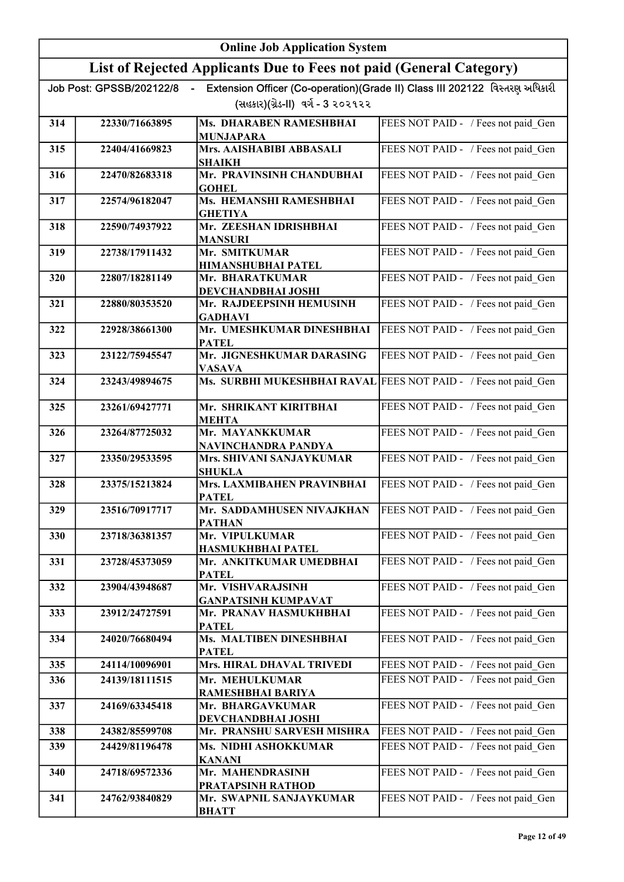|     |                          | <b>Online Job Application System</b>                                |                                                                             |
|-----|--------------------------|---------------------------------------------------------------------|-----------------------------------------------------------------------------|
|     |                          | List of Rejected Applicants Due to Fees not paid (General Category) |                                                                             |
|     | Job Post: GPSSB/202122/8 |                                                                     | Extension Officer (Co-operation)(Grade II) Class III 202122 વિસ્તરણ અધિકારી |
|     |                          | (સહકાર)(ગ્રેડ-II) વર્ગ - 3 ૨૦૨૧૨૨                                   |                                                                             |
| 314 | 22330/71663895           | Ms. DHARABEN RAMESHBHAI                                             | FEES NOT PAID - / Fees not paid Gen                                         |
| 315 | 22404/41669823           | <b>MUNJAPARA</b><br>Mrs. AAISHABIBI ABBASALI                        | FEES NOT PAID - / Fees not paid Gen                                         |
|     |                          | <b>SHAIKH</b>                                                       |                                                                             |
| 316 | 22470/82683318           | Mr. PRAVINSINH CHANDUBHAI<br><b>GOHEL</b>                           | FEES NOT PAID - / Fees not paid Gen                                         |
| 317 | 22574/96182047           | Ms. HEMANSHI RAMESHBHAI<br><b>GHETIYA</b>                           | FEES NOT PAID - / Fees not paid Gen                                         |
| 318 | 22590/74937922           | Mr. ZEESHAN IDRISHBHAI<br><b>MANSURI</b>                            | FEES NOT PAID - / Fees not paid Gen                                         |
| 319 | 22738/17911432           | Mr. SMITKUMAR<br><b>HIMANSHUBHAI PATEL</b>                          | FEES NOT PAID - / Fees not paid Gen                                         |
| 320 | 22807/18281149           | Mr. BHARATKUMAR                                                     | FEES NOT PAID - / Fees not paid Gen                                         |
| 321 | 22880/80353520           | <b>DEVCHANDBHAI JOSHI</b><br>Mr. RAJDEEPSINH HEMUSINH               | FEES NOT PAID - / Fees not paid Gen                                         |
|     |                          | <b>GADHAVI</b>                                                      |                                                                             |
| 322 | 22928/38661300           | Mr. UMESHKUMAR DINESHBHAI<br><b>PATEL</b>                           | FEES NOT PAID - / Fees not paid_Gen                                         |
| 323 | 23122/75945547           | Mr. JIGNESHKUMAR DARASING<br><b>VASAVA</b>                          | FEES NOT PAID - / Fees not paid_Gen                                         |
| 324 | 23243/49894675           | Ms. SURBHI MUKESHBHAI RAVAL                                         | FEES NOT PAID - / Fees not paid_Gen                                         |
| 325 | 23261/69427771           | Mr. SHRIKANT KIRITBHAI<br><b>MEHTA</b>                              | FEES NOT PAID - / Fees not paid_Gen                                         |
| 326 | 23264/87725032           | Mr. MAYANKKUMAR<br>NAVINCHANDRA PANDYA                              | FEES NOT PAID - / Fees not paid Gen                                         |
| 327 | 23350/29533595           | Mrs. SHIVANI SANJAYKUMAR<br><b>SHUKLA</b>                           | FEES NOT PAID - / Fees not paid Gen                                         |
| 328 | 23375/15213824           | Mrs. LAXMIBAHEN PRAVINBHAI<br><b>PATEL</b>                          | FEES NOT PAID - / Fees not paid Gen                                         |
| 329 | 23516/70917717           | Mr. SADDAMHUSEN NIVAJKHAN<br><b>PATHAN</b>                          | FEES NOT PAID - / Fees not paid Gen                                         |
| 330 | 23718/36381357           | Mr. VIPULKUMAR<br>HASMUKHBHAI PATEL                                 | FEES NOT PAID - / Fees not paid Gen                                         |
| 331 | 23728/45373059           | Mr. ANKITKUMAR UMEDBHAI<br><b>PATEL</b>                             | FEES NOT PAID - / Fees not paid Gen                                         |
| 332 | 23904/43948687           | Mr. VISHVARAJSINH<br><b>GANPATSINH KUMPAVAT</b>                     | FEES NOT PAID - / Fees not paid Gen                                         |
| 333 | 23912/24727591           | Mr. PRANAV HASMUKHBHAI<br><b>PATEL</b>                              | FEES NOT PAID - / Fees not paid Gen                                         |
| 334 | 24020/76680494           | Ms. MALTIBEN DINESHBHAI<br><b>PATEL</b>                             | FEES NOT PAID - / Fees not paid Gen                                         |
| 335 | 24114/10096901           | <b>Mrs. HIRAL DHAVAL TRIVEDI</b>                                    | FEES NOT PAID - / Fees not paid Gen                                         |
| 336 | 24139/18111515           | Mr. MEHULKUMAR                                                      | FEES NOT PAID - / Fees not paid Gen                                         |
| 337 | 24169/63345418           | RAMESHBHAI BARIYA<br>Mr. BHARGAVKUMAR                               | FEES NOT PAID - / Fees not paid Gen                                         |
| 338 | 24382/85599708           | DEVCHANDBHAI JOSHI<br>Mr. PRANSHU SARVESH MISHRA                    | FEES NOT PAID - / Fees not paid Gen                                         |
| 339 | 24429/81196478           | Ms. NIDHI ASHOKKUMAR                                                | FEES NOT PAID - / Fees not paid Gen                                         |
|     |                          | <b>KANANI</b>                                                       |                                                                             |
| 340 | 24718/69572336           | Mr. MAHENDRASINH<br>PRATAPSINH RATHOD                               | FEES NOT PAID - / Fees not paid Gen                                         |
| 341 | 24762/93840829           | Mr. SWAPNIL SANJAYKUMAR<br><b>BHATT</b>                             | FEES NOT PAID - / Fees not paid Gen                                         |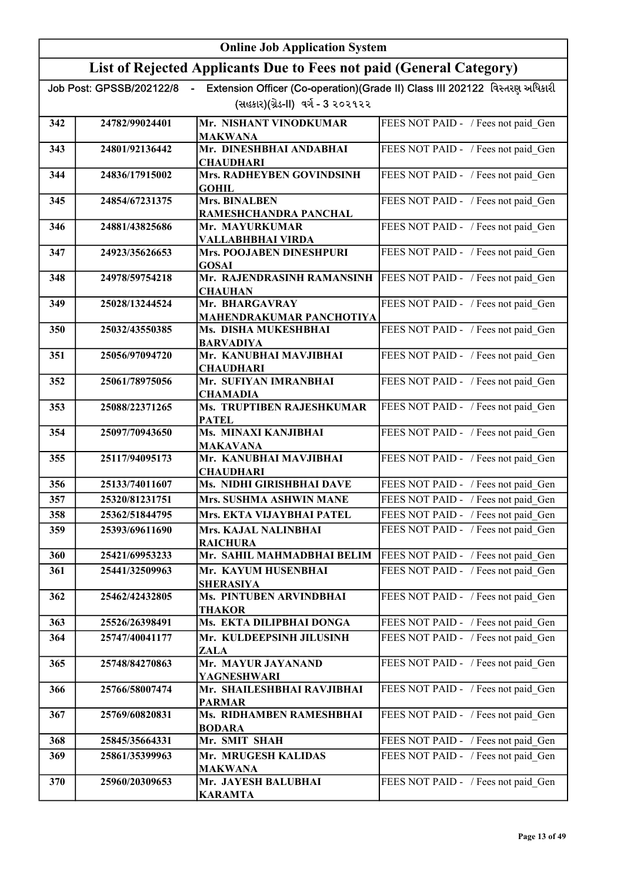|     |                          | <b>Online Job Application System</b>                                |                                                                             |
|-----|--------------------------|---------------------------------------------------------------------|-----------------------------------------------------------------------------|
|     |                          | List of Rejected Applicants Due to Fees not paid (General Category) |                                                                             |
|     | Job Post: GPSSB/202122/8 |                                                                     | Extension Officer (Co-operation)(Grade II) Class III 202122 વિસ્તરણ અધિકારી |
|     |                          | (સહકાર)(ગ્રેડ-II) વર્ગ - 3 ૨૦૨૧૨૨                                   |                                                                             |
| 342 | 24782/99024401           | Mr. NISHANT VINODKUMAR                                              | FEES NOT PAID - / Fees not paid Gen                                         |
|     | 24801/92136442           | <b>MAKWANA</b><br>Mr. DINESHBHAI ANDABHAI                           |                                                                             |
| 343 |                          | <b>CHAUDHARI</b>                                                    | FEES NOT PAID - / Fees not paid Gen                                         |
| 344 | 24836/17915002           | <b>Mrs. RADHEYBEN GOVINDSINH</b><br><b>GOHIL</b>                    | FEES NOT PAID - / Fees not paid Gen                                         |
| 345 | 24854/67231375           | <b>Mrs. BINALBEN</b><br>RAMESHCHANDRA PANCHAL                       | FEES NOT PAID - / Fees not paid Gen                                         |
| 346 | 24881/43825686           | Mr. MAYURKUMAR                                                      | FEES NOT PAID - / Fees not paid Gen                                         |
|     |                          | VALLABHBHAI VIRDA                                                   |                                                                             |
| 347 | 24923/35626653           | <b>Mrs. POOJABEN DINESHPURI</b><br><b>GOSAI</b>                     | FEES NOT PAID - / Fees not paid Gen                                         |
| 348 | 24978/59754218           | Mr. RAJENDRASINH RAMANSINH                                          | FEES NOT PAID - / Fees not paid Gen                                         |
| 349 | 25028/13244524           | <b>CHAUHAN</b><br>Mr. BHARGAVRAY                                    | FEES NOT PAID - / Fees not paid Gen                                         |
|     |                          | MAHENDRAKUMAR PANCHOTIYA                                            |                                                                             |
| 350 | 25032/43550385           | Ms. DISHA MUKESHBHAI<br><b>BARVADIYA</b>                            | FEES NOT PAID - / Fees not paid Gen                                         |
| 351 | 25056/97094720           | Mr. KANUBHAI MAVJIBHAI<br><b>CHAUDHARI</b>                          | FEES NOT PAID - / Fees not paid Gen                                         |
| 352 | 25061/78975056           | Mr. SUFIYAN IMRANBHAI                                               | FEES NOT PAID - / Fees not paid Gen                                         |
| 353 | 25088/22371265           | <b>CHAMADIA</b><br>Ms. TRUPTIBEN RAJESHKUMAR                        | FEES NOT PAID - / Fees not paid Gen                                         |
| 354 | 25097/70943650           | <b>PATEL</b><br>Ms. MINAXI KANJIBHAI                                | FEES NOT PAID - / Fees not paid Gen                                         |
| 355 | 25117/94095173           | <b>MAKAVANA</b><br>Mr. KANUBHAI MAVJIBHAI                           | FEES NOT PAID - / Fees not paid Gen                                         |
| 356 | 25133/74011607           | <b>CHAUDHARI</b><br>Ms. NIDHI GIRISHBHAI DAVE                       | FEES NOT PAID - / Fees not paid_Gen                                         |
| 357 | 25320/81231751           | Mrs. SUSHMA ASHWIN MANE                                             | FEES NOT PAID - / Fees not paid Gen                                         |
| 358 | 25362/51844795           | Mrs. EKTA VIJAYBHAI PATEL                                           | FEES NOT PAID - / Fees not paid Gen                                         |
| 359 | 25393/69611690           | Mrs. KAJAL NALINBHAI<br><b>RAICHURA</b>                             | FEES NOT PAID - / Fees not paid Gen                                         |
| 360 | 25421/69953233           | Mr. SAHIL MAHMADBHAI BELIM                                          | FEES NOT PAID - / Fees not paid_Gen                                         |
| 361 | 25441/32509963           | Mr. KAYUM HUSENBHAI<br><b>SHERASIYA</b>                             | FEES NOT PAID - / Fees not paid Gen                                         |
| 362 | 25462/42432805           | Ms. PINTUBEN ARVINDBHAI<br><b>THAKOR</b>                            | FEES NOT PAID - / Fees not paid Gen                                         |
| 363 | 25526/26398491           | Ms. EKTA DILIPBHAI DONGA                                            | FEES NOT PAID - / Fees not paid_Gen                                         |
| 364 | 25747/40041177           | Mr. KULDEEPSINH JILUSINH<br>ZALA                                    | FEES NOT PAID - / Fees not paid Gen                                         |
| 365 | 25748/84270863           | Mr. MAYUR JAYANAND<br>YAGNESHWARI                                   | FEES NOT PAID - / Fees not paid_Gen                                         |
| 366 | 25766/58007474           | Mr. SHAILESHBHAI RAVJIBHAI<br><b>PARMAR</b>                         | FEES NOT PAID - / Fees not paid_Gen                                         |
| 367 | 25769/60820831           | Ms. RIDHAMBEN RAMESHBHAI<br><b>BODARA</b>                           | FEES NOT PAID - / Fees not paid Gen                                         |
| 368 | 25845/35664331           | Mr. SMIT SHAH                                                       | FEES NOT PAID - / Fees not paid Gen                                         |
| 369 | 25861/35399963           | Mr. MRUGESH KALIDAS<br><b>MAKWANA</b>                               | FEES NOT PAID - / Fees not paid Gen                                         |
| 370 | 25960/20309653           | Mr. JAYESH BALUBHAI<br><b>KARAMTA</b>                               | FEES NOT PAID - / Fees not paid Gen                                         |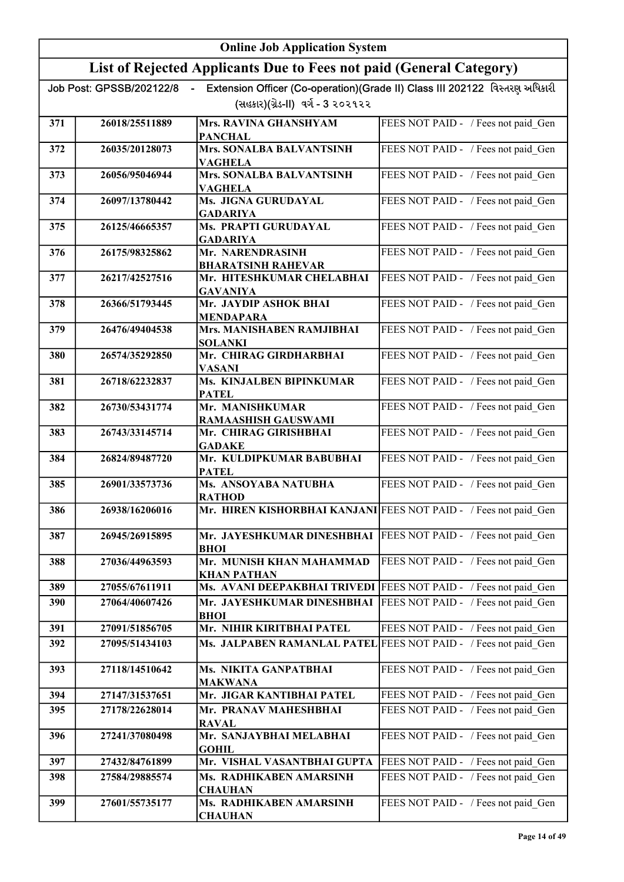|     | <b>Online Job Application System</b> |                                                                                 |                                                                             |
|-----|--------------------------------------|---------------------------------------------------------------------------------|-----------------------------------------------------------------------------|
|     |                                      | List of Rejected Applicants Due to Fees not paid (General Category)             |                                                                             |
|     | Job Post: GPSSB/202122/8             |                                                                                 | Extension Officer (Co-operation)(Grade II) Class III 202122 વિસ્તરણ અધિકારી |
|     |                                      | (સહકાર)(ગ્રેડ-II) વર્ગ - 3 ૨૦૨૧૨૨                                               |                                                                             |
| 371 | 26018/25511889                       | Mrs. RAVINA GHANSHYAM<br><b>PANCHAL</b>                                         | FEES NOT PAID - / Fees not paid Gen                                         |
| 372 | 26035/20128073                       | Mrs. SONALBA BALVANTSINH<br><b>VAGHELA</b>                                      | FEES NOT PAID - / Fees not paid Gen                                         |
| 373 | 26056/95046944                       | <b>Mrs. SONALBA BALVANTSINH</b><br><b>VAGHELA</b>                               | FEES NOT PAID - / Fees not paid Gen                                         |
| 374 | 26097/13780442                       | Ms. JIGNA GURUDAYAL<br><b>GADARIYA</b>                                          | FEES NOT PAID - / Fees not paid Gen                                         |
| 375 | 26125/46665357                       | Ms. PRAPTI GURUDAYAL<br><b>GADARIYA</b>                                         | FEES NOT PAID - / Fees not paid Gen                                         |
| 376 | 26175/98325862                       | Mr. NARENDRASINH<br><b>BHARATSINH RAHEVAR</b>                                   | FEES NOT PAID - / Fees not paid Gen                                         |
| 377 | 26217/42527516                       | Mr. HITESHKUMAR CHELABHAI<br><b>GAVANIYA</b>                                    | FEES NOT PAID - / Fees not paid Gen                                         |
| 378 | 26366/51793445                       | Mr. JAYDIP ASHOK BHAI<br><b>MENDAPARA</b>                                       | FEES NOT PAID - / Fees not paid Gen                                         |
| 379 | 26476/49404538                       | Mrs. MANISHABEN RAMJIBHAI<br><b>SOLANKI</b>                                     | FEES NOT PAID - / Fees not paid Gen                                         |
| 380 | 26574/35292850                       | Mr. CHIRAG GIRDHARBHAI<br><b>VASANI</b>                                         | FEES NOT PAID - / Fees not paid Gen                                         |
| 381 | 26718/62232837                       | Ms. KINJALBEN BIPINKUMAR<br><b>PATEL</b>                                        | FEES NOT PAID - / Fees not paid_Gen                                         |
| 382 | 26730/53431774                       | Mr. MANISHKUMAR<br><b>RAMAASHISH GAUSWAMI</b>                                   | FEES NOT PAID - / Fees not paid_Gen                                         |
| 383 | 26743/33145714                       | Mr. CHIRAG GIRISHBHAI<br><b>GADAKE</b>                                          | FEES NOT PAID - / Fees not paid Gen                                         |
| 384 | 26824/89487720                       | Mr. KULDIPKUMAR BABUBHAI<br><b>PATEL</b>                                        | FEES NOT PAID - / Fees not paid Gen                                         |
| 385 | 26901/33573736                       | Ms. ANSOYABA NATUBHA<br><b>RATHOD</b>                                           | FEES NOT PAID - / Fees not paid Gen                                         |
| 386 | 26938/16206016                       | Mr. HIREN KISHORBHAI KANJANI FEES NOT PAID - / Fees not paid Gen                |                                                                             |
| 387 | 26945/26915895                       | Mr. JAYESHKUMAR DINESHBHAI   FEES NOT PAID - / Fees not paid Gen<br><b>BHOI</b> |                                                                             |
| 388 | 27036/44963593                       | Mr. MUNISH KHAN MAHAMMAD<br><b>KHAN PATHAN</b>                                  | FEES NOT PAID - / Fees not paid Gen                                         |
| 389 | 27055/67611911                       | Ms. AVANI DEEPAKBHAI TRIVEDI                                                    | FEES NOT PAID - / Fees not paid Gen                                         |
| 390 | 27064/40607426                       | Mr. JAYESHKUMAR DINESHBHAI<br><b>BHOI</b>                                       | FEES NOT PAID - / Fees not paid Gen                                         |
| 391 | 27091/51856705                       | Mr. NIHIR KIRITBHAI PATEL                                                       | FEES NOT PAID - / Fees not paid Gen                                         |
| 392 | 27095/51434103                       | Ms. JALPABEN RAMANLAL PATEL                                                     | FEES NOT PAID - / Fees not paid Gen                                         |
| 393 | 27118/14510642                       | Ms. NIKITA GANPATBHAI<br><b>MAKWANA</b>                                         | FEES NOT PAID - / Fees not paid Gen                                         |
| 394 | 27147/31537651                       | Mr. JIGAR KANTIBHAI PATEL                                                       | FEES NOT PAID - / Fees not paid Gen                                         |
| 395 | 27178/22628014                       | Mr. PRANAV MAHESHBHAI<br><b>RAVAL</b>                                           | FEES NOT PAID - / Fees not paid Gen                                         |
| 396 | 27241/37080498                       | Mr. SANJAYBHAI MELABHAI<br><b>GOHIL</b>                                         | FEES NOT PAID - / Fees not paid Gen                                         |
| 397 | 27432/84761899                       | Mr. VISHAL VASANTBHAI GUPTA                                                     | FEES NOT PAID - / Fees not paid Gen                                         |
| 398 | 27584/29885574                       | Ms. RADHIKABEN AMARSINH<br><b>CHAUHAN</b>                                       | FEES NOT PAID - / Fees not paid Gen                                         |
| 399 | 27601/55735177                       | Ms. RADHIKABEN AMARSINH<br><b>CHAUHAN</b>                                       | FEES NOT PAID - / Fees not paid Gen                                         |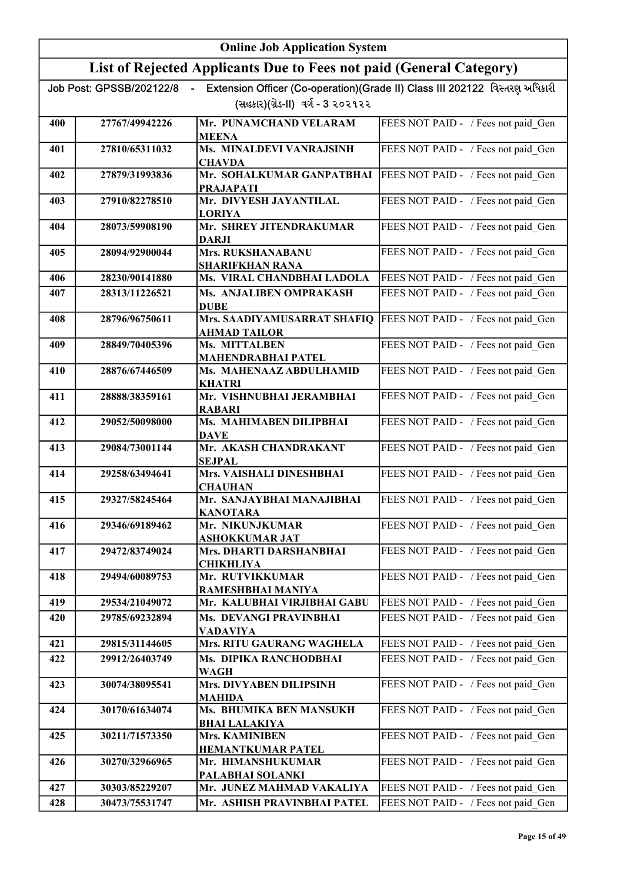|     | <b>Online Job Application System</b> |                                                                     |                                                                             |
|-----|--------------------------------------|---------------------------------------------------------------------|-----------------------------------------------------------------------------|
|     |                                      | List of Rejected Applicants Due to Fees not paid (General Category) |                                                                             |
|     | Job Post: GPSSB/202122/8             |                                                                     | Extension Officer (Co-operation)(Grade II) Class III 202122 વિસ્તરણ અધિકારી |
|     |                                      | (સહકાર)(ગ્રેડ-II) વર્ગ - 3 ૨૦૨૧૨૨                                   |                                                                             |
| 400 | 27767/49942226                       | Mr. PUNAMCHAND VELARAM<br><b>MEENA</b>                              | FEES NOT PAID - / Fees not paid Gen                                         |
| 401 | 27810/65311032                       | Ms. MINALDEVI VANRAJSINH<br><b>CHAVDA</b>                           | FEES NOT PAID - / Fees not paid_Gen                                         |
| 402 | 27879/31993836                       | Mr. SOHALKUMAR GANPATBHAI<br><b>PRAJAPATI</b>                       | FEES NOT PAID - / Fees not paid Gen                                         |
| 403 | 27910/82278510                       | Mr. DIVYESH JAYANTILAL<br><b>LORIYA</b>                             | FEES NOT PAID - / Fees not paid Gen                                         |
| 404 | 28073/59908190                       | Mr. SHREY JITENDRAKUMAR<br><b>DARJI</b>                             | FEES NOT PAID - / Fees not paid Gen                                         |
| 405 | 28094/92900044                       | Mrs. RUKSHANABANU<br><b>SHARIFKHAN RANA</b>                         | FEES NOT PAID - / Fees not paid Gen                                         |
| 406 | 28230/90141880                       | Ms. VIRAL CHANDBHAI LADOLA                                          | FEES NOT PAID - / Fees not paid Gen                                         |
| 407 | 28313/11226521                       | Ms. ANJALIBEN OMPRAKASH<br><b>DUBE</b>                              | FEES NOT PAID - / Fees not paid Gen                                         |
| 408 | 28796/96750611                       | Mrs. SAADIYAMUSARRAT SHAFIQ<br><b>AHMAD TAILOR</b>                  | FEES NOT PAID - / Fees not paid_Gen                                         |
| 409 | 28849/70405396                       | Ms. MITTALBEN<br><b>MAHENDRABHAI PATEL</b>                          | FEES NOT PAID - / Fees not paid Gen                                         |
| 410 | 28876/67446509                       | Ms. MAHENAAZ ABDULHAMID<br><b>KHATRI</b>                            | FEES NOT PAID - / Fees not paid_Gen                                         |
| 411 | 28888/38359161                       | Mr. VISHNUBHAI JERAMBHAI<br><b>RABARI</b>                           | FEES NOT PAID - / Fees not paid_Gen                                         |
| 412 | 29052/50098000                       | Ms. MAHIMABEN DILIPBHAI<br><b>DAVE</b>                              | FEES NOT PAID - / Fees not paid_Gen                                         |
| 413 | 29084/73001144                       | Mr. AKASH CHANDRAKANT<br><b>SEJPAL</b>                              | FEES NOT PAID - / Fees not paid Gen                                         |
| 414 | 29258/63494641                       | Mrs. VAISHALI DINESHBHAI<br><b>CHAUHAN</b>                          | FEES NOT PAID - / Fees not paid Gen                                         |
| 415 | 29327/58245464                       | Mr. SANJAYBHAI MANAJIBHAI<br><b>KANOTARA</b>                        | FEES NOT PAID - / Fees not paid Gen                                         |
| 416 | 29346/69189462                       | Mr. NIKUNJKUMAR<br>ASHOKKUMAR JAT                                   | FEES NOT PAID - / Fees not paid Gen                                         |
| 417 | 29472/83749024                       | Mrs. DHARTI DARSHANBHAI<br><b>CHIKHLIYA</b>                         | FEES NOT PAID - / Fees not paid Gen                                         |
| 418 | 29494/60089753                       | Mr. RUTVIKKUMAR<br>RAMESHBHAI MANIYA                                | FEES NOT PAID - / Fees not paid_Gen                                         |
| 419 | 29534/21049072                       | Mr. KALUBHAI VIRJIBHAI GABU                                         | FEES NOT PAID - / Fees not paid Gen                                         |
| 420 | 29785/69232894                       | Ms. DEVANGI PRAVINBHAI<br><b>VADAVIYA</b>                           | FEES NOT PAID - / Fees not paid Gen                                         |
| 421 | 29815/31144605                       | Mrs. RITU GAURANG WAGHELA                                           | FEES NOT PAID - / Fees not paid Gen                                         |
| 422 | 29912/26403749                       | Ms. DIPIKA RANCHODBHAI<br><b>WAGH</b>                               | FEES NOT PAID - / Fees not paid Gen                                         |
| 423 | 30074/38095541                       | Mrs. DIVYABEN DILIPSINH<br><b>MAHIDA</b>                            | FEES NOT PAID - / Fees not paid Gen                                         |
| 424 | 30170/61634074                       | Ms. BHUMIKA BEN MANSUKH<br><b>BHAI LALAKIYA</b>                     | FEES NOT PAID - / Fees not paid Gen                                         |
| 425 | 30211/71573350                       | Mrs. KAMINIBEN<br><b>HEMANTKUMAR PATEL</b>                          | FEES NOT PAID - / Fees not paid Gen                                         |
| 426 | 30270/32966965                       | Mr. HIMANSHUKUMAR<br>PALABHAI SOLANKI                               | FEES NOT PAID - / Fees not paid_Gen                                         |
| 427 | 30303/85229207                       | Mr. JUNEZ MAHMAD VAKALIYA                                           | FEES NOT PAID - / Fees not paid_Gen                                         |
| 428 | 30473/75531747                       | Mr. ASHISH PRAVINBHAI PATEL                                         | FEES NOT PAID - / Fees not paid Gen                                         |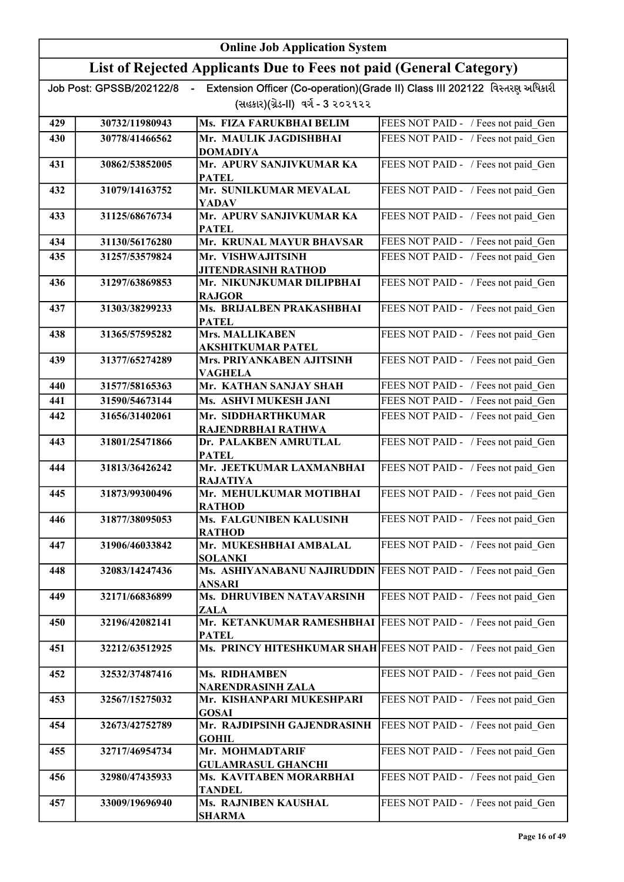|     | <b>Online Job Application System</b> |                                                                     |                                                                             |
|-----|--------------------------------------|---------------------------------------------------------------------|-----------------------------------------------------------------------------|
|     |                                      | List of Rejected Applicants Due to Fees not paid (General Category) |                                                                             |
|     | Job Post: GPSSB/202122/8<br>$\sim$   |                                                                     | Extension Officer (Co-operation)(Grade II) Class III 202122 વિસ્તરણ અધિકારી |
|     |                                      | (સહકાર)(ગ્રેડ-II) વર્ગ - 3 ૨૦૨૧૨૨                                   |                                                                             |
| 429 | 30732/11980943                       | Ms. FIZA FARUKBHAI BELIM                                            | FEES NOT PAID - / Fees not paid Gen                                         |
| 430 | 30778/41466562                       | Mr. MAULIK JAGDISHBHAI                                              | FEES NOT PAID - / Fees not paid Gen                                         |
| 431 | 30862/53852005                       | <b>DOMADIYA</b><br>Mr. APURV SANJIVKUMAR KA                         | FEES NOT PAID - / Fees not paid Gen                                         |
|     |                                      | <b>PATEL</b>                                                        |                                                                             |
| 432 | 31079/14163752                       | Mr. SUNILKUMAR MEVALAL<br><b>YADAV</b>                              | FEES NOT PAID - / Fees not paid Gen                                         |
| 433 | 31125/68676734                       | Mr. APURV SANJIVKUMAR KA<br><b>PATEL</b>                            | FEES NOT PAID - / Fees not paid Gen                                         |
| 434 | 31130/56176280                       | Mr. KRUNAL MAYUR BHAVSAR                                            | FEES NOT PAID - / Fees not paid Gen                                         |
| 435 | 31257/53579824                       | Mr. VISHWAJITSINH                                                   | FEES NOT PAID - / Fees not paid Gen                                         |
| 436 | 31297/63869853                       | JITENDRASINH RATHOD<br>Mr. NIKUNJKUMAR DILIPBHAI                    | FEES NOT PAID - / Fees not paid_Gen                                         |
| 437 | 31303/38299233                       | <b>RAJGOR</b><br>Ms. BRIJALBEN PRAKASHBHAI                          | FEES NOT PAID - / Fees not paid Gen                                         |
| 438 | 31365/57595282                       | <b>PATEL</b><br><b>Mrs. MALLIKABEN</b>                              | FEES NOT PAID - / Fees not paid_Gen                                         |
| 439 | 31377/65274289                       | AKSHITKUMAR PATEL<br>Mrs. PRIYANKABEN AJITSINH                      | FEES NOT PAID - / Fees not paid_Gen                                         |
|     |                                      | VAGHELA                                                             |                                                                             |
| 440 | 31577/58165363                       | Mr. KATHAN SANJAY SHAH                                              | FEES NOT PAID - / Fees not paid Gen                                         |
| 441 | 31590/54673144                       | Ms. ASHVI MUKESH JANI                                               | FEES NOT PAID - / Fees not paid Gen                                         |
| 442 | 31656/31402061                       | Mr. SIDDHARTHKUMAR<br>RAJENDRBHAI RATHWA                            | FEES NOT PAID - / Fees not paid Gen                                         |
| 443 | 31801/25471866                       | Dr. PALAKBEN AMRUTLAL<br><b>PATEL</b>                               | FEES NOT PAID - / Fees not paid Gen                                         |
| 444 | 31813/36426242                       | Mr. JEETKUMAR LAXMANBHAI<br><b>RAJATIYA</b>                         | FEES NOT PAID - / Fees not paid_Gen                                         |
| 445 | 31873/99300496                       | Mr. MEHULKUMAR MOTIBHAI<br><b>RATHOD</b>                            | FEES NOT PAID - / Fees not paid Gen                                         |
| 446 | 31877/38095053                       | Ms. FALGUNIBEN KALUSINH<br><b>RATHOD</b>                            | FEES NOT PAID - / Fees not paid Gen                                         |
| 447 | 31906/46033842                       | Mr. MUKESHBHAI AMBALAL<br><b>SOLANKI</b>                            | FEES NOT PAID - / Fees not paid Gen                                         |
| 448 | 32083/14247436                       | Ms. ASHIYANABANU NAJIRUDDIN<br>ANSARI                               | FEES NOT PAID - / Fees not paid Gen                                         |
| 449 | 32171/66836899                       | Ms. DHRUVIBEN NATAVARSINH<br>ZALA                                   | FEES NOT PAID - / Fees not paid Gen                                         |
| 450 | 32196/42082141                       | Mr. KETANKUMAR RAMESHBHAI<br><b>PATEL</b>                           | FEES NOT PAID - / Fees not paid Gen                                         |
| 451 | 32212/63512925                       | Ms. PRINCY HITESHKUMAR SHAH FEES NOT PAID - / Fees not paid Gen     |                                                                             |
| 452 | 32532/37487416                       | Ms. RIDHAMBEN<br>NARENDRASINH ZALA                                  | FEES NOT PAID - / Fees not paid Gen                                         |
| 453 | 32567/15275032                       | Mr. KISHANPARI MUKESHPARI<br><b>GOSAI</b>                           | FEES NOT PAID - / Fees not paid Gen                                         |
| 454 | 32673/42752789                       | Mr. RAJDIPSINH GAJENDRASINH<br><b>GOHIL</b>                         | FEES NOT PAID - / Fees not paid Gen                                         |
| 455 | 32717/46954734                       | Mr. MOHMADTARIF<br><b>GULAMRASUL GHANCHI</b>                        | FEES NOT PAID - / Fees not paid_Gen                                         |
| 456 | 32980/47435933                       | Ms. KAVITABEN MORARBHAI<br>TANDEL                                   | FEES NOT PAID - / Fees not paid Gen                                         |
| 457 | 33009/19696940                       | Ms. RAJNIBEN KAUSHAL<br><b>SHARMA</b>                               | FEES NOT PAID - / Fees not paid Gen                                         |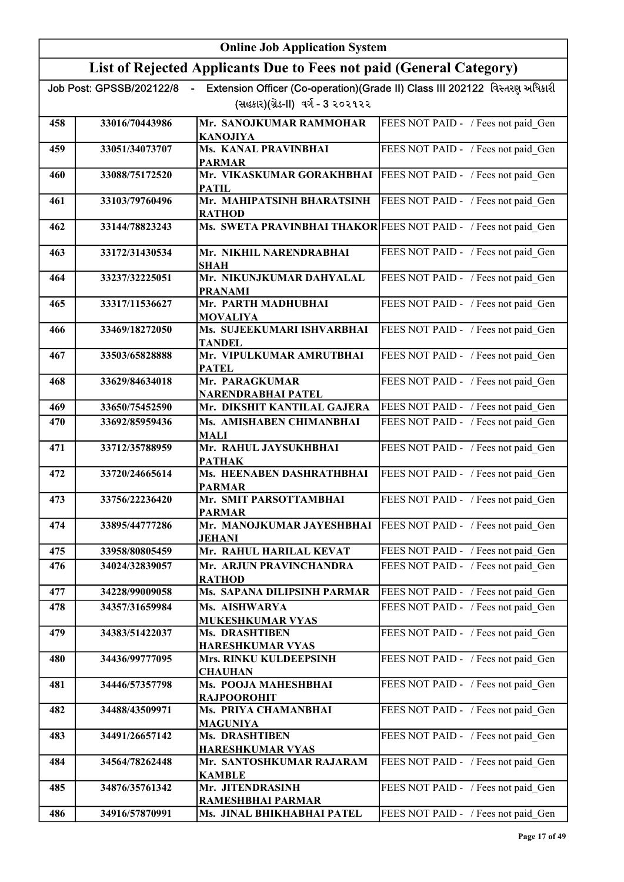|     | <b>Online Job Application System</b> |                                                                     |                                                                             |
|-----|--------------------------------------|---------------------------------------------------------------------|-----------------------------------------------------------------------------|
|     |                                      | List of Rejected Applicants Due to Fees not paid (General Category) |                                                                             |
|     | Job Post: GPSSB/202122/8             |                                                                     | Extension Officer (Co-operation)(Grade II) Class III 202122 વિસ્તરણ અધિકારી |
|     |                                      | (સહકાર)(ગ્રેડ-II) વર્ગ - 3 ૨૦૨૧૨૨                                   |                                                                             |
| 458 | 33016/70443986                       | Mr. SANOJKUMAR RAMMOHAR<br><b>KANOJIYA</b>                          | FEES NOT PAID - / Fees not paid Gen                                         |
| 459 | 33051/34073707                       | Ms. KANAL PRAVINBHAI<br><b>PARMAR</b>                               | FEES NOT PAID - / Fees not paid Gen                                         |
| 460 | 33088/75172520                       | Mr. VIKASKUMAR GORAKHBHAI<br><b>PATIL</b>                           | FEES NOT PAID - / Fees not paid Gen                                         |
| 461 | 33103/79760496                       | Mr. MAHIPATSINH BHARATSINH<br><b>RATHOD</b>                         | FEES NOT PAID - / Fees not paid Gen                                         |
| 462 | 33144/78823243                       | Ms. SWETA PRAVINBHAI THAKOR FEES NOT PAID - / Fees not paid Gen     |                                                                             |
| 463 | 33172/31430534                       | Mr. NIKHIL NARENDRABHAI<br><b>SHAH</b>                              | FEES NOT PAID - / Fees not paid Gen                                         |
| 464 | 33237/32225051                       | Mr. NIKUNJKUMAR DAHYALAL<br><b>PRANAMI</b>                          | FEES NOT PAID - / Fees not paid Gen                                         |
| 465 | 33317/11536627                       | Mr. PARTH MADHUBHAI<br><b>MOVALIYA</b>                              | FEES NOT PAID - / Fees not paid Gen                                         |
| 466 | 33469/18272050                       | Ms. SUJEEKUMARI ISHVARBHAI<br><b>TANDEL</b>                         | FEES NOT PAID - / Fees not paid Gen                                         |
| 467 | 33503/65828888                       | Mr. VIPULKUMAR AMRUTBHAI<br><b>PATEL</b>                            | FEES NOT PAID - / Fees not paid Gen                                         |
| 468 | 33629/84634018                       | Mr. PARAGKUMAR<br>NARENDRABHAI PATEL                                | FEES NOT PAID - / Fees not paid_Gen                                         |
| 469 | 33650/75452590                       | Mr. DIKSHIT KANTILAL GAJERA                                         | FEES NOT PAID - / Fees not paid Gen                                         |
| 470 | 33692/85959436                       | Ms. AMISHABEN CHIMANBHAI<br><b>MALI</b>                             | FEES NOT PAID - / Fees not paid Gen                                         |
| 471 | 33712/35788959                       | Mr. RAHUL JAYSUKHBHAI<br><b>PATHAK</b>                              | FEES NOT PAID - / Fees not paid Gen                                         |
| 472 | 33720/24665614                       | Ms. HEENABEN DASHRATHBHAI<br><b>PARMAR</b>                          | FEES NOT PAID - / Fees not paid Gen                                         |
| 473 | 33756/22236420                       | Mr. SMIT PARSOTTAMBHAI<br><b>PARMAR</b>                             | FEES NOT PAID - / Fees not paid Gen                                         |
| 474 | 33895/44777286                       | Mr. MANOJKUMAR JAYESHBHAI<br><b>JEHANI</b>                          | FEES NOT PAID - / Fees not paid Gen                                         |
| 475 | 33958/80805459                       | Mr. RAHUL HARILAL KEVAT                                             | FEES NOT PAID - / Fees not paid Gen                                         |
| 476 | 34024/32839057                       | Mr. ARJUN PRAVINCHANDRA<br><b>RATHOD</b>                            | FEES NOT PAID - / Fees not paid Gen                                         |
| 477 | 34228/99009058                       | Ms. SAPANA DILIPSINH PARMAR                                         | FEES NOT PAID - / Fees not paid Gen                                         |
| 478 | 34357/31659984                       | Ms. AISHWARYA<br><b>MUKESHKUMAR VYAS</b>                            | FEES NOT PAID - / Fees not paid Gen                                         |
| 479 | 34383/51422037                       | <b>Ms. DRASHTIBEN</b><br><b>HARESHKUMAR VYAS</b>                    | FEES NOT PAID - / Fees not paid Gen                                         |
| 480 | 34436/99777095                       | Mrs. RINKU KULDEEPSINH<br><b>CHAUHAN</b>                            | FEES NOT PAID - / Fees not paid Gen                                         |
| 481 | 34446/57357798                       | Ms. POOJA MAHESHBHAI<br><b>RAJPOOROHIT</b>                          | FEES NOT PAID - / Fees not paid Gen                                         |
| 482 | 34488/43509971                       | Ms. PRIYA CHAMANBHAI<br><b>MAGUNIYA</b>                             | FEES NOT PAID - / Fees not paid Gen                                         |
| 483 | 34491/26657142                       | <b>Ms. DRASHTIBEN</b><br><b>HARESHKUMAR VYAS</b>                    | FEES NOT PAID - / Fees not paid Gen                                         |
| 484 | 34564/78262448                       | Mr. SANTOSHKUMAR RAJARAM<br><b>KAMBLE</b>                           | FEES NOT PAID - / Fees not paid Gen                                         |
| 485 | 34876/35761342                       | Mr. JITENDRASINH<br>RAMESHBHAI PARMAR                               | FEES NOT PAID - / Fees not paid Gen                                         |
| 486 | 34916/57870991                       | Ms. JINAL BHIKHABHAI PATEL                                          | FEES NOT PAID - / Fees not paid_Gen                                         |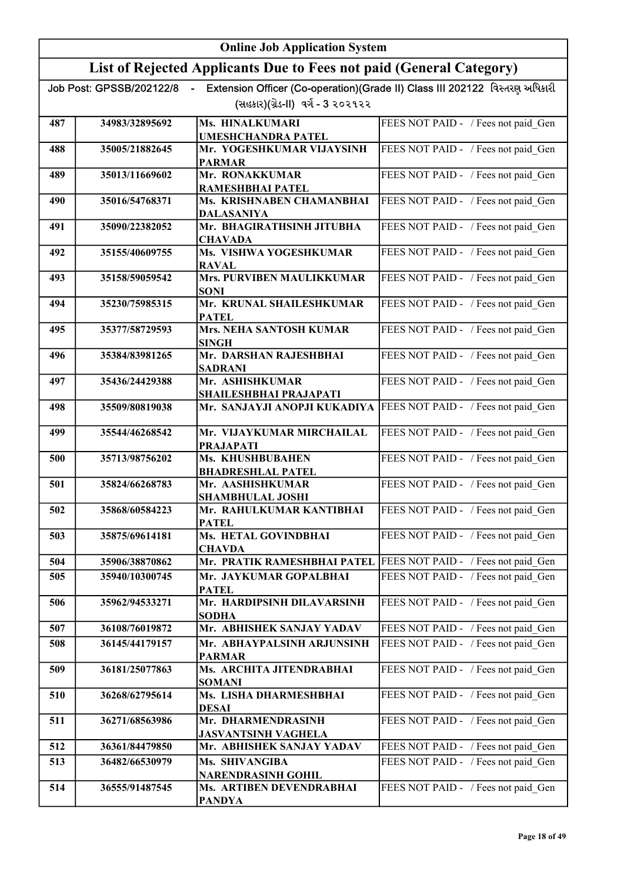|     | <b>Online Job Application System</b> |                                                                     |                                                                             |
|-----|--------------------------------------|---------------------------------------------------------------------|-----------------------------------------------------------------------------|
|     |                                      | List of Rejected Applicants Due to Fees not paid (General Category) |                                                                             |
|     | Job Post: GPSSB/202122/8             |                                                                     | Extension Officer (Co-operation)(Grade II) Class III 202122 વિસ્તરણ અધિકારી |
|     |                                      | (સહકાર)(ગ્રેડ-II) વર્ગ - 3 ૨૦૨૧૨૨                                   |                                                                             |
| 487 | 34983/32895692                       | Ms. HINALKUMARI                                                     | FEES NOT PAID - / Fees not paid Gen                                         |
| 488 | 35005/21882645                       | <b>UMESHCHANDRA PATEL</b><br>Mr. YOGESHKUMAR VIJAYSINH              | FEES NOT PAID - / Fees not paid Gen                                         |
|     | 35013/11669602                       | <b>PARMAR</b><br>Mr. RONAKKUMAR                                     | FEES NOT PAID - / Fees not paid Gen                                         |
| 489 |                                      | RAMESHBHAI PATEL                                                    |                                                                             |
| 490 | 35016/54768371                       | Ms. KRISHNABEN CHAMANBHAI<br><b>DALASANIYA</b>                      | FEES NOT PAID - / Fees not paid Gen                                         |
| 491 | 35090/22382052                       | Mr. BHAGIRATHSINH JITUBHA                                           | FEES NOT PAID - / Fees not paid Gen                                         |
| 492 | 35155/40609755                       | <b>CHAVADA</b><br>Ms. VISHWA YOGESHKUMAR                            | FEES NOT PAID - / Fees not paid Gen                                         |
|     |                                      | <b>RAVAL</b>                                                        |                                                                             |
| 493 | 35158/59059542                       | <b>Mrs. PURVIBEN MAULIKKUMAR</b><br><b>SONI</b>                     | FEES NOT PAID - / Fees not paid Gen                                         |
| 494 | 35230/75985315                       | Mr. KRUNAL SHAILESHKUMAR<br><b>PATEL</b>                            | FEES NOT PAID - / Fees not paid_Gen                                         |
| 495 | 35377/58729593                       | <b>Mrs. NEHA SANTOSH KUMAR</b><br><b>SINGH</b>                      | FEES NOT PAID - / Fees not paid Gen                                         |
| 496 | 35384/83981265                       | Mr. DARSHAN RAJESHBHAI<br><b>SADRANI</b>                            | FEES NOT PAID - / Fees not paid Gen                                         |
| 497 | 35436/24429388                       | Mr. ASHISHKUMAR<br>SHAILESHBHAI PRAJAPATI                           | FEES NOT PAID - / Fees not paid Gen                                         |
| 498 | 35509/80819038                       | Mr. SANJAYJI ANOPJI KUKADIYA                                        | FEES NOT PAID - / Fees not paid_Gen                                         |
| 499 | 35544/46268542                       | Mr. VIJAYKUMAR MIRCHAILAL<br><b>PRAJAPATI</b>                       | FEES NOT PAID - / Fees not paid Gen                                         |
| 500 | 35713/98756202                       | Ms. KHUSHBUBAHEN<br><b>BHADRESHLAL PATEL</b>                        | FEES NOT PAID - / Fees not paid Gen                                         |
| 501 | 35824/66268783                       | Mr. AASHISHKUMAR                                                    | FEES NOT PAID - / Fees not paid Gen                                         |
| 502 | 35868/60584223                       | <b>SHAMBHULAL JOSHI</b><br>Mr.  RAHULKUMAR KANTIBHAI                | FEES NOT PAID - / Fees not paid_Gen                                         |
|     |                                      | <b>PATEL</b>                                                        |                                                                             |
| 503 | 35875/69614181                       | Ms. HETAL GOVINDBHAI<br><b>CHAVDA</b>                               | FEES NOT PAID - / Fees not paid Gen                                         |
| 504 | 35906/38870862                       | Mr. PRATIK RAMESHBHAI PATEL                                         | FEES NOT PAID - / Fees not paid Gen                                         |
| 505 | 35940/10300745                       | Mr. JAYKUMAR GOPALBHAI<br><b>PATEL</b>                              | FEES NOT PAID - / Fees not paid Gen                                         |
| 506 | 35962/94533271                       | Mr. HARDIPSINH DILAVARSINH<br><b>SODHA</b>                          | FEES NOT PAID - / Fees not paid Gen                                         |
| 507 | 36108/76019872                       | Mr. ABHISHEK SANJAY YADAV                                           | FEES NOT PAID - / Fees not paid Gen                                         |
| 508 | 36145/44179157                       | Mr. ABHAYPALSINH ARJUNSINH<br><b>PARMAR</b>                         | FEES NOT PAID - / Fees not paid Gen                                         |
| 509 | 36181/25077863                       | Ms. ARCHITA JITENDRABHAI<br><b>SOMANI</b>                           | FEES NOT PAID - / Fees not paid Gen                                         |
| 510 | 36268/62795614                       | Ms. LISHA DHARMESHBHAI<br><b>DESAI</b>                              | FEES NOT PAID - / Fees not paid Gen                                         |
| 511 | 36271/68563986                       | Mr. DHARMENDRASINH<br><b>JASVANTSINH VAGHELA</b>                    | FEES NOT PAID - / Fees not paid Gen                                         |
| 512 | 36361/84479850                       | Mr. ABHISHEK SANJAY YADAV                                           | FEES NOT PAID - / Fees not paid Gen                                         |
| 513 | 36482/66530979                       | Ms. SHIVANGIBA<br><b>NARENDRASINH GOHIL</b>                         | FEES NOT PAID - / Fees not paid Gen                                         |
| 514 | 36555/91487545                       | Ms. ARTIBEN DEVENDRABHAI<br><b>PANDYA</b>                           | FEES NOT PAID - / Fees not paid Gen                                         |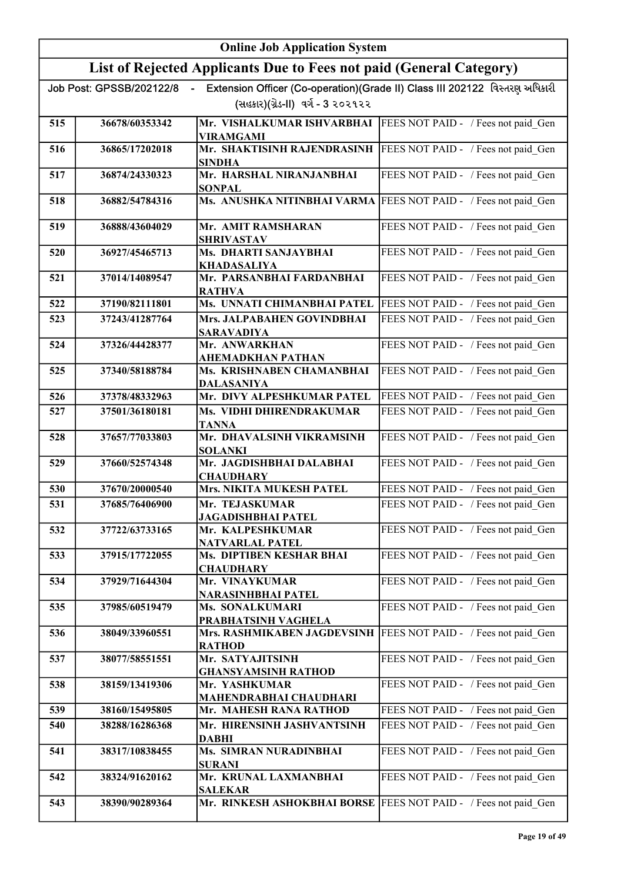|            | <b>Online Job Application System</b>       |                                                                     |                                                                             |
|------------|--------------------------------------------|---------------------------------------------------------------------|-----------------------------------------------------------------------------|
|            |                                            | List of Rejected Applicants Due to Fees not paid (General Category) |                                                                             |
|            | Job Post: GPSSB/202122/8<br>$\blacksquare$ |                                                                     | Extension Officer (Co-operation)(Grade II) Class III 202122 વિસ્તરણ અધિકારી |
|            |                                            | (સહકાર)(ગ્રેડ-II) વર્ગ - 3 ૨૦૨૧૨૨                                   |                                                                             |
| 515        | 36678/60353342                             | Mr. VISHALKUMAR ISHVARBHAI<br><b>VIRAMGAMI</b>                      | FEES NOT PAID - / Fees not paid Gen                                         |
| 516        | 36865/17202018                             | Mr. SHAKTISINH RAJENDRASINH                                         | FEES NOT PAID - / Fees not paid Gen                                         |
| 517        | 36874/24330323                             | <b>SINDHA</b><br>Mr. HARSHAL NIRANJANBHAI                           | FEES NOT PAID - / Fees not paid Gen                                         |
|            |                                            | <b>SONPAL</b>                                                       |                                                                             |
| 518        | 36882/54784316                             | Ms. ANUSHKA NITINBHAI VARMA                                         | FEES NOT PAID - / Fees not paid Gen                                         |
| 519        | 36888/43604029                             | Mr. AMIT RAMSHARAN                                                  | FEES NOT PAID - / Fees not paid Gen                                         |
| 520        | 36927/45465713                             | <b>SHRIVASTAV</b><br>Ms. DHARTI SANJAYBHAI                          | FEES NOT PAID - / Fees not paid Gen                                         |
| 521        | 37014/14089547                             | <b>KHADASALIYA</b><br>Mr. PARSANBHAI FARDANBHAI                     | FEES NOT PAID - / Fees not paid Gen                                         |
|            |                                            | <b>RATHVA</b>                                                       |                                                                             |
| 522        | 37190/82111801                             | Ms. UNNATI CHIMANBHAI PATEL                                         | FEES NOT PAID - / Fees not paid Gen                                         |
| 523        | 37243/41287764                             | Mrs. JALPABAHEN GOVINDBHAI<br><b>SARAVADIYA</b>                     | FEES NOT PAID - / Fees not paid Gen                                         |
| 524        | 37326/44428377                             | Mr. ANWARKHAN                                                       | FEES NOT PAID - / Fees not paid_Gen                                         |
| 525        | 37340/58188784                             | AHEMADKHAN PATHAN<br>Ms. KRISHNABEN CHAMANBHAI                      | FEES NOT PAID - / Fees not paid Gen                                         |
|            |                                            | <b>DALASANIYA</b>                                                   |                                                                             |
| 526        | 37378/48332963                             | Mr. DIVY ALPESHKUMAR PATEL                                          | FEES NOT PAID - / Fees not paid Gen                                         |
| 527        | 37501/36180181                             | Ms. VIDHI DHIRENDRAKUMAR<br>TANNA                                   | FEES NOT PAID - / Fees not paid Gen                                         |
| 528        | 37657/77033803                             | Mr. DHAVALSINH VIKRAMSINH<br><b>SOLANKI</b>                         | FEES NOT PAID - / Fees not paid Gen                                         |
| 529        | 37660/52574348                             | Mr. JAGDISHBHAI DALABHAI<br><b>CHAUDHARY</b>                        | FEES NOT PAID - / Fees not paid Gen                                         |
| 530        | 37670/20000540                             | <b>Mrs. NIKITA MUKESH PATEL</b>                                     | FEES NOT PAID - / Fees not paid Gen                                         |
| 531        | 37685/76406900                             | Mr. TEJASKUMAR<br>JAGADISHBHAI PATEL                                | FEES NOT PAID - / Fees not paid_Gen                                         |
| 532        | 37722/63733165                             | Mr. KALPESHKUMAR                                                    | FEES NOT PAID - / Fees not paid Gen                                         |
| 533        | 37915/17722055                             | <b>NATVARLAL PATEL</b><br>Ms. DIPTIBEN KESHAR BHAI                  | FEES NOT PAID - / Fees not paid Gen                                         |
|            |                                            | <b>CHAUDHARY</b>                                                    |                                                                             |
| 534        | 37929/71644304                             | Mr. VINAYKUMAR<br>NARASINHBHAI PATEL                                | FEES NOT PAID - / Fees not paid Gen                                         |
| 535        | 37985/60519479                             | Ms. SONALKUMARI                                                     | FEES NOT PAID - / Fees not paid Gen                                         |
|            |                                            | PRABHATSINH VAGHELA<br>Mrs. RASHMIKABEN JAGDEVSINH                  | FEES NOT PAID - / Fees not paid Gen                                         |
| 536        | 38049/33960551                             | RATHOD                                                              |                                                                             |
| 537        | 38077/58551551                             | Mr. SATYAJITSINH                                                    | FEES NOT PAID - / Fees not paid Gen                                         |
| 538        | 38159/13419306                             | <b>GHANSYAMSINH RATHOD</b><br>Mr. YASHKUMAR                         | FEES NOT PAID - / Fees not paid Gen                                         |
|            |                                            | MAHENDRABHAI CHAUDHARI                                              |                                                                             |
| 539<br>540 | 38160/15495805<br>38288/16286368           | Mr. MAHESH RANA RATHOD<br>Mr. HIRENSINH JASHVANTSINH                | FEES NOT PAID - / Fees not paid Gen<br>FEES NOT PAID - / Fees not paid_Gen  |
|            |                                            | <b>DABHI</b>                                                        |                                                                             |
| 541        | 38317/10838455                             | Ms. SIMRAN NURADINBHAI<br><b>SURANI</b>                             | FEES NOT PAID - / Fees not paid_Gen                                         |
| 542        | 38324/91620162                             | Mr. KRUNAL LAXMANBHAI<br><b>SALEKAR</b>                             | FEES NOT PAID - / Fees not paid_Gen                                         |
| 543        | 38390/90289364                             | Mr. RINKESH ASHOKBHAI BORSE   FEES NOT PAID - / Fees not paid Gen   |                                                                             |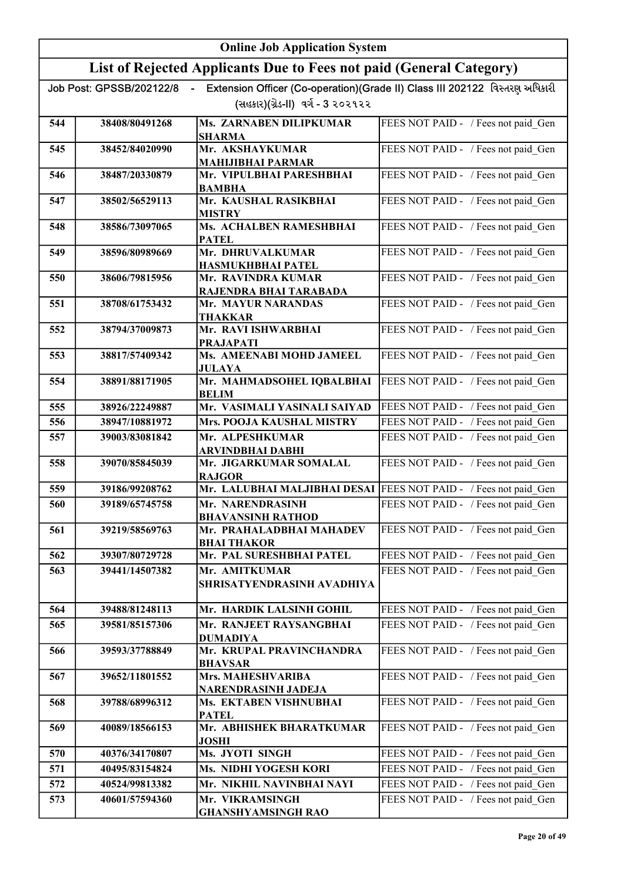|     | <b>Online Job Application System</b> |                                                                     |                                                                              |
|-----|--------------------------------------|---------------------------------------------------------------------|------------------------------------------------------------------------------|
|     |                                      | List of Rejected Applicants Due to Fees not paid (General Category) |                                                                              |
|     | Job Post: GPSSB/202122/8             |                                                                     | Extension Officer (Co-operation) (Grade II) Class III 202122 વિસ્તરણ અધિકારી |
|     |                                      | (સહકાર)(ગ્રેડ-II) વર્ગ - 3 ૨૦૨૧૨૨                                   |                                                                              |
| 544 | 38408/80491268                       | Ms. ZARNABEN DILIPKUMAR<br><b>SHARMA</b>                            | FEES NOT PAID - / Fees not paid Gen                                          |
| 545 | 38452/84020990                       | Mr. AKSHAYKUMAR                                                     | FEES NOT PAID - / Fees not paid Gen                                          |
|     |                                      | <b>MAHIJIBHAI PARMAR</b>                                            |                                                                              |
| 546 | 38487/20330879                       | Mr. VIPULBHAI PARESHBHAI<br><b>BAMBHA</b>                           | FEES NOT PAID - / Fees not paid Gen                                          |
| 547 | 38502/56529113                       | Mr. KAUSHAL RASIKBHAI<br><b>MISTRY</b>                              | FEES NOT PAID - / Fees not paid Gen                                          |
| 548 | 38586/73097065                       | Ms. ACHALBEN RAMESHBHAI<br><b>PATEL</b>                             | FEES NOT PAID - / Fees not paid Gen                                          |
| 549 | 38596/80989669                       | Mr. DHRUVALKUMAR                                                    | FEES NOT PAID - / Fees not paid Gen                                          |
| 550 | 38606/79815956                       | <b>HASMUKHBHAI PATEL</b><br>Mr. RAVINDRA KUMAR                      | FEES NOT PAID - / Fees not paid Gen                                          |
|     |                                      | RAJENDRA BHAI TARABADA                                              |                                                                              |
| 551 | 38708/61753432                       | Mr. MAYUR NARANDAS<br><b>THAKKAR</b>                                | FEES NOT PAID - / Fees not paid Gen                                          |
| 552 | 38794/37009873                       | Mr. RAVI ISHWARBHAI<br><b>PRAJAPATI</b>                             | FEES NOT PAID - / Fees not paid Gen                                          |
| 553 | 38817/57409342                       | Ms. AMEENABI MOHD JAMEEL                                            | FEES NOT PAID - / Fees not paid Gen                                          |
| 554 | 38891/88171905                       | <b>JULAYA</b><br>Mr. MAHMADSOHEL IQBALBHAI<br><b>BELIM</b>          | FEES NOT PAID - / Fees not paid Gen                                          |
| 555 | 38926/22249887                       | Mr. VASIMALI YASINALI SAIYAD                                        | FEES NOT PAID - / Fees not paid Gen                                          |
| 556 | 38947/10881972                       | Mrs. POOJA KAUSHAL MISTRY                                           | FEES NOT PAID - / Fees not paid Gen                                          |
| 557 | 39003/83081842                       | Mr. ALPESHKUMAR<br>ARVINDBHAI DABHI                                 | FEES NOT PAID - / Fees not paid Gen                                          |
| 558 | 39070/85845039                       | Mr. JIGARKUMAR SOMALAL<br><b>RAJGOR</b>                             | FEES NOT PAID - / Fees not paid Gen                                          |
| 559 | 39186/99208762                       | Mr. LALUBHAI MALJIBHAI DESAI FEES NOT PAID - / Fees not paid Gen    |                                                                              |
| 560 | 39189/65745758                       | Mr. NARENDRASINH<br><b>BHAVANSINH RATHOD</b>                        | FEES NOT PAID - / Fees not paid_Gen                                          |
| 561 | 39219/58569763                       | Mr. PRAHALADBHAI MAHADEV<br><b>BHAI THAKOR</b>                      | FEES NOT PAID - / Fees not paid Gen                                          |
| 562 | 39307/80729728                       | Mr. PAL SURESHBHAI PATEL                                            | FEES NOT PAID - / Fees not paid Gen                                          |
| 563 | 39441/14507382                       | Mr. AMITKUMAR<br>SHRISATYENDRASINH AVADHIYA                         | FEES NOT PAID - / Fees not paid Gen                                          |
| 564 | 39488/81248113                       | Mr. HARDIK LALSINH GOHIL                                            | FEES NOT PAID - / Fees not paid Gen                                          |
| 565 | 39581/85157306                       | Mr. RANJEET RAYSANGBHAI<br><b>DUMADIYA</b>                          | FEES NOT PAID - / Fees not paid Gen                                          |
| 566 | 39593/37788849                       | Mr. KRUPAL PRAVINCHANDRA<br><b>BHAVSAR</b>                          | FEES NOT PAID - / Fees not paid_Gen                                          |
| 567 | 39652/11801552                       | Mrs. MAHESHVARIBA<br>NARENDRASINH JADEJA                            | FEES NOT PAID - / Fees not paid_Gen                                          |
| 568 | 39788/68996312                       | Ms. EKTABEN VISHNUBHAI<br><b>PATEL</b>                              | FEES NOT PAID - / Fees not paid Gen                                          |
| 569 | 40089/18566153                       | Mr. ABHISHEK BHARATKUMAR<br><b>JOSHI</b>                            | FEES NOT PAID - / Fees not paid Gen                                          |
| 570 | 40376/34170807                       | Ms. JYOTI SINGH                                                     | FEES NOT PAID - / Fees not paid Gen                                          |
| 571 | 40495/83154824                       | Ms. NIDHI YOGESH KORI                                               | FEES NOT PAID - / Fees not paid Gen                                          |
| 572 | 40524/99813382                       | Mr. NIKHIL NAVINBHAI NAYI                                           | FEES NOT PAID - / Fees not paid Gen                                          |
| 573 | 40601/57594360                       | Mr. VIKRAMSINGH                                                     | FEES NOT PAID - / Fees not paid Gen                                          |
|     |                                      | <b>GHANSHYAMSINGH RAO</b>                                           |                                                                              |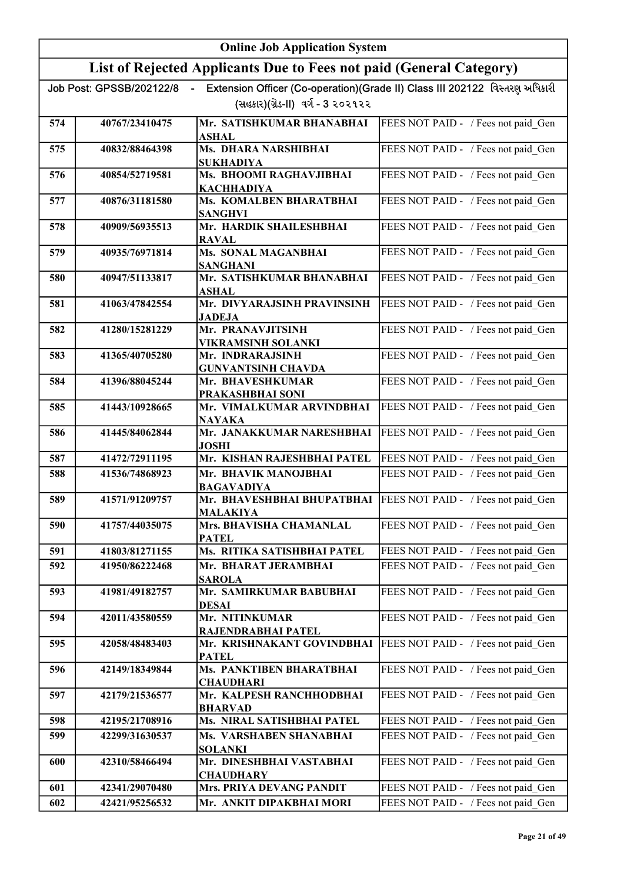|     | <b>Online Job Application System</b> |                                                                                     |                                                                             |
|-----|--------------------------------------|-------------------------------------------------------------------------------------|-----------------------------------------------------------------------------|
|     |                                      | List of Rejected Applicants Due to Fees not paid (General Category)                 |                                                                             |
|     | Job Post: GPSSB/202122/8             | $\sim$                                                                              | Extension Officer (Co-operation)(Grade II) Class III 202122 વિસ્તરણ અધિકારી |
|     |                                      | (સહકાર)(ગ્રેડ-II) વર્ગ - 3 ૨૦૨૧૨૨                                                   |                                                                             |
| 574 | 40767/23410475                       | Mr. SATISHKUMAR BHANABHAI<br>ASHAL                                                  | FEES NOT PAID - / Fees not paid Gen                                         |
| 575 | 40832/88464398                       | Ms. DHARA NARSHIBHAI                                                                | FEES NOT PAID - / Fees not paid Gen                                         |
|     |                                      | <b>SUKHADIYA</b>                                                                    |                                                                             |
| 576 | 40854/52719581                       | Ms. BHOOMI RAGHAVJIBHAI<br><b>KACHHADIYA</b>                                        | FEES NOT PAID - / Fees not paid Gen                                         |
| 577 | 40876/31181580                       | Ms. KOMALBEN BHARATBHAI<br><b>SANGHVI</b>                                           | FEES NOT PAID - / Fees not paid Gen                                         |
| 578 | 40909/56935513                       | Mr. HARDIK SHAILESHBHAI                                                             | FEES NOT PAID - / Fees not paid Gen                                         |
|     | 40935/76971814                       | <b>RAVAL</b><br>Ms. SONAL MAGANBHAI                                                 | FEES NOT PAID - / Fees not paid Gen                                         |
| 579 |                                      | <b>SANGHANI</b>                                                                     |                                                                             |
| 580 | 40947/51133817                       | Mr. SATISHKUMAR BHANABHAI<br><b>ASHAL</b>                                           | FEES NOT PAID - / Fees not paid Gen                                         |
| 581 | 41063/47842554                       | Mr. DIVYARAJSINH PRAVINSINH<br><b>JADEJA</b>                                        | FEES NOT PAID - / Fees not paid_Gen                                         |
| 582 | 41280/15281229                       | Mr. PRANAVJITSINH                                                                   | FEES NOT PAID - / Fees not paid Gen                                         |
|     | 41365/40705280                       | <b>VIKRAMSINH SOLANKI</b>                                                           |                                                                             |
| 583 |                                      | Mr. INDRARAJSINH<br><b>GUNVANTSINH CHAVDA</b>                                       | FEES NOT PAID - / Fees not paid_Gen                                         |
| 584 | 41396/88045244                       | Mr. BHAVESHKUMAR                                                                    | FEES NOT PAID - / Fees not paid Gen                                         |
|     |                                      | PRAKASHBHAI SONI<br>Mr. VIMALKUMAR ARVINDBHAI                                       |                                                                             |
| 585 | 41443/10928665                       | <b>NAYAKA</b>                                                                       | FEES NOT PAID - / Fees not paid_Gen                                         |
| 586 | 41445/84062844                       | Mr. JANAKKUMAR NARESHBHAI<br><b>JOSHI</b>                                           | FEES NOT PAID - / Fees not paid_Gen                                         |
| 587 | 41472/72911195                       | Mr. KISHAN RAJESHBHAI PATEL                                                         | FEES NOT PAID - / Fees not paid Gen                                         |
| 588 | 41536/74868923                       | Mr. BHAVIK MANOJBHAI<br><b>BAGAVADIYA</b>                                           | FEES NOT PAID - / Fees not paid Gen                                         |
| 589 | 41571/91209757                       | Mr. BHAVESHBHAI BHUPATBHAI   FEES NOT PAID - / Fees not paid Gen<br><b>MALAKIYA</b> |                                                                             |
| 590 | 41757/44035075                       | Mrs. BHAVISHA CHAMANLAL<br><b>PATEL</b>                                             | FEES NOT PAID - / Fees not paid Gen                                         |
| 591 | 41803/81271155                       | Ms. RITIKA SATISHBHAI PATEL                                                         | FEES NOT PAID - / Fees not paid Gen                                         |
| 592 | 41950/86222468                       | Mr. BHARAT JERAMBHAI<br><b>SAROLA</b>                                               | FEES NOT PAID - / Fees not paid Gen                                         |
| 593 | 41981/49182757                       | Mr. SAMIRKUMAR BABUBHAI<br><b>DESAI</b>                                             | FEES NOT PAID - / Fees not paid Gen                                         |
| 594 | 42011/43580559                       | Mr. NITINKUMAR                                                                      | FEES NOT PAID - / Fees not paid Gen                                         |
|     |                                      | RAJENDRABHAI PATEL                                                                  |                                                                             |
| 595 | 42058/48483403                       | Mr. KRISHNAKANT GOVINDBHAI<br><b>PATEL</b>                                          | FEES NOT PAID - / Fees not paid Gen                                         |
| 596 | 42149/18349844                       | Ms. PANKTIBEN BHARATBHAI<br><b>CHAUDHARI</b>                                        | FEES NOT PAID - / Fees not paid Gen                                         |
| 597 | 42179/21536577                       | Mr. KALPESH RANCHHODBHAI<br><b>BHARVAD</b>                                          | FEES NOT PAID - / Fees not paid Gen                                         |
| 598 | 42195/21708916                       | Ms. NIRAL SATISHBHAI PATEL                                                          | FEES NOT PAID - / Fees not paid_Gen                                         |
| 599 | 42299/31630537                       | Ms. VARSHABEN SHANABHAI<br><b>SOLANKI</b>                                           | FEES NOT PAID - / Fees not paid Gen                                         |
| 600 | 42310/58466494                       | Mr. DINESHBHAI VASTABHAI<br><b>CHAUDHARY</b>                                        | FEES NOT PAID - / Fees not paid Gen                                         |
| 601 | 42341/29070480                       | <b>Mrs. PRIYA DEVANG PANDIT</b>                                                     | FEES NOT PAID - / Fees not paid Gen                                         |
| 602 | 42421/95256532                       | Mr. ANKIT DIPAKBHAI MORI                                                            | FEES NOT PAID - / Fees not paid Gen                                         |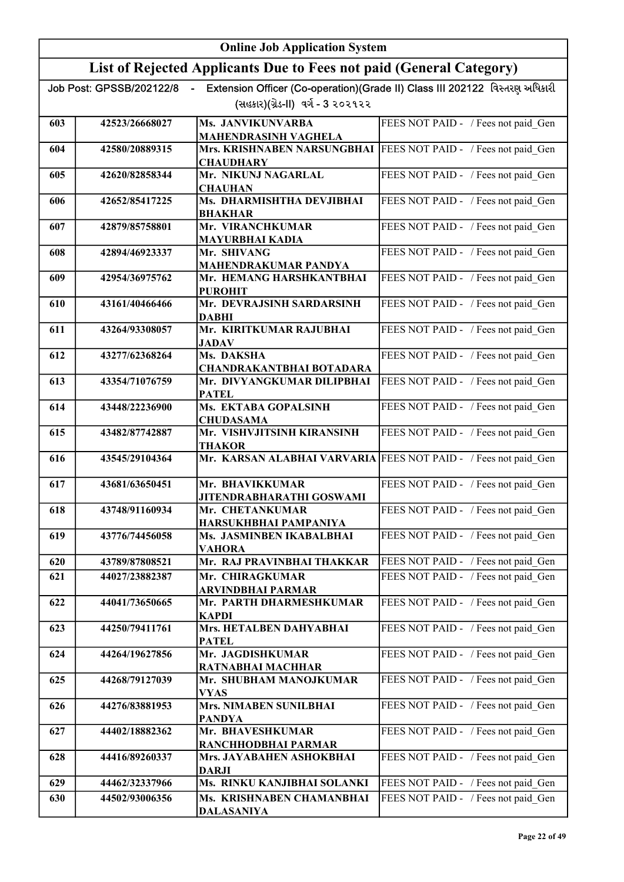|     |                          | <b>Online Job Application System</b>                                                             |                                                                             |
|-----|--------------------------|--------------------------------------------------------------------------------------------------|-----------------------------------------------------------------------------|
|     |                          | List of Rejected Applicants Due to Fees not paid (General Category)                              |                                                                             |
|     | Job Post: GPSSB/202122/8 |                                                                                                  | Extension Officer (Co-operation)(Grade II) Class III 202122 વિસ્તરણ અધિકારી |
|     |                          | (સહકાર)(ગ્રેડ-II) વર્ગ - 3 ૨૦૨૧૨૨                                                                |                                                                             |
| 603 | 42523/26668027           | Ms. JANVIKUNVARBA                                                                                | FEES NOT PAID - / Fees not paid Gen                                         |
| 604 | 42580/20889315           | <b>MAHENDRASINH VAGHELA</b><br>Mrs. KRISHNABEN NARSUNGBHAI   FEES NOT PAID - / Fees not paid Gen |                                                                             |
|     |                          | <b>CHAUDHARY</b>                                                                                 |                                                                             |
| 605 | 42620/82858344           | Mr. NIKUNJ NAGARLAL<br><b>CHAUHAN</b>                                                            | FEES NOT PAID - / Fees not paid Gen                                         |
| 606 | 42652/85417225           | Ms. DHARMISHTHA DEVJIBHAI                                                                        | FEES NOT PAID - / Fees not paid Gen                                         |
| 607 | 42879/85758801           | <b>BHAKHAR</b><br>Mr. VIRANCHKUMAR                                                               | FEES NOT PAID - / Fees not paid Gen                                         |
|     |                          | MAYURBHAI KADIA                                                                                  |                                                                             |
| 608 | 42894/46923337           | Mr. SHIVANG<br><b>MAHENDRAKUMAR PANDYA</b>                                                       | FEES NOT PAID - / Fees not paid Gen                                         |
| 609 | 42954/36975762           | Mr. HEMANG HARSHKANTBHAI                                                                         | FEES NOT PAID - / Fees not paid Gen                                         |
| 610 | 43161/40466466           | <b>PUROHIT</b><br>Mr. DEVRAJSINH SARDARSINH                                                      | FEES NOT PAID - / Fees not paid_Gen                                         |
|     |                          | <b>DABHI</b>                                                                                     |                                                                             |
| 611 | 43264/93308057           | Mr. KIRITKUMAR RAJUBHAI<br>JADAV                                                                 | FEES NOT PAID - / Fees not paid Gen                                         |
| 612 | 43277/62368264           | Ms. DAKSHA                                                                                       | FEES NOT PAID - / Fees not paid Gen                                         |
| 613 | 43354/71076759           | <b>CHANDRAKANTBHAI BOTADARA</b><br>Mr. DIVYANGKUMAR DILIPBHAI                                    | FEES NOT PAID - / Fees not paid Gen                                         |
|     |                          | <b>PATEL</b>                                                                                     |                                                                             |
| 614 | 43448/22236900           | Ms. EKTABA GOPALSINH<br><b>CHUDASAMA</b>                                                         | FEES NOT PAID - / Fees not paid Gen                                         |
| 615 | 43482/87742887           | Mr. VISHVJITSINH KIRANSINH<br><b>THAKOR</b>                                                      | FEES NOT PAID - / Fees not paid_Gen                                         |
| 616 | 43545/29104364           | Mr. KARSAN ALABHAI VARVARIA                                                                      | FEES NOT PAID - / Fees not paid Gen                                         |
| 617 | 43681/63650451           | Mr. BHAVIKKUMAR<br><b>JITENDRABHARATHI GOSWAMI</b>                                               | FEES NOT PAID - / Fees not paid Gen                                         |
| 618 | 43748/91160934           | <b>Mr. CHETANKUMAR</b><br>HARSUKHBHAI PAMPANIYA                                                  | FEES NOT PAID - / Fees not paid Gen                                         |
| 619 | 43776/74456058           | Ms. JASMINBEN IKABALBHAI<br><b>VAHORA</b>                                                        | FEES NOT PAID - / Fees not paid Gen                                         |
| 620 | 43789/87808521           | Mr. RAJ PRAVINBHAI THAKKAR                                                                       | FEES NOT PAID - / Fees not paid_Gen                                         |
| 621 | 44027/23882387           | Mr. CHIRAGKUMAR                                                                                  | FEES NOT PAID - / Fees not paid Gen                                         |
| 622 | 44041/73650665           | ARVINDBHAI PARMAR<br>Mr. PARTH DHARMESHKUMAR                                                     | FEES NOT PAID - / Fees not paid Gen                                         |
| 623 | 44250/79411761           | <b>KAPDI</b><br>Mrs. HETALBEN DAHYABHAI                                                          | FEES NOT PAID - / Fees not paid Gen                                         |
|     |                          | <b>PATEL</b>                                                                                     |                                                                             |
| 624 | 44264/19627856           | Mr. JAGDISHKUMAR<br>RATNABHAI MACHHAR                                                            | FEES NOT PAID - / Fees not paid_Gen                                         |
| 625 | 44268/79127039           | Mr. SHUBHAM MANOJKUMAR                                                                           | FEES NOT PAID - / Fees not paid_Gen                                         |
| 626 | 44276/83881953           | <b>VYAS</b><br><b>Mrs. NIMABEN SUNILBHAI</b>                                                     | FEES NOT PAID - / Fees not paid_Gen                                         |
|     |                          | <b>PANDYA</b>                                                                                    |                                                                             |
| 627 | 44402/18882362           | Mr. BHAVESHKUMAR<br>RANCHHODBHAI PARMAR                                                          | FEES NOT PAID - / Fees not paid Gen                                         |
| 628 | 44416/89260337           | Mrs. JAYABAHEN ASHOKBHAI<br><b>DARJI</b>                                                         | FEES NOT PAID - / Fees not paid Gen                                         |
| 629 | 44462/32337966           | Ms. RINKU KANJIBHAI SOLANKI                                                                      | FEES NOT PAID - / Fees not paid_Gen                                         |
| 630 | 44502/93006356           | Ms. KRISHNABEN CHAMANBHAI<br><b>DALASANIYA</b>                                                   | FEES NOT PAID - / Fees not paid Gen                                         |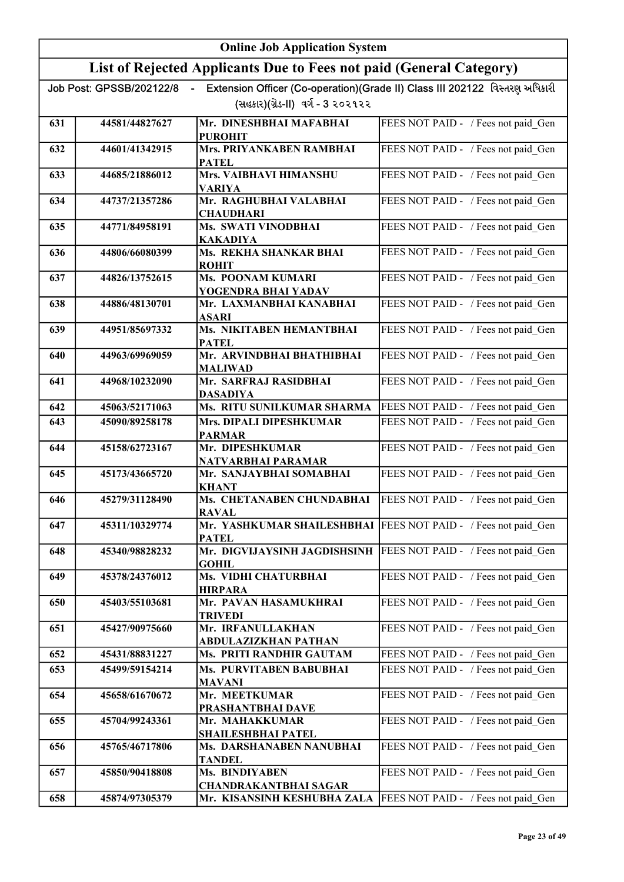|     | <b>Online Job Application System</b> |                                                                     |                                                                             |
|-----|--------------------------------------|---------------------------------------------------------------------|-----------------------------------------------------------------------------|
|     |                                      | List of Rejected Applicants Due to Fees not paid (General Category) |                                                                             |
|     | Job Post: GPSSB/202122/8             | $\sim$ 10 $\,$                                                      | Extension Officer (Co-operation)(Grade II) Class III 202122 વિસ્તરણ અધિકારી |
|     |                                      | (સહકાર)(ગ્રેડ-II) વર્ગ - 3 ૨૦૨૧૨૨                                   |                                                                             |
| 631 | 44581/44827627                       | Mr. DINESHBHAI MAFABHAI                                             | FEES NOT PAID - / Fees not paid Gen                                         |
| 632 | 44601/41342915                       | <b>PUROHIT</b><br>Mrs. PRIYANKABEN RAMBHAI                          | FEES NOT PAID - / Fees not paid Gen                                         |
|     |                                      | <b>PATEL</b>                                                        |                                                                             |
| 633 | 44685/21886012                       | Mrs. VAIBHAVI HIMANSHU<br><b>VARIYA</b>                             | FEES NOT PAID - / Fees not paid Gen                                         |
| 634 | 44737/21357286                       | Mr. RAGHUBHAI VALABHAI<br><b>CHAUDHARI</b>                          | FEES NOT PAID - / Fees not paid Gen                                         |
| 635 | 44771/84958191                       | Ms. SWATI VINODBHAI<br><b>KAKADIYA</b>                              | FEES NOT PAID - / Fees not paid Gen                                         |
| 636 | 44806/66080399                       | Ms. REKHA SHANKAR BHAI<br><b>ROHIT</b>                              | FEES NOT PAID - / Fees not paid Gen                                         |
| 637 | 44826/13752615                       | Ms. POONAM KUMARI<br>YOGENDRA BHAI YADAV                            | FEES NOT PAID - / Fees not paid Gen                                         |
| 638 | 44886/48130701                       | Mr. LAXMANBHAI KANABHAI<br><b>ASARI</b>                             | FEES NOT PAID - / Fees not paid_Gen                                         |
| 639 | 44951/85697332                       | <b>Ms. NIKITABEN HEMANTBHAI</b><br><b>PATEL</b>                     | FEES NOT PAID - / Fees not paid Gen                                         |
| 640 | 44963/69969059                       | Mr. ARVINDBHAI BHATHIBHAI<br><b>MALIWAD</b>                         | FEES NOT PAID - / Fees not paid_Gen                                         |
| 641 | 44968/10232090                       | Mr. SARFRAJ RASIDBHAI<br><b>DASADIYA</b>                            | FEES NOT PAID - / Fees not paid Gen                                         |
| 642 | 45063/52171063                       | Ms. RITU SUNILKUMAR SHARMA                                          | FEES NOT PAID - / Fees not paid Gen                                         |
| 643 | 45090/89258178                       | Mrs. DIPALI DIPESHKUMAR<br><b>PARMAR</b>                            | FEES NOT PAID - / Fees not paid Gen                                         |
| 644 | 45158/62723167                       | Mr. DIPESHKUMAR<br>NATVARBHAI PARAMAR                               | FEES NOT PAID - / Fees not paid Gen                                         |
| 645 | 45173/43665720                       | Mr. SANJAYBHAI SOMABHAI<br><b>KHANT</b>                             | FEES NOT PAID - / Fees not paid Gen                                         |
| 646 | 45279/31128490                       | Ms. CHETANABEN CHUNDABHAI<br><b>RAVAL</b>                           | FEES NOT PAID - / Fees not paid_Gen                                         |
| 647 | 45311/10329774                       | <b>PATEL</b>                                                        | Mr. YASHKUMAR SHAILESHBHAI FEES NOT PAID - / Fees not paid Gen              |
| 648 | 45340/98828232                       | Mr. DIGVIJAYSINH JAGDISHSINH<br><b>GOHIL</b>                        | FEES NOT PAID - / Fees not paid Gen                                         |
| 649 | 45378/24376012                       | Ms. VIDHI CHATURBHAI<br><b>HIRPARA</b>                              | FEES NOT PAID - / Fees not paid Gen                                         |
| 650 | 45403/55103681                       | Mr. PAVAN HASAMUKHRAI<br><b>TRIVEDI</b>                             | FEES NOT PAID - / Fees not paid_Gen                                         |
| 651 | 45427/90975660                       | Mr. IRFANULLAKHAN<br>ABDULAZIZKHAN PATHAN                           | FEES NOT PAID - / Fees not paid Gen                                         |
| 652 | 45431/88831227                       | Ms. PRITI RANDHIR GAUTAM                                            | FEES NOT PAID - / Fees not paid Gen                                         |
| 653 | 45499/59154214                       | Ms. PURVITABEN BABUBHAI<br><b>MAVANI</b>                            | FEES NOT PAID - / Fees not paid Gen                                         |
| 654 | 45658/61670672                       | Mr. MEETKUMAR<br>PRASHANTBHAI DAVE                                  | FEES NOT PAID - / Fees not paid Gen                                         |
| 655 | 45704/99243361                       | Mr. MAHAKKUMAR<br><b>SHAILESHBHAI PATEL</b>                         | FEES NOT PAID - / Fees not paid Gen                                         |
| 656 | 45765/46717806                       | Ms. DARSHANABEN NANUBHAI<br><b>TANDEL</b>                           | FEES NOT PAID - / Fees not paid Gen                                         |
| 657 | 45850/90418808                       | Ms. BINDIYABEN                                                      | FEES NOT PAID - / Fees not paid Gen                                         |
|     |                                      | <b>CHANDRAKANTBHAI SAGAR</b>                                        |                                                                             |
| 658 | 45874/97305379                       | Mr. KISANSINH KESHUBHA ZALA                                         | FEES NOT PAID - / Fees not paid Gen                                         |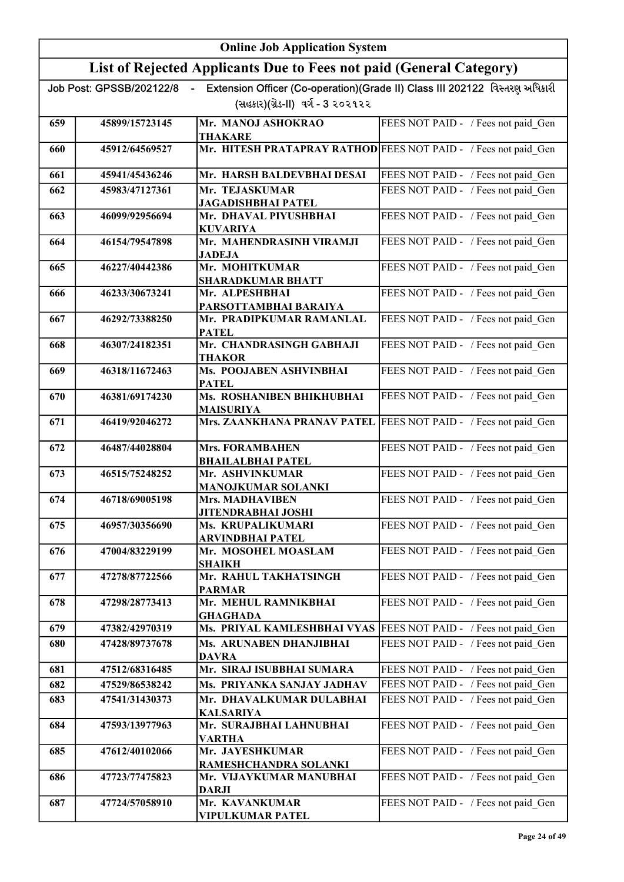|     | <b>Online Job Application System</b> |                                                                     |                                                                             |
|-----|--------------------------------------|---------------------------------------------------------------------|-----------------------------------------------------------------------------|
|     |                                      | List of Rejected Applicants Due to Fees not paid (General Category) |                                                                             |
|     | Job Post: GPSSB/202122/8             | $\sim$                                                              | Extension Officer (Co-operation)(Grade II) Class III 202122 વિસ્તરણ અધિકારી |
|     |                                      | (સહકાર)(ગ્રેડ-II) વર્ગ - 3 ૨૦૨૧૨૨                                   |                                                                             |
| 659 | 45899/15723145                       | Mr. MANOJ ASHOKRAO<br><b>THAKARE</b>                                | FEES NOT PAID - / Fees not paid Gen                                         |
| 660 | 45912/64569527                       | Mr. HITESH PRATAPRAY RATHOD FEES NOT PAID - / Fees not paid Gen     |                                                                             |
| 661 | 45941/45436246                       | Mr. HARSH BALDEVBHAI DESAI                                          | FEES NOT PAID - / Fees not paid Gen                                         |
| 662 | 45983/47127361                       | Mr. TEJASKUMAR<br><b>JAGADISHBHAI PATEL</b>                         | FEES NOT PAID - / Fees not paid Gen                                         |
| 663 | 46099/92956694                       | Mr. DHAVAL PIYUSHBHAI<br><b>KUVARIYA</b>                            | FEES NOT PAID - / Fees not paid Gen                                         |
| 664 | 46154/79547898                       | Mr. MAHENDRASINH VIRAMJI<br><b>JADEJA</b>                           | FEES NOT PAID - / Fees not paid Gen                                         |
| 665 | 46227/40442386                       | Mr. MOHITKUMAR<br><b>SHARADKUMAR BHATT</b>                          | FEES NOT PAID - / Fees not paid Gen                                         |
| 666 | 46233/30673241                       | Mr. ALPESHBHAI<br>PARSOTTAMBHAI BARAIYA                             | FEES NOT PAID - / Fees not paid Gen                                         |
| 667 | 46292/73388250                       | Mr. PRADIPKUMAR RAMANLAL<br><b>PATEL</b>                            | FEES NOT PAID - / Fees not paid Gen                                         |
| 668 | 46307/24182351                       | Mr. CHANDRASINGH GABHAJI<br><b>THAKOR</b>                           | FEES NOT PAID - / Fees not paid Gen                                         |
| 669 | 46318/11672463                       | Ms. POOJABEN ASHVINBHAI<br><b>PATEL</b>                             | FEES NOT PAID - / Fees not paid Gen                                         |
| 670 | 46381/69174230                       | Ms. ROSHANIBEN BHIKHUBHAI<br><b>MAISURIYA</b>                       | FEES NOT PAID - / Fees not paid Gen                                         |
| 671 | 46419/92046272                       | Mrs. ZAANKHANA PRANAV PATEL                                         | FEES NOT PAID - / Fees not paid_Gen                                         |
| 672 | 46487/44028804                       | <b>Mrs. FORAMBAHEN</b><br><b>BHAILALBHAI PATEL</b>                  | FEES NOT PAID - / Fees not paid Gen                                         |
| 673 | 46515/75248252                       | Mr. ASHVINKUMAR<br><b>MANOJKUMAR SOLANKI</b>                        | FEES NOT PAID - / Fees not paid Gen                                         |
| 674 | 46718/69005198                       | <b>Mrs. MADHAVIBEN</b><br><b>JITENDRABHAI JOSHI</b>                 | FEES NOT PAID - / Fees not paid Gen                                         |
| 675 | 46957/30356690                       | Ms. KRUPALIKUMARI<br><b>ARVINDBHAI PATEL</b>                        | FEES NOT PAID - / Fees not paid Gen                                         |
| 676 | 47004/83229199                       | Mr. MOSOHEL MOASLAM<br><b>SHAIKH</b>                                | FEES NOT PAID - / Fees not paid Gen                                         |
| 677 | 47278/87722566                       | Mr. RAHUL TAKHATSINGH<br><b>PARMAR</b>                              | FEES NOT PAID - / Fees not paid_Gen                                         |
| 678 | 47298/28773413                       | Mr. MEHUL RAMNIKBHAI<br><b>GHAGHADA</b>                             | FEES NOT PAID - / Fees not paid_Gen                                         |
| 679 | 47382/42970319                       | Ms. PRIYAL KAMLESHBHAI VYAS                                         | FEES NOT PAID - / Fees not paid Gen                                         |
| 680 | 47428/89737678                       | Ms. ARUNABEN DHANJIBHAI<br><b>DAVRA</b>                             | FEES NOT PAID - / Fees not paid Gen                                         |
| 681 | 47512/68316485                       | Mr. SIRAJ ISUBBHAI SUMARA                                           | FEES NOT PAID - / Fees not paid Gen                                         |
| 682 | 47529/86538242                       | Ms. PRIYANKA SANJAY JADHAV                                          | FEES NOT PAID - / Fees not paid Gen                                         |
| 683 | 47541/31430373                       | Mr. DHAVALKUMAR DULABHAI<br><b>KALSARIYA</b>                        | FEES NOT PAID - / Fees not paid Gen                                         |
| 684 | 47593/13977963                       | Mr. SURAJBHAI LAHNUBHAI<br><b>VARTHA</b>                            | FEES NOT PAID - / Fees not paid Gen                                         |
| 685 | 47612/40102066                       | Mr. JAYESHKUMAR<br>RAMESHCHANDRA SOLANKI                            | FEES NOT PAID - / Fees not paid Gen                                         |
| 686 | 47723/77475823                       | Mr. VIJAYKUMAR MANUBHAI<br><b>DARJI</b>                             | FEES NOT PAID - / Fees not paid_Gen                                         |
| 687 | 47724/57058910                       | Mr. KAVANKUMAR<br>VIPULKUMAR PATEL                                  | FEES NOT PAID - / Fees not paid Gen                                         |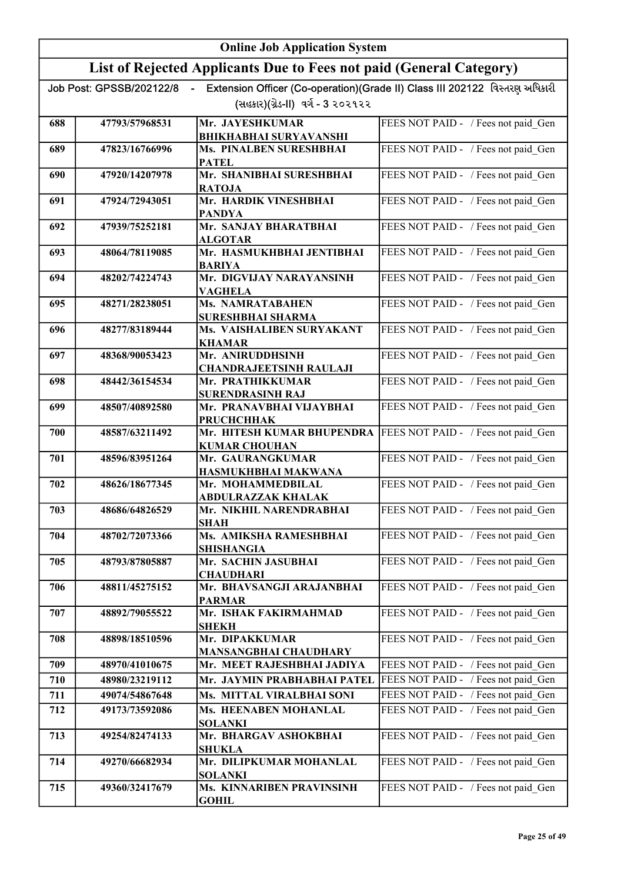|     | <b>Online Job Application System</b> |                                                                     |                                                                             |
|-----|--------------------------------------|---------------------------------------------------------------------|-----------------------------------------------------------------------------|
|     |                                      | List of Rejected Applicants Due to Fees not paid (General Category) |                                                                             |
|     | Job Post: GPSSB/202122/8             | $\sim$                                                              | Extension Officer (Co-operation)(Grade II) Class III 202122 વિસ્તરણ અધિકારી |
|     |                                      | (સહકાર)(ગ્રેડ-II) વર્ગ - 3 ૨૦૨૧૨૨                                   |                                                                             |
| 688 | 47793/57968531                       | Mr. JAYESHKUMAR                                                     | FEES NOT PAID - / Fees not paid Gen                                         |
| 689 | 47823/16766996                       | <b>BHIKHABHAI SURYAVANSHI</b><br>Ms. PINALBEN SURESHBHAI            | FEES NOT PAID - / Fees not paid Gen                                         |
|     |                                      | <b>PATEL</b>                                                        |                                                                             |
| 690 | 47920/14207978                       | Mr. SHANIBHAI SURESHBHAI<br><b>RATOJA</b>                           | FEES NOT PAID - / Fees not paid Gen                                         |
| 691 | 47924/72943051                       | Mr. HARDIK VINESHBHAI<br><b>PANDYA</b>                              | FEES NOT PAID - / Fees not paid Gen                                         |
| 692 | 47939/75252181                       | Mr. SANJAY BHARATBHAI                                               | FEES NOT PAID - / Fees not paid Gen                                         |
| 693 | 48064/78119085                       | <b>ALGOTAR</b><br>Mr. HASMUKHBHAI JENTIBHAI                         | FEES NOT PAID - / Fees not paid Gen                                         |
|     |                                      | <b>BARIYA</b>                                                       |                                                                             |
| 694 | 48202/74224743                       | Mr. DIGVIJAY NARAYANSINH<br><b>VAGHELA</b>                          | FEES NOT PAID - / Fees not paid Gen                                         |
| 695 | 48271/28238051                       | <b>Ms. NAMRATABAHEN</b><br><b>SURESHBHAI SHARMA</b>                 | FEES NOT PAID - / Fees not paid_Gen                                         |
| 696 | 48277/83189444                       | Ms. VAISHALIBEN SURYAKANT<br><b>KHAMAR</b>                          | FEES NOT PAID - / Fees not paid Gen                                         |
| 697 | 48368/90053423                       | Mr. ANIRUDDHSINH                                                    | FEES NOT PAID - / Fees not paid Gen                                         |
| 698 | 48442/36154534                       | <b>CHANDRAJEETSINH RAULAJI</b><br>Mr. PRATHIKKUMAR                  | FEES NOT PAID - / Fees not paid Gen                                         |
|     |                                      | <b>SURENDRASINH RAJ</b>                                             |                                                                             |
| 699 | 48507/40892580                       | Mr. PRANAVBHAI VIJAYBHAI<br><b>PRUCHCHHAK</b>                       | FEES NOT PAID - / Fees not paid_Gen                                         |
| 700 | 48587/63211492                       | Mr. HITESH KUMAR BHUPENDRA<br><b>KUMAR CHOUHAN</b>                  | FEES NOT PAID - / Fees not paid_Gen                                         |
| 701 | 48596/83951264                       | Mr. GAURANGKUMAR                                                    | FEES NOT PAID - / Fees not paid Gen                                         |
| 702 | 48626/18677345                       | HASMUKHBHAI MAKWANA<br>Mr. MOHAMMEDBILAL                            | FEES NOT PAID - / Fees not paid Gen                                         |
|     |                                      | ABDULRAZZAK KHALAK                                                  |                                                                             |
| 703 | 48686/64826529                       | Mr.  NIKHIL NARENDRABHAI<br>SHAH                                    | FEES NOT PAID - / Fees not paid_Gen                                         |
| 704 | 48702/72073366                       | Ms. AMIKSHA RAMESHBHAI<br><b>SHISHANGIA</b>                         | FEES NOT PAID - / Fees not paid Gen                                         |
| 705 | 48793/87805887                       | Mr. SACHIN JASUBHAI<br><b>CHAUDHARI</b>                             | FEES NOT PAID - / Fees not paid Gen                                         |
| 706 | 48811/45275152                       | Mr. BHAVSANGJI ARAJANBHAI<br><b>PARMAR</b>                          | FEES NOT PAID - / Fees not paid Gen                                         |
| 707 | 48892/79055522                       | Mr. ISHAK FAKIRMAHMAD                                               | FEES NOT PAID - / Fees not paid_Gen                                         |
| 708 | 48898/18510596                       | <b>SHEKH</b><br>Mr. DIPAKKUMAR                                      | FEES NOT PAID - / Fees not paid Gen                                         |
|     |                                      | MANSANGBHAI CHAUDHARY                                               |                                                                             |
| 709 | 48970/41010675                       | Mr. MEET RAJESHBHAI JADIYA                                          | FEES NOT PAID - / Fees not paid Gen                                         |
| 710 | 48980/23219112                       | Mr. JAYMIN PRABHABHAI PATEL                                         | FEES NOT PAID - / Fees not paid Gen                                         |
| 711 | 49074/54867648                       | Ms. MITTAL VIRALBHAI SONI                                           | FEES NOT PAID - / Fees not paid Gen                                         |
| 712 | 49173/73592086                       | Ms. HEENABEN MOHANLAL<br><b>SOLANKI</b>                             | FEES NOT PAID - / Fees not paid Gen                                         |
| 713 | 49254/82474133                       | Mr. BHARGAV ASHOKBHAI<br><b>SHUKLA</b>                              | FEES NOT PAID - / Fees not paid Gen                                         |
| 714 | 49270/66682934                       | Mr. DILIPKUMAR MOHANLAL<br><b>SOLANKI</b>                           | FEES NOT PAID - / Fees not paid_Gen                                         |
| 715 | 49360/32417679                       | Ms. KINNARIBEN PRAVINSINH<br><b>GOHIL</b>                           | FEES NOT PAID - / Fees not paid Gen                                         |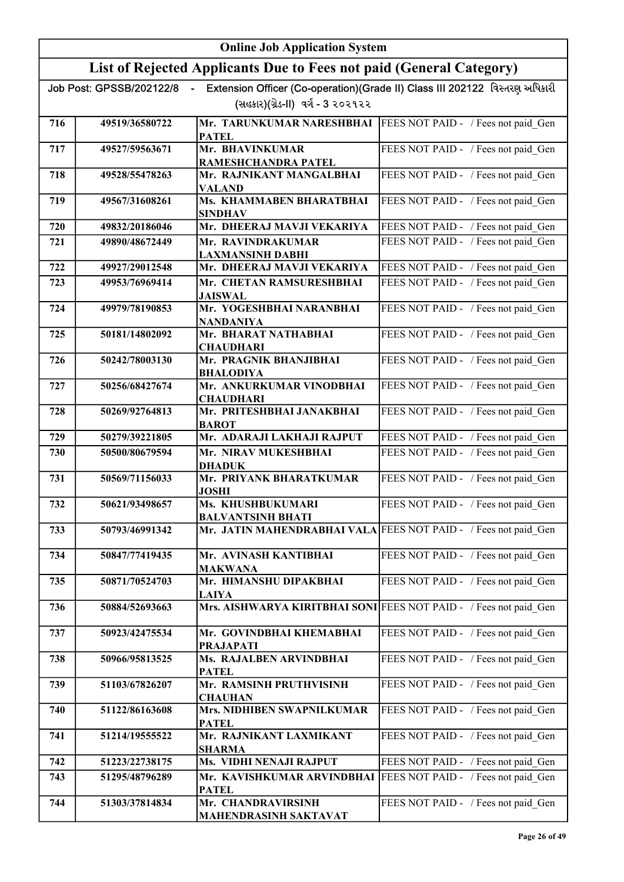|     | <b>Online Job Application System</b> |                                                                                  |                                                                             |
|-----|--------------------------------------|----------------------------------------------------------------------------------|-----------------------------------------------------------------------------|
|     |                                      | List of Rejected Applicants Due to Fees not paid (General Category)              |                                                                             |
|     | Job Post: GPSSB/202122/8             |                                                                                  | Extension Officer (Co-operation)(Grade II) Class III 202122 વિસ્તરણ અધિકારી |
|     |                                      | (સહકાર)(ગ્રેડ-II) વર્ગ - 3 ૨૦૨૧૨૨                                                |                                                                             |
| 716 | 49519/36580722                       | Mr. TARUNKUMAR NARESHBHAI<br><b>PATEL</b>                                        | FEES NOT PAID - / Fees not paid Gen                                         |
| 717 | 49527/59563671                       | Mr. BHAVINKUMAR                                                                  | FEES NOT PAID - / Fees not paid Gen                                         |
| 718 | 49528/55478263                       | RAMESHCHANDRA PATEL<br>Mr. RAJNIKANT MANGALBHAI                                  | FEES NOT PAID - / Fees not paid Gen                                         |
|     |                                      | <b>VALAND</b>                                                                    |                                                                             |
| 719 | 49567/31608261                       | Ms. KHAMMABEN BHARATBHAI<br><b>SINDHAV</b>                                       | FEES NOT PAID - / Fees not paid Gen                                         |
| 720 | 49832/20186046                       | Mr. DHEERAJ MAVJI VEKARIYA                                                       | FEES NOT PAID - / Fees not paid Gen                                         |
| 721 | 49890/48672449                       | Mr. RAVINDRAKUMAR<br><b>LAXMANSINH DABHI</b>                                     | FEES NOT PAID - / Fees not paid Gen                                         |
| 722 | 49927/29012548                       | Mr. DHEERAJ MAVJI VEKARIYA                                                       | FEES NOT PAID - / Fees not paid_Gen                                         |
| 723 | 49953/76969414                       | Mr. CHETAN RAMSURESHBHAI<br><b>JAISWAL</b>                                       | FEES NOT PAID - / Fees not paid Gen                                         |
| 724 | 49979/78190853                       | Mr. YOGESHBHAI NARANBHAI<br><b>NANDANIYA</b>                                     | FEES NOT PAID - / Fees not paid_Gen                                         |
| 725 | 50181/14802092                       | Mr. BHARAT NATHABHAI<br><b>CHAUDHARI</b>                                         | FEES NOT PAID - / Fees not paid Gen                                         |
| 726 | 50242/78003130                       | Mr. PRAGNIK BHANJIBHAI<br><b>BHALODIYA</b>                                       | FEES NOT PAID - / Fees not paid_Gen                                         |
| 727 | 50256/68427674                       | Mr. ANKURKUMAR VINODBHAI<br><b>CHAUDHARI</b>                                     | FEES NOT PAID - / Fees not paid Gen                                         |
| 728 | 50269/92764813                       | Mr. PRITESHBHAI JANAKBHAI<br><b>BAROT</b>                                        | FEES NOT PAID - / Fees not paid Gen                                         |
| 729 | 50279/39221805                       | Mr. ADARAJI LAKHAJI RAJPUT                                                       | FEES NOT PAID - / Fees not paid Gen                                         |
| 730 | 50500/80679594                       | Mr. NIRAV MUKESHBHAI<br><b>DHADUK</b>                                            | FEES NOT PAID - / Fees not paid Gen                                         |
| 731 | 50569/71156033                       | Mr. PRIYANK BHARATKUMAR<br><b>JOSHI</b>                                          | FEES NOT PAID - / Fees not paid_Gen                                         |
| 732 | 50621/93498657                       | Ms. KHUSHBUKUMARI<br><b>BALVANTSINH BHATI</b>                                    | FEES NOT PAID - / Fees not paid Gen                                         |
| 733 | 50793/46991342                       | Mr. JATIN MAHENDRABHAI VALA FEES NOT PAID - / Fees not paid Gen                  |                                                                             |
| 734 | 50847/77419435                       | Mr. AVINASH KANTIBHAI<br><b>MAKWANA</b>                                          | FEES NOT PAID - / Fees not paid Gen                                         |
| 735 | 50871/70524703                       | Mr. HIMANSHU DIPAKBHAI<br><b>LAIYA</b>                                           | FEES NOT PAID - / Fees not paid Gen                                         |
| 736 | 50884/52693663                       | Mrs. AISHWARYA KIRITBHAI SONI FEES NOT PAID - / Fees not paid Gen                |                                                                             |
| 737 | 50923/42475534                       | Mr. GOVINDBHAI KHEMABHAI<br><b>PRAJAPATI</b>                                     | FEES NOT PAID - / Fees not paid Gen                                         |
| 738 | 50966/95813525                       | Ms. RAJALBEN ARVINDBHAI<br><b>PATEL</b>                                          | FEES NOT PAID - / Fees not paid Gen                                         |
| 739 | 51103/67826207                       | Mr. RAMSINH PRUTHVISINH<br><b>CHAUHAN</b>                                        | FEES NOT PAID - / Fees not paid Gen                                         |
| 740 | 51122/86163608                       | Mrs. NIDHIBEN SWAPNILKUMAR<br><b>PATEL</b>                                       | FEES NOT PAID - / Fees not paid Gen                                         |
| 741 | 51214/19555522                       | Mr. RAJNIKANT LAXMIKANT<br><b>SHARMA</b>                                         | FEES NOT PAID - / Fees not paid_Gen                                         |
| 742 | 51223/22738175                       | Ms. VIDHI NENAJI RAJPUT                                                          | FEES NOT PAID - / Fees not paid_Gen                                         |
| 743 | 51295/48796289                       | Mr. KAVISHKUMAR ARVINDBHAI   FEES NOT PAID - / Fees not paid Gen<br><b>PATEL</b> |                                                                             |
| 744 | 51303/37814834                       | Mr. CHANDRAVIRSINH<br>MAHENDRASINH SAKTAVAT                                      | FEES NOT PAID - / Fees not paid_Gen                                         |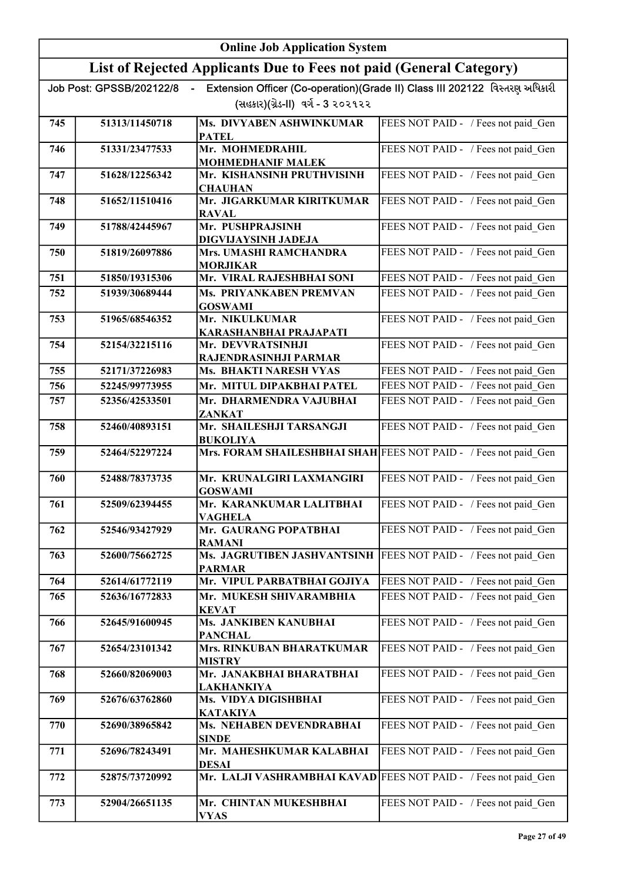|     | <b>Online Job Application System</b> |                                                                                 |                                                                             |
|-----|--------------------------------------|---------------------------------------------------------------------------------|-----------------------------------------------------------------------------|
|     |                                      | List of Rejected Applicants Due to Fees not paid (General Category)             |                                                                             |
|     | Job Post: GPSSB/202122/8             |                                                                                 | Extension Officer (Co-operation)(Grade II) Class III 202122 વિસ્તરણ અધિકારી |
|     |                                      | (સહકાર)(ગ્રેડ-II) વર્ગ - 3 ૨૦૨૧૨૨                                               |                                                                             |
| 745 | 51313/11450718                       | Ms. DIVYABEN ASHWINKUMAR<br><b>PATEL</b>                                        | FEES NOT PAID - / Fees not paid Gen                                         |
| 746 | 51331/23477533                       | Mr. MOHMEDRAHIL                                                                 | FEES NOT PAID - / Fees not paid Gen                                         |
|     |                                      | <b>MOHMEDHANIF MALEK</b>                                                        |                                                                             |
| 747 | 51628/12256342                       | Mr. KISHANSINH PRUTHVISINH<br><b>CHAUHAN</b>                                    | FEES NOT PAID - / Fees not paid Gen                                         |
| 748 | 51652/11510416                       | Mr. JIGARKUMAR KIRITKUMAR<br><b>RAVAL</b>                                       | FEES NOT PAID - / Fees not paid Gen                                         |
| 749 | 51788/42445967                       | Mr. PUSHPRAJSINH<br>DIGVIJAYSINH JADEJA                                         | FEES NOT PAID - / Fees not paid Gen                                         |
| 750 | 51819/26097886                       | <b>Mrs. UMASHI RAMCHANDRA</b><br><b>MORJIKAR</b>                                | FEES NOT PAID - / Fees not paid Gen                                         |
| 751 | 51850/19315306                       | Mr. VIRAL RAJESHBHAI SONI                                                       | FEES NOT PAID - / Fees not paid Gen                                         |
| 752 | 51939/30689444                       | Ms. PRIYANKABEN PREMVAN                                                         | FEES NOT PAID - / Fees not paid_Gen                                         |
|     |                                      | <b>GOSWAMI</b>                                                                  |                                                                             |
| 753 | 51965/68546352                       | Mr. NIKULKUMAR<br>KARASHANBHAI PRAJAPATI                                        | FEES NOT PAID - / Fees not paid_Gen                                         |
| 754 | 52154/32215116                       | Mr. DEVVRATSINHJI                                                               | FEES NOT PAID - / Fees not paid Gen                                         |
|     |                                      | RAJENDRASINHJI PARMAR                                                           |                                                                             |
| 755 | 52171/37226983                       | Ms. BHAKTI NARESH VYAS                                                          | FEES NOT PAID - / Fees not paid Gen                                         |
| 756 | 52245/99773955                       | Mr. MITUL DIPAKBHAI PATEL                                                       | FEES NOT PAID - / Fees not paid Gen                                         |
| 757 | 52356/42533501                       | Mr. DHARMENDRA VAJUBHAI<br>ZANKAT                                               | FEES NOT PAID - / Fees not paid Gen                                         |
| 758 | 52460/40893151                       | Mr. SHAILESHJI TARSANGJI<br><b>BUKOLIYA</b>                                     | FEES NOT PAID - / Fees not paid Gen                                         |
| 759 | 52464/52297224                       | Mrs. FORAM SHAILESHBHAI SHAH FEES NOT PAID - / Fees not paid Gen                |                                                                             |
| 760 | 52488/78373735                       | Mr. KRUNALGIRI LAXMANGIRI<br><b>GOSWAMI</b>                                     | FEES NOT PAID - / Fees not paid_Gen                                         |
| 761 | 52509/62394455                       | Mr. KARANKUMAR LALITBHAI<br><b>VAGHELA</b>                                      | FEES NOT PAID - / Fees not paid_Gen                                         |
| 762 | 52546/93427929                       | Mr. GAURANG POPATBHAI<br><b>RAMANI</b>                                          | FEES NOT PAID - / Fees not paid Gen                                         |
| 763 | 52600/75662725                       | Ms. JAGRUTIBEN JASHVANTSINH<br><b>PARMAR</b>                                    | FEES NOT PAID - / Fees not paid Gen                                         |
| 764 | 52614/61772119                       | Mr. VIPUL PARBATBHAI GOJIYA                                                     | FEES NOT PAID - / Fees not paid_Gen                                         |
| 765 | 52636/16772833                       | Mr. MUKESH SHIVARAMBHIA<br><b>KEVAT</b>                                         | FEES NOT PAID - / Fees not paid Gen                                         |
| 766 | 52645/91600945                       | Ms. JANKIBEN KANUBHAI<br><b>PANCHAL</b>                                         | FEES NOT PAID - / Fees not paid Gen                                         |
| 767 | 52654/23101342                       | Mrs. RINKUBAN BHARATKUMAR<br><b>MISTRY</b>                                      | FEES NOT PAID - / Fees not paid Gen                                         |
| 768 | 52660/82069003                       | Mr. JANAKBHAI BHARATBHAI                                                        | FEES NOT PAID - / Fees not paid Gen                                         |
| 769 | 52676/63762860                       | <b>LAKHANKIYA</b><br>Ms. VIDYA DIGISHBHAI<br><b>KATAKIYA</b>                    | FEES NOT PAID - / Fees not paid Gen                                         |
| 770 | 52690/38965842                       | Ms. NEHABEN DEVENDRABHAI<br><b>SINDE</b>                                        | FEES NOT PAID - / Fees not paid_Gen                                         |
| 771 | 52696/78243491                       | Mr. MAHESHKUMAR KALABHAI                                                        | FEES NOT PAID - / Fees not paid_Gen                                         |
| 772 | 52875/73720992                       | <b>DESAI</b><br>Mr. LALJI VASHRAMBHAI KAVAD FEES NOT PAID - / Fees not paid Gen |                                                                             |
| 773 | 52904/26651135                       | Mr. CHINTAN MUKESHBHAI<br><b>VYAS</b>                                           | FEES NOT PAID - / Fees not paid Gen                                         |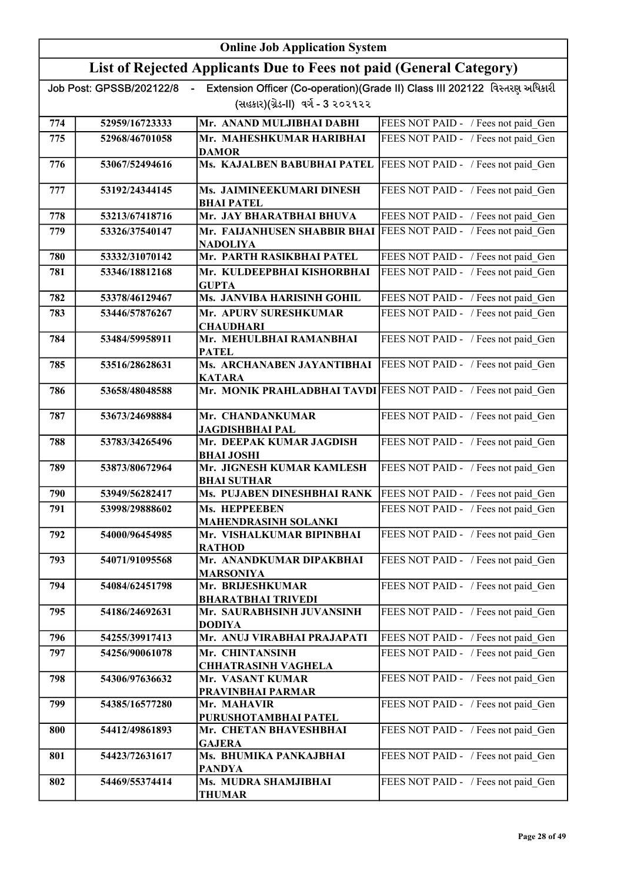|     | <b>Online Job Application System</b>       |                                                                     |                                                                             |
|-----|--------------------------------------------|---------------------------------------------------------------------|-----------------------------------------------------------------------------|
|     |                                            | List of Rejected Applicants Due to Fees not paid (General Category) |                                                                             |
|     | Job Post: GPSSB/202122/8<br>$\blacksquare$ |                                                                     | Extension Officer (Co-operation)(Grade II) Class III 202122 વિસ્તરણ અધિકારી |
|     |                                            | (સહકાર)(ગ્રેડ-II) વર્ગ - 3 ૨૦૨૧૨૨                                   |                                                                             |
| 774 | 52959/16723333                             | Mr. ANAND MULJIBHAI DABHI                                           | FEES NOT PAID - / Fees not paid Gen                                         |
| 775 | 52968/46701058                             | Mr. MAHESHKUMAR HARIBHAI<br><b>DAMOR</b>                            | FEES NOT PAID - / Fees not paid Gen                                         |
| 776 | 53067/52494616                             | Ms. KAJALBEN BABUBHAI PATEL                                         | FEES NOT PAID - / Fees not paid Gen                                         |
| 777 | 53192/24344145                             | Ms. JAIMINEEKUMARI DINESH<br><b>BHAI PATEL</b>                      | FEES NOT PAID - / Fees not paid Gen                                         |
| 778 | 53213/67418716                             | Mr. JAY BHARATBHAI BHUVA                                            | FEES NOT PAID - / Fees not paid_Gen                                         |
| 779 | 53326/37540147                             | Mr. FAIJANHUSEN SHABBIR BHAI<br><b>NADOLIYA</b>                     | FEES NOT PAID - / Fees not paid Gen                                         |
| 780 | 53332/31070142                             | Mr. PARTH RASIKBHAI PATEL                                           | FEES NOT PAID - / Fees not paid Gen                                         |
| 781 | 53346/18812168                             | Mr. KULDEEPBHAI KISHORBHAI<br><b>GUPTA</b>                          | FEES NOT PAID - / Fees not paid Gen                                         |
| 782 | 53378/46129467                             | Ms. JANVIBA HARISINH GOHIL                                          | FEES NOT PAID - / Fees not paid_Gen                                         |
| 783 | 53446/57876267                             | Mr. APURV SURESHKUMAR<br><b>CHAUDHARI</b>                           | FEES NOT PAID - / Fees not paid Gen                                         |
| 784 | 53484/59958911                             | Mr. MEHULBHAI RAMANBHAI<br><b>PATEL</b>                             | FEES NOT PAID - / Fees not paid Gen                                         |
| 785 | 53516/28628631                             | Ms. ARCHANABEN JAYANTIBHAI<br><b>KATARA</b>                         | FEES NOT PAID - / Fees not paid Gen                                         |
| 786 | 53658/48048588                             | Mr. MONIK PRAHLADBHAI TAVDI                                         | FEES NOT PAID - / Fees not paid_Gen                                         |
| 787 | 53673/24698884                             | Mr. CHANDANKUMAR<br><b>JAGDISHBHAI PAL</b>                          | FEES NOT PAID - / Fees not paid Gen                                         |
| 788 | 53783/34265496                             | Mr. DEEPAK KUMAR JAGDISH<br><b>BHAI JOSHI</b>                       | FEES NOT PAID - / Fees not paid Gen                                         |
| 789 | 53873/80672964                             | Mr. JIGNESH KUMAR KAMLESH<br><b>BHAI SUTHAR</b>                     | FEES NOT PAID - / Fees not paid_Gen                                         |
| 790 | 53949/56282417                             | Ms. PUJABEN DINESHBHAI RANK                                         | FEES NOT PAID - / Fees not paid_Gen                                         |
| 791 | 53998/29888602                             | Ms. HEPPEEBEN<br>MAHENDRASINH SOLANKI                               | FEES NOT PAID - / Fees not paid Gen                                         |
| 792 | 54000/96454985                             | Mr. VISHALKUMAR BIPINBHAI<br><b>RATHOD</b>                          | FEES NOT PAID - / Fees not paid Gen                                         |
| 793 | 54071/91095568                             | Mr. ANANDKUMAR DIPAKBHAI<br>MARSONIYA                               | FEES NOT PAID - / Fees not paid Gen                                         |
| 794 | 54084/62451798                             | Mr. BRIJESHKUMAR<br><b>BHARATBHAI TRIVEDI</b>                       | FEES NOT PAID - / Fees not paid Gen                                         |
| 795 | 54186/24692631                             | Mr. SAURABHSINH JUVANSINH<br><b>DODIYA</b>                          | FEES NOT PAID - / Fees not paid Gen                                         |
| 796 | 54255/39917413                             | Mr. ANUJ VIRABHAI PRAJAPATI                                         | FEES NOT PAID - / Fees not paid_Gen                                         |
| 797 | 54256/90061078                             | Mr. CHINTANSINH<br>CHHATRASINH VAGHELA                              | FEES NOT PAID - / Fees not paid_Gen                                         |
| 798 | 54306/97636632                             | Mr. VASANT KUMAR                                                    | FEES NOT PAID - / Fees not paid_Gen                                         |
| 799 | 54385/16577280                             | PRAVINBHAI PARMAR<br>Mr. MAHAVIR                                    | FEES NOT PAID - / Fees not paid Gen                                         |
| 800 | 54412/49861893                             | PURUSHOTAMBHAI PATEL<br>Mr. CHETAN BHAVESHBHAI                      | FEES NOT PAID - / Fees not paid_Gen                                         |
| 801 | 54423/72631617                             | <b>GAJERA</b><br>Ms. BHUMIKA PANKAJBHAI<br><b>PANDYA</b>            | FEES NOT PAID - / Fees not paid_Gen                                         |
| 802 | 54469/55374414                             | Ms. MUDRA SHAMJIBHAI<br><b>THUMAR</b>                               | FEES NOT PAID - / Fees not paid_Gen                                         |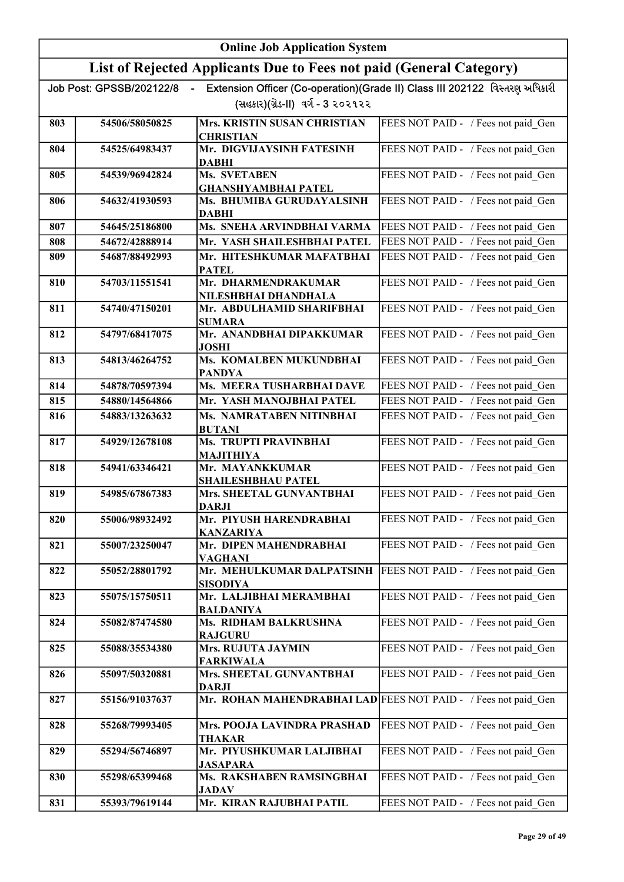|     | <b>Online Job Application System</b>       |                                                                     |                                                                             |
|-----|--------------------------------------------|---------------------------------------------------------------------|-----------------------------------------------------------------------------|
|     |                                            | List of Rejected Applicants Due to Fees not paid (General Category) |                                                                             |
|     | Job Post: GPSSB/202122/8<br>$\blacksquare$ |                                                                     | Extension Officer (Co-operation)(Grade II) Class III 202122 વિસ્તરણ અધિકારી |
|     |                                            | (સહકાર)(ગ્રેડ-II) વર્ગ - 3 ૨૦૨૧૨૨                                   |                                                                             |
| 803 | 54506/58050825                             | Mrs. KRISTIN SUSAN CHRISTIAN<br><b>CHRISTIAN</b>                    | FEES NOT PAID - / Fees not paid Gen                                         |
| 804 | 54525/64983437                             | Mr. DIGVIJAYSINH FATESINH<br><b>DABHI</b>                           | FEES NOT PAID - / Fees not paid Gen                                         |
| 805 | 54539/96942824                             | Ms. SVETABEN<br><b>GHANSHYAMBHAI PATEL</b>                          | FEES NOT PAID - / Fees not paid Gen                                         |
| 806 | 54632/41930593                             | Ms. BHUMIBA GURUDAYALSINH<br><b>DABHI</b>                           | FEES NOT PAID - / Fees not paid Gen                                         |
| 807 | 54645/25186800                             | Ms. SNEHA ARVINDBHAI VARMA                                          | FEES NOT PAID - / Fees not paid_Gen                                         |
| 808 | 54672/42888914                             | Mr. YASH SHAILESHBHAI PATEL                                         | FEES NOT PAID - / Fees not paid Gen                                         |
| 809 | 54687/88492993                             | Mr. HITESHKUMAR MAFATBHAI<br><b>PATEL</b>                           | FEES NOT PAID - / Fees not paid Gen                                         |
| 810 | 54703/11551541                             | Mr. DHARMENDRAKUMAR<br>NILESHBHAI DHANDHALA                         | FEES NOT PAID - / Fees not paid_Gen                                         |
| 811 | 54740/47150201                             | Mr. ABDULHAMID SHARIFBHAI<br><b>SUMARA</b>                          | FEES NOT PAID - / Fees not paid_Gen                                         |
| 812 | 54797/68417075                             | Mr. ANANDBHAI DIPAKKUMAR<br>JOSHI                                   | FEES NOT PAID - / Fees not paid Gen                                         |
| 813 | 54813/46264752                             | Ms. KOMALBEN MUKUNDBHAI<br><b>PANDYA</b>                            | FEES NOT PAID - / Fees not paid Gen                                         |
| 814 | 54878/70597394                             | Ms. MEERA TUSHARBHAI DAVE                                           | FEES NOT PAID - / Fees not paid_Gen                                         |
| 815 | 54880/14564866                             | Mr. YASH MANOJBHAI PATEL                                            | FEES NOT PAID - / Fees not paid Gen                                         |
| 816 | 54883/13263632                             | Ms. NAMRATABEN NITINBHAI<br><b>BUTANI</b>                           | FEES NOT PAID - / Fees not paid_Gen                                         |
| 817 | 54929/12678108                             | Ms. TRUPTI PRAVINBHAI<br><b>MAJITHIYA</b>                           | FEES NOT PAID - / Fees not paid Gen                                         |
| 818 | 54941/63346421                             | Mr. MAYANKKUMAR<br><b>SHAILESHBHAU PATEL</b>                        | FEES NOT PAID - / Fees not paid Gen                                         |
| 819 | 54985/67867383                             | Mrs. SHEETAL GUNVANTBHAI<br>DARJI                                   | FEES NOT PAID - / Fees not paid Gen                                         |
| 820 | 55006/98932492                             | Mr. PIYUSH HARENDRABHAI<br>KANZARIYA                                | FEES NOT PAID - / Fees not paid Gen                                         |
| 821 | 55007/23250047                             | Mr. DIPEN MAHENDRABHAI<br>VAGHANI                                   | FEES NOT PAID - / Fees not paid Gen                                         |
| 822 | 55052/28801792                             | Mr. MEHULKUMAR DALPATSINH<br><b>SISODIYA</b>                        | FEES NOT PAID - / Fees not paid Gen                                         |
| 823 | 55075/15750511                             | Mr. LALJIBHAI MERAMBHAI<br><b>BALDANIYA</b>                         | FEES NOT PAID - / Fees not paid Gen                                         |
| 824 | 55082/87474580                             | Ms. RIDHAM BALKRUSHNA<br><b>RAJGURU</b>                             | FEES NOT PAID - / Fees not paid_Gen                                         |
| 825 | 55088/35534380                             | <b>Mrs. RUJUTA JAYMIN</b><br><b>FARKIWALA</b>                       | FEES NOT PAID - / Fees not paid Gen                                         |
| 826 | 55097/50320881                             | Mrs. SHEETAL GUNVANTBHAI<br><b>DARJI</b>                            | FEES NOT PAID - / Fees not paid Gen                                         |
| 827 | 55156/91037637                             | Mr. ROHAN MAHENDRABHAI LAD                                          | FEES NOT PAID - / Fees not paid Gen                                         |
| 828 | 55268/79993405                             | Mrs. POOJA LAVINDRA PRASHAD<br><b>THAKAR</b>                        | FEES NOT PAID - / Fees not paid_Gen                                         |
| 829 | 55294/56746897                             | Mr. PIYUSHKUMAR LALJIBHAI<br>JASAPARA                               | FEES NOT PAID - / Fees not paid Gen                                         |
| 830 | 55298/65399468                             | Ms. RAKSHABEN RAMSINGBHAI<br>JADAV                                  | FEES NOT PAID - / Fees not paid Gen                                         |
| 831 | 55393/79619144                             | Mr. KIRAN RAJUBHAI PATIL                                            | FEES NOT PAID - / Fees not paid Gen                                         |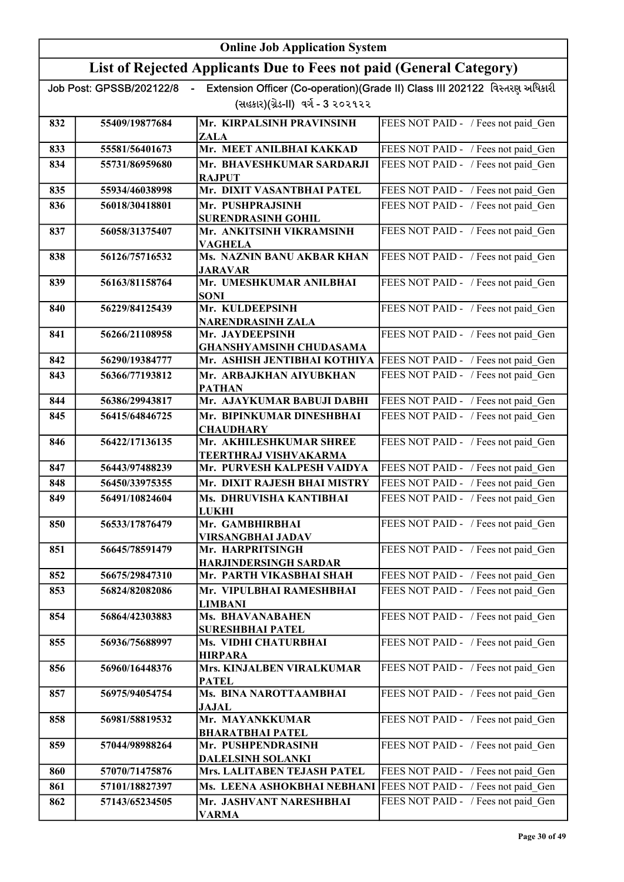|     | <b>Online Job Application System</b> |                                                                     |                                                                             |
|-----|--------------------------------------|---------------------------------------------------------------------|-----------------------------------------------------------------------------|
|     |                                      | List of Rejected Applicants Due to Fees not paid (General Category) |                                                                             |
|     | Job Post: GPSSB/202122/8             |                                                                     | Extension Officer (Co-operation)(Grade II) Class III 202122 વિસ્તરણ અધિકારી |
|     |                                      | (સહકાર)(ગ્રેડ-II) વર્ગ - 3 ૨૦૨૧૨૨                                   |                                                                             |
| 832 | 55409/19877684                       | Mr. KIRPALSINH PRAVINSINH<br>ZALA                                   | FEES NOT PAID - / Fees not paid Gen                                         |
| 833 | 55581/56401673                       | Mr. MEET ANILBHAI KAKKAD                                            | FEES NOT PAID - / Fees not paid Gen                                         |
| 834 | 55731/86959680                       | Mr. BHAVESHKUMAR SARDARJI<br><b>RAJPUT</b>                          | FEES NOT PAID - / Fees not paid Gen                                         |
| 835 | 55934/46038998                       | Mr. DIXIT VASANTBHAI PATEL                                          | FEES NOT PAID - / Fees not paid Gen                                         |
| 836 | 56018/30418801                       | Mr. PUSHPRAJSINH<br><b>SURENDRASINH GOHIL</b>                       | FEES NOT PAID - / Fees not paid Gen                                         |
| 837 | 56058/31375407                       | Mr. ANKITSINH VIKRAMSINH<br><b>VAGHELA</b>                          | FEES NOT PAID - / Fees not paid_Gen                                         |
| 838 | 56126/75716532                       | Ms. NAZNIN BANU AKBAR KHAN<br><b>JARAVAR</b>                        | FEES NOT PAID - / Fees not paid_Gen                                         |
| 839 | 56163/81158764                       | Mr. UMESHKUMAR ANILBHAI<br><b>SONI</b>                              | FEES NOT PAID - / Fees not paid Gen                                         |
| 840 | 56229/84125439                       | Mr. KULDEEPSINH<br>NARENDRASINH ZALA                                | FEES NOT PAID - / Fees not paid Gen                                         |
| 841 | 56266/21108958                       | Mr. JAYDEEPSINH<br><b>GHANSHYAMSINH CHUDASAMA</b>                   | FEES NOT PAID - / Fees not paid Gen                                         |
| 842 | 56290/19384777                       | Mr. ASHISH JENTIBHAI KOTHIYA                                        | FEES NOT PAID - / Fees not paid Gen                                         |
| 843 | 56366/77193812                       | Mr. ARBAJKHAN AIYUBKHAN<br><b>PATHAN</b>                            | FEES NOT PAID - / Fees not paid Gen                                         |
| 844 | 56386/29943817                       | Mr. AJAYKUMAR BABUJI DABHI                                          | FEES NOT PAID - / Fees not paid Gen                                         |
| 845 | 56415/64846725                       | Mr. BIPINKUMAR DINESHBHAI<br><b>CHAUDHARY</b>                       | FEES NOT PAID - / Fees not paid Gen                                         |
| 846 | 56422/17136135                       | Mr. AKHILESHKUMAR SHREE<br>TEERTHRAJ VISHVAKARMA                    | FEES NOT PAID - / Fees not paid_Gen                                         |
| 847 | 56443/97488239                       | Mr. PURVESH KALPESH VAIDYA                                          | FEES NOT PAID - / Fees not paid Gen                                         |
| 848 | 56450/33975355                       | Mr. DIXIT RAJESH BHAI MISTRY                                        | FEES NOT PAID - / Fees not paid Gen                                         |
| 849 | 56491/10824604                       | Ms. DHRUVISHA KANTIBHAI<br><b>LUKHI</b>                             | FEES NOT PAID - / Fees not paid Gen                                         |
| 850 | 56533/17876479                       | Mr. GAMBHIRBHAI<br>VIRSANGBHAI JADAV                                | FEES NOT PAID - / Fees not paid Gen                                         |
| 851 | 56645/78591479                       | Mr. HARPRITSINGH<br><b>HARJINDERSINGH SARDAR</b>                    | FEES NOT PAID - / Fees not paid Gen                                         |
| 852 | 56675/29847310                       | Mr. PARTH VIKASBHAI SHAH                                            | FEES NOT PAID - / Fees not paid Gen                                         |
| 853 | 56824/82082086                       | Mr. VIPULBHAI RAMESHBHAI<br><b>LIMBANI</b>                          | FEES NOT PAID - / Fees not paid Gen                                         |
| 854 | 56864/42303883                       | Ms. BHAVANABAHEN<br>SURESHBHAI PATEL                                | FEES NOT PAID - / Fees not paid_Gen                                         |
| 855 | 56936/75688997                       | Ms. VIDHI CHATURBHAI<br><b>HIRPARA</b>                              | FEES NOT PAID - / Fees not paid Gen                                         |
| 856 | 56960/16448376                       | Mrs. KINJALBEN VIRALKUMAR<br><b>PATEL</b>                           | FEES NOT PAID - / Fees not paid Gen                                         |
| 857 | 56975/94054754                       | Ms. BINA NAROTTAAMBHAI<br><b>JAJAL</b>                              | FEES NOT PAID - / Fees not paid Gen                                         |
| 858 | 56981/58819532                       | Mr. MAYANKKUMAR<br><b>BHARATBHAI PATEL</b>                          | FEES NOT PAID - / Fees not paid Gen                                         |
| 859 | 57044/98988264                       | Mr. PUSHPENDRASINH<br>DALELSINH SOLANKI                             | FEES NOT PAID - / Fees not paid Gen                                         |
| 860 | 57070/71475876                       | Mrs. LALITABEN TEJASH PATEL                                         | FEES NOT PAID - / Fees not paid Gen                                         |
| 861 | 57101/18827397                       | Ms. LEENA ASHOKBHAI NEBHANI                                         | FEES NOT PAID - / Fees not paid Gen                                         |
| 862 | 57143/65234505                       | Mr. JASHVANT NARESHBHAI<br><b>VARMA</b>                             | FEES NOT PAID - / Fees not paid Gen                                         |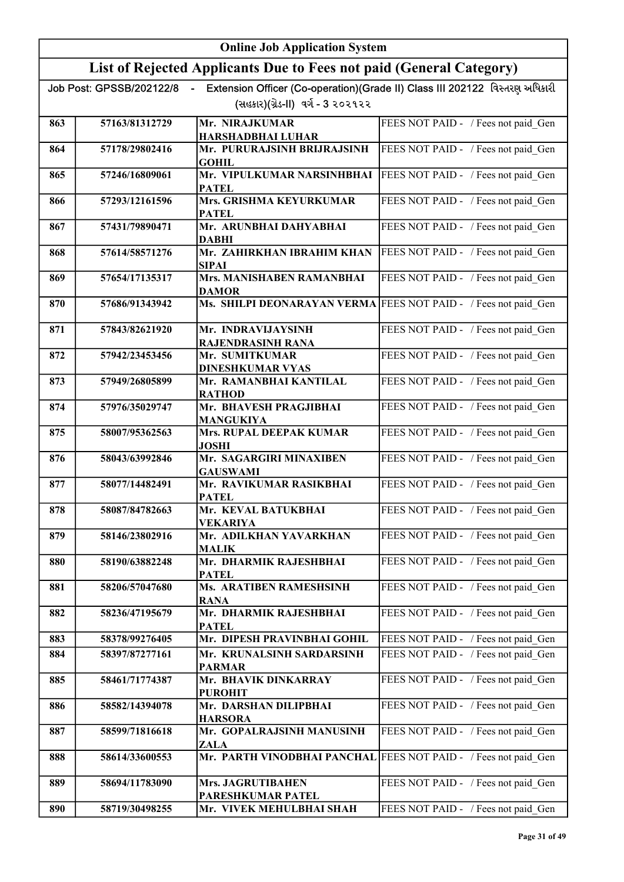|     |                          | <b>Online Job Application System</b>                                |                                                                             |
|-----|--------------------------|---------------------------------------------------------------------|-----------------------------------------------------------------------------|
|     |                          | List of Rejected Applicants Due to Fees not paid (General Category) |                                                                             |
|     | Job Post: GPSSB/202122/8 |                                                                     | Extension Officer (Co-operation)(Grade II) Class III 202122 વિસ્તરણ અધિકારી |
|     |                          | (સહકાર)(ગ્રેડ-II) વર્ગ - 3 ૨૦૨૧૨૨                                   |                                                                             |
| 863 | 57163/81312729           | Mr. NIRAJKUMAR<br><b>HARSHADBHAI LUHAR</b>                          | FEES NOT PAID - / Fees not paid Gen                                         |
| 864 | 57178/29802416           | Mr. PURURAJSINH BRIJRAJSINH                                         | FEES NOT PAID - / Fees not paid Gen                                         |
| 865 | 57246/16809061           | <b>GOHIL</b><br>Mr. VIPULKUMAR NARSINHBHAI                          | FEES NOT PAID - / Fees not paid Gen                                         |
| 866 | 57293/12161596           | <b>PATEL</b><br>Mrs. GRISHMA KEYURKUMAR                             | FEES NOT PAID - / Fees not paid Gen                                         |
| 867 | 57431/79890471           | <b>PATEL</b><br>Mr. ARUNBHAI DAHYABHAI                              | FEES NOT PAID - / Fees not paid Gen                                         |
| 868 | 57614/58571276           | <b>DABHI</b><br>Mr. ZAHIRKHAN IBRAHIM KHAN                          | FEES NOT PAID - / Fees not paid Gen                                         |
| 869 | 57654/17135317           | <b>SIPAI</b><br>Mrs. MANISHABEN RAMANBHAI                           | FEES NOT PAID - / Fees not paid Gen                                         |
| 870 | 57686/91343942           | <b>DAMOR</b><br>Ms. SHILPI DEONARAYAN VERMA                         | FEES NOT PAID - / Fees not paid Gen                                         |
| 871 | 57843/82621920           | Mr. INDRAVIJAYSINH<br><b>RAJENDRASINH RANA</b>                      | FEES NOT PAID - / Fees not paid Gen                                         |
| 872 | 57942/23453456           | Mr. SUMITKUMAR<br><b>DINESHKUMAR VYAS</b>                           | FEES NOT PAID - / Fees not paid Gen                                         |
| 873 | 57949/26805899           | Mr. RAMANBHAI KANTILAL<br><b>RATHOD</b>                             | FEES NOT PAID - / Fees not paid Gen                                         |
| 874 | 57976/35029747           | Mr. BHAVESH PRAGJIBHAI<br><b>MANGUKIYA</b>                          | FEES NOT PAID - / Fees not paid Gen                                         |
| 875 | 58007/95362563           | <b>Mrs. RUPAL DEEPAK KUMAR</b><br><b>JOSHI</b>                      | FEES NOT PAID - / Fees not paid Gen                                         |
| 876 | 58043/63992846           | Mr. SAGARGIRI MINAXIBEN<br><b>GAUSWAMI</b>                          | FEES NOT PAID - / Fees not paid Gen                                         |
| 877 | 58077/14482491           | Mr. RAVIKUMAR RASIKBHAI<br><b>PATEL</b>                             | FEES NOT PAID - / Fees not paid Gen                                         |
| 878 | 58087/84782663           | Mr. KEVAL BATUKBHAI<br><b>VEKARIYA</b>                              | FEES NOT PAID - / Fees not paid Gen                                         |
| 879 | 58146/23802916           | Mr. ADILKHAN YAVARKHAN<br><b>MALIK</b>                              | FEES NOT PAID - / Fees not paid Gen                                         |
| 880 | 58190/63882248           | Mr. DHARMIK RAJESHBHAI<br><b>PATEL</b>                              | FEES NOT PAID - / Fees not paid Gen                                         |
| 881 | 58206/57047680           | Ms. ARATIBEN RAMESHSINH<br><b>RANA</b>                              | FEES NOT PAID - / Fees not paid Gen                                         |
| 882 | 58236/47195679           | Mr. DHARMIK RAJESHBHAI<br><b>PATEL</b>                              | FEES NOT PAID - / Fees not paid Gen                                         |
| 883 | 58378/99276405           | Mr. DIPESH PRAVINBHAI GOHIL                                         | FEES NOT PAID - / Fees not paid Gen                                         |
| 884 | 58397/87277161           | Mr. KRUNALSINH SARDARSINH<br><b>PARMAR</b>                          | FEES NOT PAID - / Fees not paid Gen                                         |
| 885 | 58461/71774387           | Mr. BHAVIK DINKARRAY<br><b>PUROHIT</b>                              | FEES NOT PAID - / Fees not paid Gen                                         |
| 886 | 58582/14394078           | Mr. DARSHAN DILIPBHAI<br><b>HARSORA</b>                             | FEES NOT PAID - / Fees not paid Gen                                         |
| 887 | 58599/71816618           | Mr. GOPALRAJSINH MANUSINH<br><b>ZALA</b>                            | FEES NOT PAID - / Fees not paid Gen                                         |
| 888 | 58614/33600553           | Mr. PARTH VINODBHAI PANCHAL FEES NOT PAID - / Fees not paid Gen     |                                                                             |
| 889 | 58694/11783090           | Mrs. JAGRUTIBAHEN<br>PARESHKUMAR PATEL                              | FEES NOT PAID - / Fees not paid Gen                                         |
| 890 | 58719/30498255           | Mr. VIVEK MEHULBHAI SHAH                                            | FEES NOT PAID - / Fees not paid Gen                                         |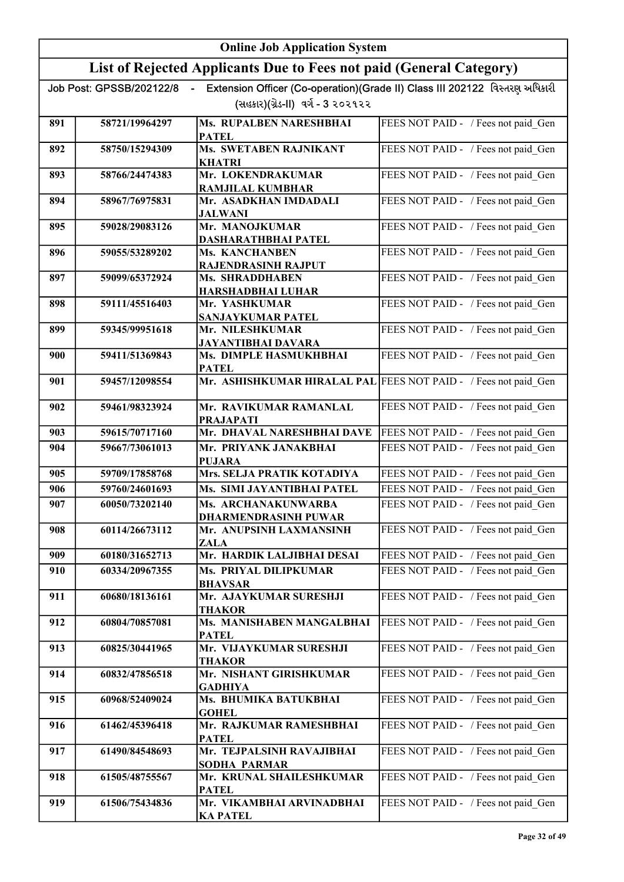|     | <b>Online Job Application System</b>       |                                                                     |                                                                             |
|-----|--------------------------------------------|---------------------------------------------------------------------|-----------------------------------------------------------------------------|
|     |                                            | List of Rejected Applicants Due to Fees not paid (General Category) |                                                                             |
|     | Job Post: GPSSB/202122/8<br>$\blacksquare$ |                                                                     | Extension Officer (Co-operation)(Grade II) Class III 202122 વિસ્તરણ અધિકારી |
|     |                                            | (સહકાર)(ગ્રેડ-II) વર્ગ - 3 ૨૦૨૧૨૨                                   |                                                                             |
| 891 | 58721/19964297                             | Ms. RUPALBEN NARESHBHAI<br><b>PATEL</b>                             | FEES NOT PAID - / Fees not paid Gen                                         |
| 892 | 58750/15294309                             | <b>Ms. SWETABEN RAJNIKANT</b><br><b>KHATRI</b>                      | FEES NOT PAID - / Fees not paid Gen                                         |
| 893 | 58766/24474383                             | Mr. LOKENDRAKUMAR<br><b>RAMJILAL KUMBHAR</b>                        | FEES NOT PAID - / Fees not paid Gen                                         |
| 894 | 58967/76975831                             | Mr. ASADKHAN IMDADALI<br><b>JALWANI</b>                             | FEES NOT PAID - / Fees not paid Gen                                         |
| 895 | 59028/29083126                             | Mr. MANOJKUMAR<br><b>DASHARATHBHAI PATEL</b>                        | FEES NOT PAID - / Fees not paid Gen                                         |
| 896 | 59055/53289202                             | Ms. KANCHANBEN<br><b>RAJENDRASINH RAJPUT</b>                        | FEES NOT PAID - / Fees not paid Gen                                         |
| 897 | 59099/65372924                             | <b>Ms. SHRADDHABEN</b><br><b>HARSHADBHAI LUHAR</b>                  | FEES NOT PAID - / Fees not paid Gen                                         |
| 898 | 59111/45516403                             | Mr. YASHKUMAR<br>SANJAYKUMAR PATEL                                  | FEES NOT PAID - / Fees not paid_Gen                                         |
| 899 | 59345/99951618                             | Mr. NILESHKUMAR<br>JAYANTIBHAI DAVARA                               | FEES NOT PAID - / Fees not paid_Gen                                         |
| 900 | 59411/51369843                             | Ms. DIMPLE HASMUKHBHAI<br><b>PATEL</b>                              | FEES NOT PAID - / Fees not paid_Gen                                         |
| 901 | 59457/12098554                             | Mr. ASHISHKUMAR HIRALAL PAL FEES NOT PAID - / Fees not paid Gen     |                                                                             |
| 902 | 59461/98323924                             | Mr. RAVIKUMAR RAMANLAL<br><b>PRAJAPATI</b>                          | FEES NOT PAID - / Fees not paid_Gen                                         |
| 903 | 59615/70717160                             | Mr. DHAVAL NARESHBHAI DAVE                                          | FEES NOT PAID - / Fees not paid Gen                                         |
| 904 | 59667/73061013                             | Mr. PRIYANK JANAKBHAI<br><b>PUJARA</b>                              | FEES NOT PAID - / Fees not paid Gen                                         |
| 905 | 59709/17858768                             | Mrs. SELJA PRATIK KOTADIYA                                          | FEES NOT PAID - / Fees not paid Gen                                         |
| 906 | 59760/24601693                             | Ms. SIMI JAYANTIBHAI PATEL                                          | FEES NOT PAID - / Fees not paid Gen                                         |
| 907 | 60050/73202140                             | <b>Ms. ARCHANAKUNWARBA</b><br><b>DHARMENDRASINH PUWAR</b>           | FEES NOT PAID - / Fees not paid_Gen                                         |
| 908 | 60114/26673112                             | Mr. ANUPSINH LAXMANSINH<br>ZALA                                     | FEES NOT PAID - / Fees not paid Gen                                         |
| 909 | 60180/31652713                             | Mr. HARDIK LALJIBHAI DESAI                                          | FEES NOT PAID - / Fees not paid Gen                                         |
| 910 | 60334/20967355                             | Ms. PRIYAL DILIPKUMAR<br><b>BHAVSAR</b>                             | FEES NOT PAID - / Fees not paid Gen                                         |
| 911 | 60680/18136161                             | Mr. AJAYKUMAR SURESHJI<br>THAKOR                                    | FEES NOT PAID - / Fees not paid Gen                                         |
| 912 | 60804/70857081                             | Ms. MANISHABEN MANGALBHAI<br><b>PATEL</b>                           | FEES NOT PAID - / Fees not paid Gen                                         |
| 913 | 60825/30441965                             | Mr. VIJAYKUMAR SURESHJI<br><b>THAKOR</b>                            | FEES NOT PAID - / Fees not paid Gen                                         |
| 914 | 60832/47856518                             | Mr. NISHANT GIRISHKUMAR<br><b>GADHIYA</b>                           | FEES NOT PAID - / Fees not paid Gen                                         |
| 915 | 60968/52409024                             | Ms. BHUMIKA BATUKBHAI<br><b>GOHEL</b>                               | FEES NOT PAID - / Fees not paid_Gen                                         |
| 916 | 61462/45396418                             | Mr. RAJKUMAR RAMESHBHAI<br><b>PATEL</b>                             | FEES NOT PAID - / Fees not paid_Gen                                         |
| 917 | 61490/84548693                             | Mr. TEJPALSINH RAVAJIBHAI<br><b>SODHA PARMAR</b>                    | FEES NOT PAID - / Fees not paid_Gen                                         |
| 918 | 61505/48755567                             | Mr. KRUNAL SHAILESHKUMAR<br><b>PATEL</b>                            | FEES NOT PAID - / Fees not paid_Gen                                         |
| 919 | 61506/75434836                             | Mr. VIKAMBHAI ARVINADBHAI<br><b>KA PATEL</b>                        | FEES NOT PAID - / Fees not paid Gen                                         |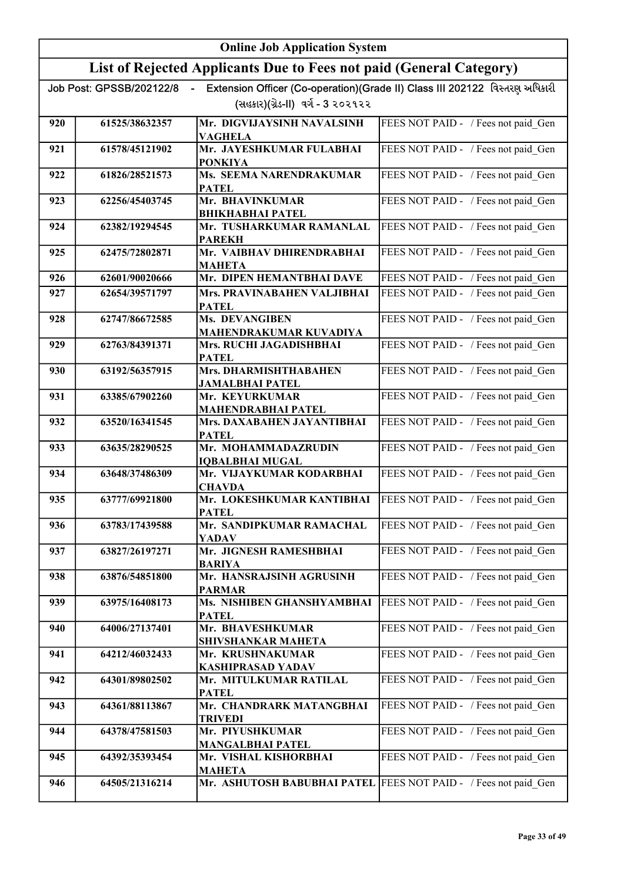|     | <b>Online Job Application System</b> |                                                                     |                                                                             |
|-----|--------------------------------------|---------------------------------------------------------------------|-----------------------------------------------------------------------------|
|     |                                      | List of Rejected Applicants Due to Fees not paid (General Category) |                                                                             |
|     | Job Post: GPSSB/202122/8             |                                                                     | Extension Officer (Co-operation)(Grade II) Class III 202122 વિસ્તરણ અધિકારી |
|     |                                      | (સહકાર)(ગ્રેડ-II) વર્ગ - 3 ૨૦૨૧૨૨                                   |                                                                             |
| 920 | 61525/38632357                       | Mr. DIGVIJAYSINH NAVALSINH<br>VAGHELA                               | FEES NOT PAID - / Fees not paid Gen                                         |
| 921 | 61578/45121902                       | Mr. JAYESHKUMAR FULABHAI<br><b>PONKIYA</b>                          | FEES NOT PAID - / Fees not paid Gen                                         |
| 922 | 61826/28521573                       | Ms. SEEMA NARENDRAKUMAR<br><b>PATEL</b>                             | FEES NOT PAID - / Fees not paid Gen                                         |
| 923 | 62256/45403745                       | Mr. BHAVINKUMAR<br><b>BHIKHABHAI PATEL</b>                          | FEES NOT PAID - / Fees not paid Gen                                         |
| 924 | 62382/19294545                       | Mr. TUSHARKUMAR RAMANLAL<br><b>PAREKH</b>                           | FEES NOT PAID - / Fees not paid Gen                                         |
| 925 | 62475/72802871                       | Mr. VAIBHAV DHIRENDRABHAI<br><b>MAHETA</b>                          | FEES NOT PAID - / Fees not paid Gen                                         |
| 926 | 62601/90020666                       | Mr. DIPEN HEMANTBHAI DAVE                                           | FEES NOT PAID - / Fees not paid Gen                                         |
| 927 | 62654/39571797                       | Mrs. PRAVINABAHEN VALJIBHAI<br><b>PATEL</b>                         | FEES NOT PAID - / Fees not paid Gen                                         |
| 928 | 62747/86672585                       | Ms. DEVANGIBEN<br>MAHENDRAKUMAR KUVADIYA                            | FEES NOT PAID - / Fees not paid Gen                                         |
| 929 | 62763/84391371                       | Mrs. RUCHI JAGADISHBHAI<br><b>PATEL</b>                             | FEES NOT PAID - / Fees not paid_Gen                                         |
| 930 | 63192/56357915                       | Mrs. DHARMISHTHABAHEN<br>JAMALBHAI PATEL                            | FEES NOT PAID - / Fees not paid_Gen                                         |
| 931 | 63385/67902260                       | Mr. KEYURKUMAR<br><b>MAHENDRABHAI PATEL</b>                         | FEES NOT PAID - / Fees not paid Gen                                         |
| 932 | 63520/16341545                       | Mrs. DAXABAHEN JAYANTIBHAI<br><b>PATEL</b>                          | FEES NOT PAID - / Fees not paid Gen                                         |
| 933 | 63635/28290525                       | Mr. MOHAMMADAZRUDIN<br><b>IQBALBHAI MUGAL</b>                       | FEES NOT PAID - / Fees not paid Gen                                         |
| 934 | 63648/37486309                       | Mr. VIJAYKUMAR KODARBHAI<br><b>CHAVDA</b>                           | FEES NOT PAID - / Fees not paid Gen                                         |
| 935 | 63777/69921800                       | Mr. LOKESHKUMAR KANTIBHAI<br><b>PATEL</b>                           | FEES NOT PAID - / Fees not paid Gen                                         |
| 936 | 63783/17439588                       | Mr. SANDIPKUMAR RAMACHAL<br>YADAV                                   | FEES NOT PAID - / Fees not paid Gen                                         |
| 937 | 63827/26197271                       | Mr. JIGNESH RAMESHBHAI<br><b>BARIYA</b>                             | FEES NOT PAID - / Fees not paid_Gen                                         |
| 938 | 63876/54851800                       | Mr. HANSRAJSINH AGRUSINH<br><b>PARMAR</b>                           | FEES NOT PAID - / Fees not paid_Gen                                         |
| 939 | 63975/16408173                       | Ms. NISHIBEN GHANSHYAMBHAI<br><b>PATEL</b>                          | FEES NOT PAID - / Fees not paid Gen                                         |
| 940 | 64006/27137401                       | Mr. BHAVESHKUMAR<br>SHIVSHANKAR MAHETA                              | FEES NOT PAID - / Fees not paid Gen                                         |
| 941 | 64212/46032433                       | Mr. KRUSHNAKUMAR<br><b>KASHIPRASAD YADAV</b>                        | FEES NOT PAID - / Fees not paid_Gen                                         |
| 942 | 64301/89802502                       | Mr. MITULKUMAR RATILAL<br><b>PATEL</b>                              | FEES NOT PAID - / Fees not paid Gen                                         |
| 943 | 64361/88113867                       | Mr. CHANDRARK MATANGBHAI<br><b>TRIVEDI</b>                          | FEES NOT PAID - / Fees not paid Gen                                         |
| 944 | 64378/47581503                       | Mr. PIYUSHKUMAR<br><b>MANGALBHAI PATEL</b>                          | FEES NOT PAID - / Fees not paid Gen                                         |
| 945 | 64392/35393454                       | Mr. VISHAL KISHORBHAI<br><b>MAHETA</b>                              | FEES NOT PAID - / Fees not paid Gen                                         |
| 946 | 64505/21316214                       | Mr. ASHUTOSH BABUBHAI PATEL                                         | FEES NOT PAID - / Fees not paid Gen                                         |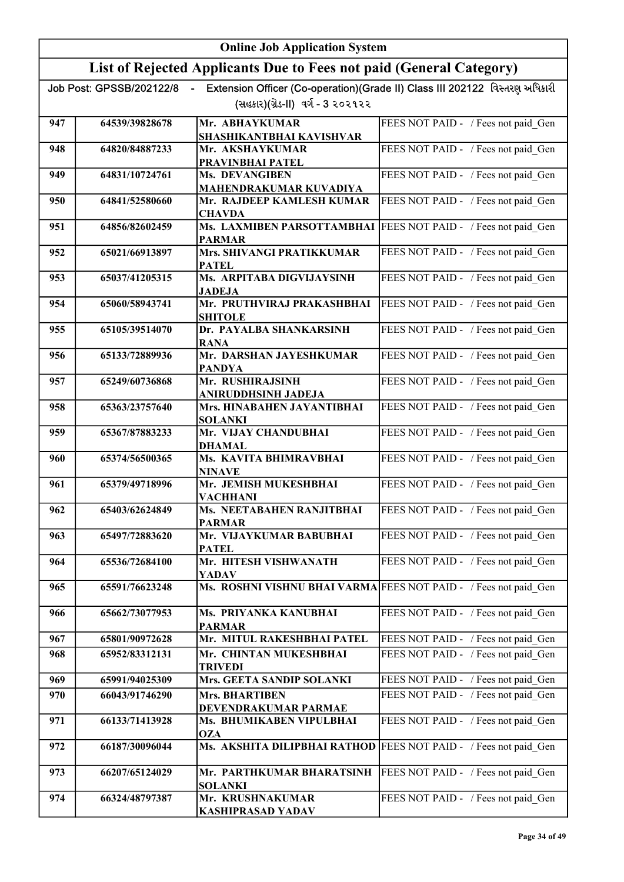|     | <b>Online Job Application System</b> |                                                                     |                                                                             |
|-----|--------------------------------------|---------------------------------------------------------------------|-----------------------------------------------------------------------------|
|     |                                      | List of Rejected Applicants Due to Fees not paid (General Category) |                                                                             |
|     | Job Post: GPSSB/202122/8             | (સહકાર)(ગ્રેડ-II) વર્ગ - 3 ૨૦૨૧૨૨                                   | Extension Officer (Co-operation)(Grade II) Class III 202122 વિસ્તરણ અધિકારી |
| 947 | 64539/39828678                       | Mr. ABHAYKUMAR<br>SHASHIKANTBHAI KAVISHVAR                          | FEES NOT PAID - / Fees not paid Gen                                         |
| 948 | 64820/84887233                       | Mr. AKSHAYKUMAR<br>PRAVINBHAI PATEL                                 | FEES NOT PAID - / Fees not paid Gen                                         |
| 949 | 64831/10724761                       | Ms. DEVANGIBEN<br><b>MAHENDRAKUMAR KUVADIYA</b>                     | FEES NOT PAID - / Fees not paid Gen                                         |
| 950 | 64841/52580660                       | Mr. RAJDEEP KAMLESH KUMAR<br><b>CHAVDA</b>                          | FEES NOT PAID - / Fees not paid Gen                                         |
| 951 | 64856/82602459                       | Ms. LAXMIBEN PARSOTTAMBHAI<br><b>PARMAR</b>                         | FEES NOT PAID - / Fees not paid Gen                                         |
| 952 | 65021/66913897                       | Mrs. SHIVANGI PRATIKKUMAR<br><b>PATEL</b>                           | FEES NOT PAID - / Fees not paid Gen                                         |
| 953 | 65037/41205315                       | Ms. ARPITABA DIGVIJAYSINH<br><b>JADEJA</b>                          | FEES NOT PAID - / Fees not paid Gen                                         |
| 954 | 65060/58943741                       | Mr. PRUTHVIRAJ PRAKASHBHAI<br><b>SHITOLE</b>                        | FEES NOT PAID - / Fees not paid Gen                                         |
| 955 | 65105/39514070                       | Dr. PAYALBA SHANKARSINH<br><b>RANA</b>                              | FEES NOT PAID - / Fees not paid Gen                                         |
| 956 | 65133/72889936                       | Mr. DARSHAN JAYESHKUMAR<br><b>PANDYA</b>                            | FEES NOT PAID - / Fees not paid_Gen                                         |
| 957 | 65249/60736868                       | Mr. RUSHIRAJSINH<br>ANIRUDDHSINH JADEJA                             | FEES NOT PAID - / Fees not paid_Gen                                         |
| 958 | 65363/23757640                       | Mrs. HINABAHEN JAYANTIBHAI<br><b>SOLANKI</b>                        | FEES NOT PAID - / Fees not paid_Gen                                         |
| 959 | 65367/87883233                       | Mr. VIJAY CHANDUBHAI<br><b>DHAMAL</b>                               | FEES NOT PAID - / Fees not paid Gen                                         |
| 960 | 65374/56500365                       | Ms. KAVITA BHIMRAVBHAI<br><b>NINAVE</b>                             | FEES NOT PAID - / Fees not paid Gen                                         |
| 961 | 65379/49718996                       | Mr. JEMISH MUKESHBHAI<br><b>VACHHANI</b>                            | FEES NOT PAID - / Fees not paid Gen                                         |
| 962 | 65403/62624849                       | Ms. NEETABAHEN RANJITBHAI<br><b>PARMAR</b>                          | FEES NOT PAID - / Fees not paid Gen                                         |
| 963 | 65497/72883620                       | Mr. VIJAYKUMAR BABUBHAI<br><b>PATEL</b>                             | FEES NOT PAID - / Fees not paid Gen                                         |
| 964 | 65536/72684100                       | Mr. HITESH VISHWANATH<br>YADAV                                      | FEES NOT PAID - / Fees not paid Gen                                         |
| 965 | 65591/76623248                       | Ms. ROSHNI VISHNU BHAI VARMA FEES NOT PAID - / Fees not paid Gen    |                                                                             |
| 966 | 65662/73077953                       | Ms. PRIYANKA KANUBHAI<br><b>PARMAR</b>                              | FEES NOT PAID - / Fees not paid Gen                                         |
| 967 | 65801/90972628                       | Mr. MITUL RAKESHBHAI PATEL                                          | FEES NOT PAID - / Fees not paid Gen                                         |
| 968 | 65952/83312131                       | Mr. CHINTAN MUKESHBHAI<br><b>TRIVEDI</b>                            | FEES NOT PAID - / Fees not paid Gen                                         |
| 969 | 65991/94025309                       | Mrs. GEETA SANDIP SOLANKI                                           | FEES NOT PAID - / Fees not paid Gen                                         |
| 970 | 66043/91746290                       | <b>Mrs. BHARTIBEN</b><br>DEVENDRAKUMAR PARMAE                       | FEES NOT PAID - / Fees not paid Gen                                         |
| 971 | 66133/71413928                       | Ms. BHUMIKABEN VIPULBHAI<br><b>OZA</b>                              | FEES NOT PAID - / Fees not paid Gen                                         |
| 972 | 66187/30096044                       | Ms. AKSHITA DILIPBHAI RATHOD                                        | FEES NOT PAID - / Fees not paid Gen                                         |
| 973 | 66207/65124029                       | Mr. PARTHKUMAR BHARATSINH<br><b>SOLANKI</b>                         | FEES NOT PAID - / Fees not paid Gen                                         |
| 974 | 66324/48797387                       | Mr. KRUSHNAKUMAR<br>KASHIPRASAD YADAV                               | FEES NOT PAID - / Fees not paid Gen                                         |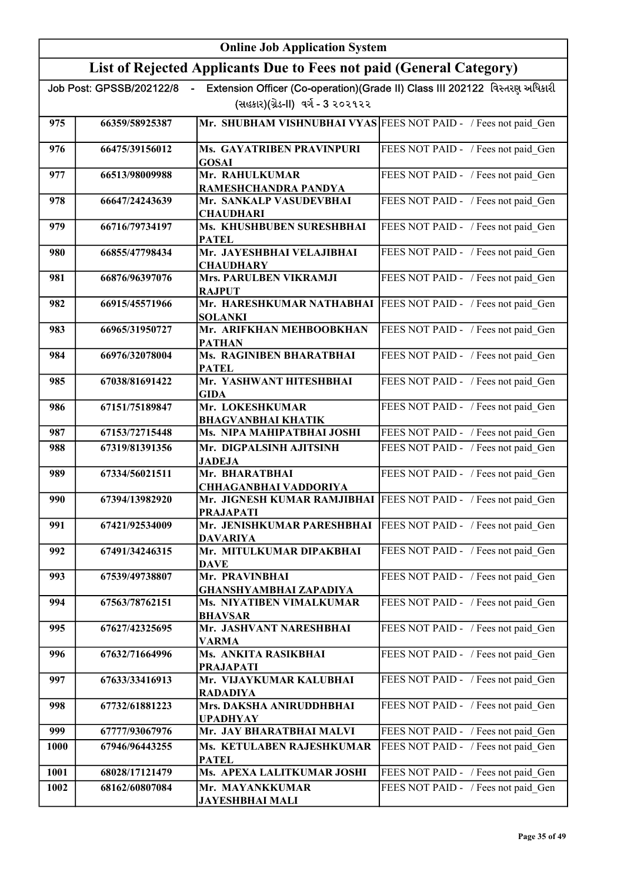|      | <b>Online Job Application System</b> |                                                                                       |                                                                             |
|------|--------------------------------------|---------------------------------------------------------------------------------------|-----------------------------------------------------------------------------|
|      |                                      | List of Rejected Applicants Due to Fees not paid (General Category)                   |                                                                             |
|      | Job Post: GPSSB/202122/8<br>$\sim$   | (સહકાર)(ગ્રેડ-II) વર્ગ - 3 ૨૦૨૧૨૨                                                     | Extension Officer (Co-operation)(Grade II) Class III 202122 વિસ્તરણ અધિકારી |
| 975  | 66359/58925387                       | Mr. SHUBHAM VISHNUBHAI VYAS FEES NOT PAID - / Fees not paid Gen                       |                                                                             |
| 976  | 66475/39156012                       | <b>Ms. GAYATRIBEN PRAVINPURI</b><br><b>GOSAI</b>                                      | FEES NOT PAID - / Fees not paid Gen                                         |
| 977  | 66513/98009988                       | Mr. RAHULKUMAR<br>RAMESHCHANDRA PANDYA                                                | FEES NOT PAID - / Fees not paid Gen                                         |
| 978  | 66647/24243639                       | Mr. SANKALP VASUDEVBHAI<br><b>CHAUDHARI</b>                                           | FEES NOT PAID - / Fees not paid Gen                                         |
| 979  | 66716/79734197                       | Ms. KHUSHBUBEN SURESHBHAI<br><b>PATEL</b>                                             | FEES NOT PAID - / Fees not paid Gen                                         |
| 980  | 66855/47798434                       | Mr. JAYESHBHAI VELAJIBHAI<br><b>CHAUDHARY</b>                                         | FEES NOT PAID - / Fees not paid Gen                                         |
| 981  | 66876/96397076                       | <b>Mrs. PARULBEN VIKRAMJI</b><br><b>RAJPUT</b>                                        | FEES NOT PAID - / Fees not paid Gen                                         |
| 982  | 66915/45571966                       | Mr. HARESHKUMAR NATHABHAI<br><b>SOLANKI</b>                                           | FEES NOT PAID - / Fees not paid_Gen                                         |
| 983  | 66965/31950727                       | Mr. ARIFKHAN MEHBOOBKHAN<br><b>PATHAN</b>                                             | FEES NOT PAID - / Fees not paid Gen                                         |
| 984  | 66976/32078004                       | Ms. RAGINIBEN BHARATBHAI<br><b>PATEL</b>                                              | FEES NOT PAID - / Fees not paid_Gen                                         |
| 985  | 67038/81691422                       | Mr. YASHWANT HITESHBHAI<br><b>GIDA</b>                                                | FEES NOT PAID - / Fees not paid Gen                                         |
| 986  | 67151/75189847                       | Mr. LOKESHKUMAR<br><b>BHAGVANBHAI KHATIK</b>                                          | FEES NOT PAID - / Fees not paid_Gen                                         |
| 987  | 67153/72715448                       | Ms. NIPA MAHIPATBHAI JOSHI                                                            | FEES NOT PAID - / Fees not paid Gen                                         |
| 988  | 67319/81391356                       | Mr. DIGPALSINH AJITSINH<br><b>JADEJA</b>                                              | FEES NOT PAID - / Fees not paid Gen                                         |
| 989  | 67334/56021511                       | Mr. BHARATBHAI<br><b>CHHAGANBHAI VADDORIYA</b>                                        | FEES NOT PAID - / Fees not paid Gen                                         |
| 990  | 67394/13982920                       | Mr. JIGNESH KUMAR RAMJIBHAI   FEES NOT PAID - / Fees not paid Gen<br><b>PRAJAPATI</b> |                                                                             |
| 991  | 67421/92534009                       | Mr. JENISHKUMAR PARESHBHAI<br><b>DAVARIYA</b>                                         | FEES NOT PAID - / Fees not paid Gen                                         |
| 992  | 67491/34246315                       | Mr. MITULKUMAR DIPAKBHAI<br><b>DAVE</b>                                               | FEES NOT PAID - / Fees not paid Gen                                         |
| 993  | 67539/49738807                       | Mr. PRAVINBHAI<br>GHANSHYAMBHAI ZAPADIYA                                              | FEES NOT PAID - / Fees not paid_Gen                                         |
| 994  | 67563/78762151                       | Ms. NIYATIBEN VIMALKUMAR<br><b>BHAVSAR</b>                                            | FEES NOT PAID - / Fees not paid Gen                                         |
| 995  | 67627/42325695                       | Mr. JASHVANT NARESHBHAI<br>VARMA                                                      | FEES NOT PAID - / Fees not paid_Gen                                         |
| 996  | 67632/71664996                       | Ms. ANKITA RASIKBHAI<br><b>PRAJAPATI</b>                                              | FEES NOT PAID - / Fees not paid_Gen                                         |
| 997  | 67633/33416913                       | Mr. VIJAYKUMAR KALUBHAI<br><b>RADADIYA</b>                                            | FEES NOT PAID - / Fees not paid_Gen                                         |
| 998  | 67732/61881223                       | Mrs. DAKSHA ANIRUDDHBHAI<br><b>UPADHYAY</b>                                           | FEES NOT PAID - / Fees not paid_Gen                                         |
| 999  | 67777/93067976                       | Mr. JAY BHARATBHAI MALVI                                                              | FEES NOT PAID - / Fees not paid_Gen                                         |
| 1000 | 67946/96443255                       | Ms. KETULABEN RAJESHKUMAR<br><b>PATEL</b>                                             | FEES NOT PAID - / Fees not paid Gen                                         |
| 1001 | 68028/17121479                       | Ms. APEXA LALITKUMAR JOSHI                                                            | FEES NOT PAID - / Fees not paid_Gen                                         |
| 1002 | 68162/60807084                       | Mr. MAYANKKUMAR<br><u>JAYESHBHAI MALI</u>                                             | FEES NOT PAID - / Fees not paid Gen                                         |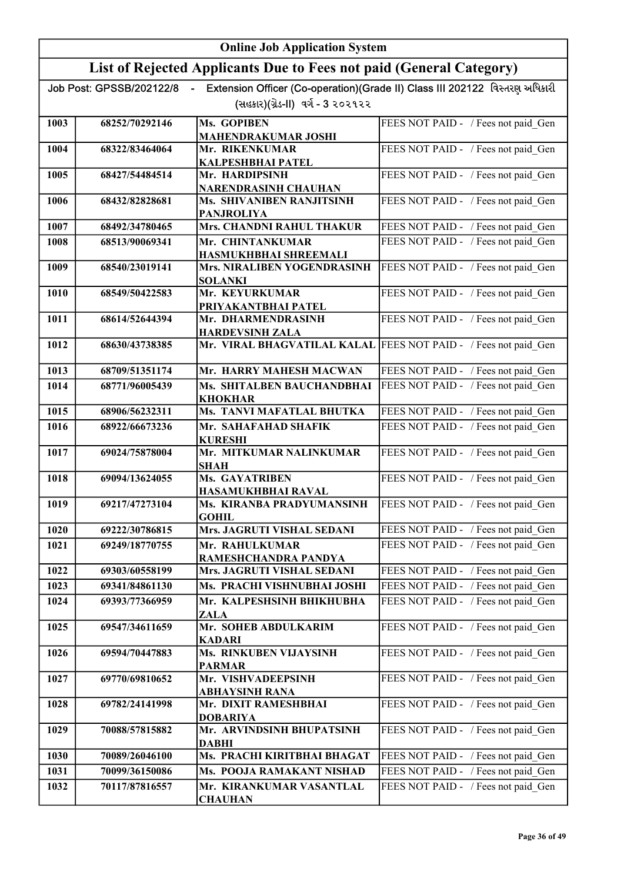|      | <b>Online Job Application System</b> |                                                                     |                                                                             |
|------|--------------------------------------|---------------------------------------------------------------------|-----------------------------------------------------------------------------|
|      |                                      | List of Rejected Applicants Due to Fees not paid (General Category) |                                                                             |
|      | Job Post: GPSSB/202122/8             |                                                                     | Extension Officer (Co-operation)(Grade II) Class III 202122 વિસ્તરણ અધિકારી |
|      |                                      | (સહકાર)(ગ્રેડ-II) વર્ગ - 3 ૨૦૨૧૨૨                                   |                                                                             |
| 1003 | 68252/70292146                       | Ms. GOPIBEN                                                         | FEES NOT PAID - / Fees not paid Gen                                         |
|      |                                      | <b>MAHENDRAKUMAR JOSHI</b>                                          |                                                                             |
| 1004 | 68322/83464064                       | Mr. RIKENKUMAR<br>KALPESHBHAI PATEL                                 | FEES NOT PAID - / Fees not paid Gen                                         |
| 1005 | 68427/54484514                       | Mr. HARDIPSINH                                                      | FEES NOT PAID - / Fees not paid Gen                                         |
| 1006 | 68432/82828681                       | NARENDRASINH CHAUHAN<br>Ms. SHIVANIBEN RANJITSINH                   | FEES NOT PAID - / Fees not paid Gen                                         |
|      |                                      | <b>PANJROLIYA</b>                                                   |                                                                             |
| 1007 | 68492/34780465                       | Mrs. CHANDNI RAHUL THAKUR                                           | FEES NOT PAID - / Fees not paid Gen                                         |
| 1008 | 68513/90069341                       | Mr. CHINTANKUMAR                                                    | FEES NOT PAID - / Fees not paid Gen                                         |
| 1009 | 68540/23019141                       | HASMUKHBHAI SHREEMALI<br>Mrs. NIRALIBEN YOGENDRASINH                | FEES NOT PAID - / Fees not paid_Gen                                         |
|      |                                      | <b>SOLANKI</b>                                                      |                                                                             |
| 1010 | 68549/50422583                       | Mr. KEYURKUMAR                                                      | FEES NOT PAID - / Fees not paid_Gen                                         |
| 1011 | 68614/52644394                       | PRIYAKANTBHAI PATEL<br>Mr. DHARMENDRASINH                           | FEES NOT PAID - / Fees not paid_Gen                                         |
|      |                                      | <b>HARDEVSINH ZALA</b>                                              |                                                                             |
| 1012 | 68630/43738385                       | Mr. VIRAL BHAGVATILAL KALAL FEES NOT PAID - / Fees not paid Gen     |                                                                             |
| 1013 | 68709/51351174                       | Mr. HARRY MAHESH MACWAN                                             | FEES NOT PAID - / Fees not paid Gen                                         |
| 1014 | 68771/96005439                       | Ms. SHITALBEN BAUCHANDBHAI<br><b>KHOKHAR</b>                        | FEES NOT PAID - / Fees not paid Gen                                         |
| 1015 | 68906/56232311                       | Ms. TANVI MAFATLAL BHUTKA                                           | FEES NOT PAID - / Fees not paid Gen                                         |
| 1016 | 68922/66673236                       | Mr. SAHAFAHAD SHAFIK                                                | FEES NOT PAID - / Fees not paid Gen                                         |
| 1017 | 69024/75878004                       | <b>KURESHI</b><br>Mr. MITKUMAR NALINKUMAR                           | FEES NOT PAID - / Fees not paid Gen                                         |
|      |                                      | <b>SHAH</b>                                                         |                                                                             |
| 1018 | 69094/13624055                       | <b>Ms. GAYATRIBEN</b>                                               | FEES NOT PAID - / Fees not paid Gen                                         |
| 1019 | 69217/47273104                       | HASAMUKHBHAI RAVAL<br>Ms. KIRANBA PRADYUMANSINH                     | FEES NOT PAID - / Fees not paid_Gen                                         |
|      |                                      | <b>GOHIL</b>                                                        |                                                                             |
| 1020 | 69222/30786815                       | Mrs. JAGRUTI VISHAL SEDANI                                          | FEES NOT PAID - / Fees not paid Gen                                         |
| 1021 | 69249/18770755                       | Mr. RAHULKUMAR                                                      | FEES NOT PAID - / Fees not paid Gen                                         |
| 1022 | 69303/60558199                       | RAMESHCHANDRA PANDYA<br>Mrs. JAGRUTI VISHAL SEDANI                  | FEES NOT PAID - / Fees not paid Gen                                         |
| 1023 | 69341/84861130                       | Ms. PRACHI VISHNUBHAI JOSHI                                         | FEES NOT PAID - / Fees not paid Gen                                         |
| 1024 | 69393/77366959                       | Mr. KALPESHSINH BHIKHUBHA<br><b>ZALA</b>                            | FEES NOT PAID - / Fees not paid_Gen                                         |
| 1025 | 69547/34611659                       | Mr. SOHEB ABDULKARIM                                                | FEES NOT PAID - / Fees not paid_Gen                                         |
| 1026 | 69594/70447883                       | <b>KADARI</b><br>Ms. RINKUBEN VIJAYSINH                             | FEES NOT PAID - / Fees not paid_Gen                                         |
| 1027 | 69770/69810652                       | <b>PARMAR</b><br>Mr. VISHVADEEPSINH                                 | FEES NOT PAID - / Fees not paid_Gen                                         |
|      |                                      | ABHAYSINH RANA                                                      |                                                                             |
| 1028 | 69782/24141998                       | Mr. DIXIT RAMESHBHAI<br><b>DOBARIYA</b>                             | FEES NOT PAID - / Fees not paid_Gen                                         |
| 1029 | 70088/57815882                       | Mr. ARVINDSINH BHUPATSINH<br><b>DABHI</b>                           | FEES NOT PAID - / Fees not paid Gen                                         |
| 1030 | 70089/26046100                       | Ms. PRACHI KIRITBHAI BHAGAT                                         | FEES NOT PAID - / Fees not paid_Gen                                         |
| 1031 | 70099/36150086                       | Ms. POOJA RAMAKANT NISHAD                                           | FEES NOT PAID - / Fees not paid_Gen                                         |
| 1032 | 70117/87816557                       | Mr. KIRANKUMAR VASANTLAL<br><b>CHAUHAN</b>                          | FEES NOT PAID - / Fees not paid Gen                                         |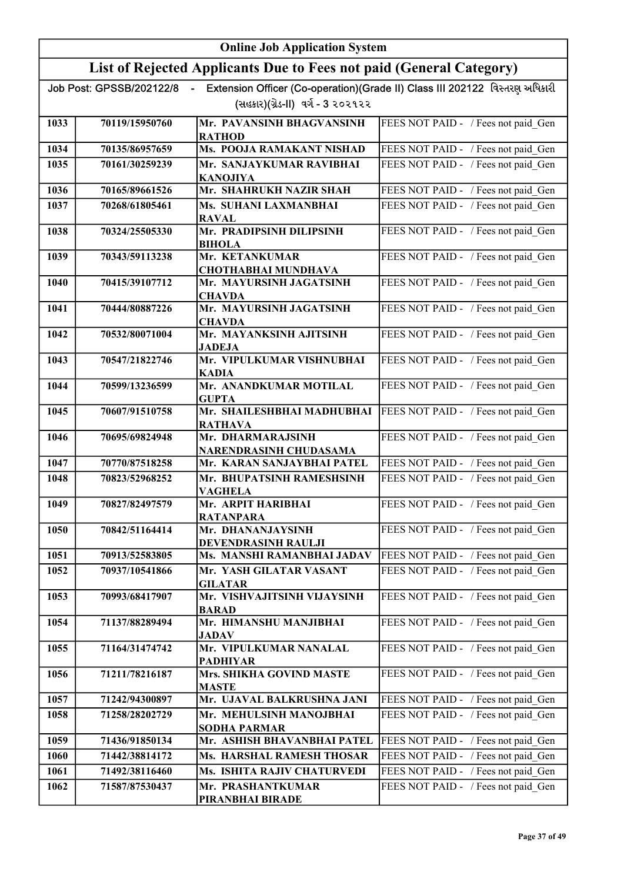|      |                          | <b>Online Job Application System</b>                                |                                                                             |
|------|--------------------------|---------------------------------------------------------------------|-----------------------------------------------------------------------------|
|      |                          | List of Rejected Applicants Due to Fees not paid (General Category) |                                                                             |
|      | Job Post: GPSSB/202122/8 |                                                                     | Extension Officer (Co-operation)(Grade II) Class III 202122 વિસ્તરણ અધિકારી |
|      |                          | (સહકાર)(ગ્રેડ-II) વર્ગ - 3 ૨૦૨૧૨૨                                   |                                                                             |
| 1033 | 70119/15950760           | Mr. PAVANSINH BHAGVANSINH                                           | FEES NOT PAID - / Fees not paid Gen                                         |
| 1034 | 70135/86957659           | <b>RATHOD</b><br>Ms. POOJA RAMAKANT NISHAD                          | FEES NOT PAID - / Fees not paid Gen                                         |
| 1035 | 70161/30259239           | Mr. SANJAYKUMAR RAVIBHAI                                            | FEES NOT PAID - / Fees not paid Gen                                         |
|      |                          | <b>KANOJIYA</b>                                                     |                                                                             |
| 1036 | 70165/89661526           | Mr. SHAHRUKH NAZIR SHAH                                             | FEES NOT PAID - / Fees not paid Gen                                         |
| 1037 | 70268/61805461           | Ms. SUHANI LAXMANBHAI<br><b>RAVAL</b>                               | FEES NOT PAID - / Fees not paid Gen                                         |
| 1038 | 70324/25505330           | Mr. PRADIPSINH DILIPSINH                                            | FEES NOT PAID - / Fees not paid_Gen                                         |
|      |                          | <b>BIHOLA</b>                                                       |                                                                             |
| 1039 | 70343/59113238           | Mr. KETANKUMAR<br><b>CHOTHABHAI MUNDHAVA</b>                        | FEES NOT PAID - / Fees not paid Gen                                         |
| 1040 | 70415/39107712           | Mr. MAYURSINH JAGATSINH                                             | FEES NOT PAID - / Fees not paid_Gen                                         |
|      |                          | <b>CHAVDA</b>                                                       |                                                                             |
| 1041 | 70444/80887226           | Mr. MAYURSINH JAGATSINH<br><b>CHAVDA</b>                            | FEES NOT PAID - / Fees not paid Gen                                         |
| 1042 | 70532/80071004           | Mr. MAYANKSINH AJITSINH<br><b>JADEJA</b>                            | FEES NOT PAID - / Fees not paid_Gen                                         |
| 1043 | 70547/21822746           | Mr. VIPULKUMAR VISHNUBHAI<br><b>KADIA</b>                           | FEES NOT PAID - / Fees not paid Gen                                         |
| 1044 | 70599/13236599           | Mr. ANANDKUMAR MOTILAL<br><b>GUPTA</b>                              | FEES NOT PAID - / Fees not paid Gen                                         |
| 1045 | 70607/91510758           | Mr. SHAILESHBHAI MADHUBHAI<br><b>RATHAVA</b>                        | FEES NOT PAID - / Fees not paid_Gen                                         |
| 1046 | 70695/69824948           | Mr. DHARMARAJSINH                                                   | FEES NOT PAID - / Fees not paid Gen                                         |
|      |                          | NARENDRASINH CHUDASAMA                                              |                                                                             |
| 1047 | 70770/87518258           | Mr. KARAN SANJAYBHAI PATEL                                          | FEES NOT PAID - / Fees not paid Gen                                         |
| 1048 | 70823/52968252           | Mr. BHUPATSINH RAMESHSINH<br><b>VAGHELA</b>                         | FEES NOT PAID - / Fees not paid Gen                                         |
| 1049 | 70827/82497579           | Mr. ARPIT HARIBHAI<br><b>RATANPARA</b>                              | FEES NOT PAID - / Fees not paid_Gen                                         |
| 1050 | 70842/51164414           | Mr. DHANANJAYSINH<br>DEVENDRASINH RAULJI                            | FEES NOT PAID - / Fees not paid Gen                                         |
| 1051 | 70913/52583805           | Ms. MANSHI RAMANBHAI JADAV                                          | FEES NOT PAID - / Fees not paid_Gen                                         |
| 1052 | 70937/10541866           | Mr. YASH GILATAR VASANT<br><b>GILATAR</b>                           | FEES NOT PAID - / Fees not paid Gen                                         |
| 1053 | 70993/68417907           | Mr. VISHVAJITSINH VIJAYSINH<br><b>BARAD</b>                         | FEES NOT PAID - / Fees not paid Gen                                         |
| 1054 | 71137/88289494           | Mr. HIMANSHU MANJIBHAI<br><b>JADAV</b>                              | FEES NOT PAID - / Fees not paid Gen                                         |
| 1055 | 71164/31474742           | Mr. VIPULKUMAR NANALAL<br><b>PADHIYAR</b>                           | FEES NOT PAID - / Fees not paid Gen                                         |
| 1056 | 71211/78216187           | Mrs. SHIKHA GOVIND MASTE<br><b>MASTE</b>                            | FEES NOT PAID - / Fees not paid Gen                                         |
| 1057 | 71242/94300897           | Mr. UJAVAL BALKRUSHNA JANI                                          | FEES NOT PAID - / Fees not paid_Gen                                         |
| 1058 | 71258/28202729           | Mr. MEHULSINH MANOJBHAI                                             | FEES NOT PAID - / Fees not paid_Gen                                         |
|      |                          | <b>SODHA PARMAR</b>                                                 |                                                                             |
| 1059 | 71436/91850134           | Mr. ASHISH BHAVANBHAI PATEL                                         | FEES NOT PAID - / Fees not paid Gen                                         |
| 1060 | 71442/38814172           | Ms. HARSHAL RAMESH THOSAR                                           | FEES NOT PAID - / Fees not paid Gen                                         |
| 1061 | 71492/38116460           | Ms. ISHITA RAJIV CHATURVEDI                                         | FEES NOT PAID - / Fees not paid Gen                                         |
| 1062 | 71587/87530437           | Mr. PRASHANTKUMAR<br>PIRANBHAI BIRADE                               | FEES NOT PAID - / Fees not paid Gen                                         |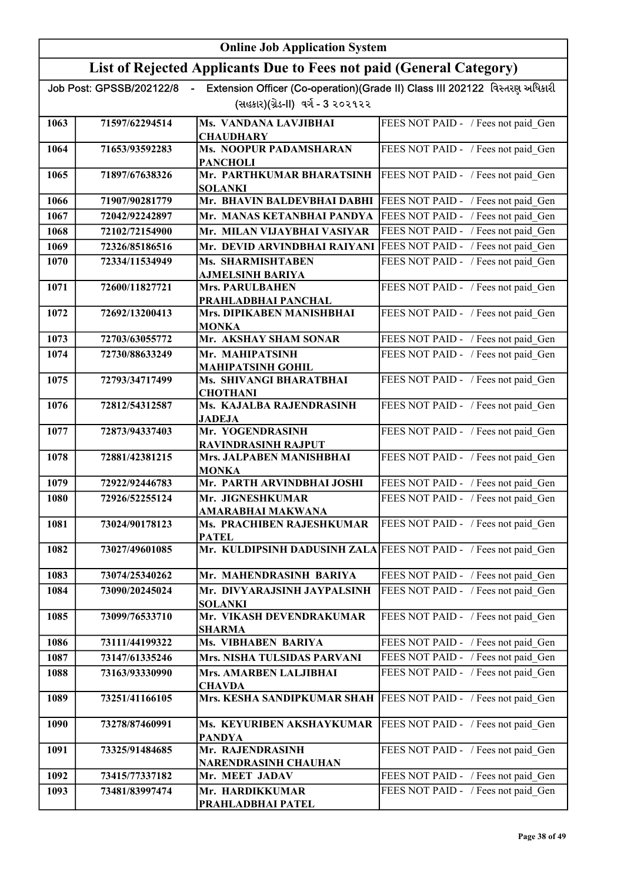|      | <b>Online Job Application System</b> |                                                                     |                                                                             |
|------|--------------------------------------|---------------------------------------------------------------------|-----------------------------------------------------------------------------|
|      |                                      | List of Rejected Applicants Due to Fees not paid (General Category) |                                                                             |
|      | Job Post: GPSSB/202122/8             |                                                                     | Extension Officer (Co-operation)(Grade II) Class III 202122 વિસ્તરણ અધિકારી |
|      |                                      | (સહકાર)(ગ્રેડ-II) વર્ગ - 3 ૨૦૨૧૨૨                                   |                                                                             |
| 1063 | 71597/62294514                       | Ms. VANDANA LAVJIBHAI<br><b>CHAUDHARY</b>                           | FEES NOT PAID - / Fees not paid Gen                                         |
| 1064 | 71653/93592283                       | <b>Ms. NOOPUR PADAMSHARAN</b>                                       | FEES NOT PAID - / Fees not paid Gen                                         |
|      |                                      | <b>PANCHOLI</b>                                                     |                                                                             |
| 1065 | 71897/67638326                       | Mr. PARTHKUMAR BHARATSINH<br><b>SOLANKI</b>                         | FEES NOT PAID - / Fees not paid Gen                                         |
| 1066 | 71907/90281779                       | Mr. BHAVIN BALDEVBHAI DABHI                                         | FEES NOT PAID - / Fees not paid Gen                                         |
| 1067 | 72042/92242897                       | Mr. MANAS KETANBHAI PANDYA                                          | FEES NOT PAID - / Fees not paid Gen                                         |
| 1068 | 72102/72154900                       | Mr. MILAN VIJAYBHAI VASIYAR                                         | FEES NOT PAID - / Fees not paid Gen                                         |
| 1069 | 72326/85186516                       | Mr. DEVID ARVINDBHAI RAIYANI                                        | FEES NOT PAID - / Fees not paid Gen                                         |
| 1070 | 72334/11534949                       | Ms. SHARMISHTABEN                                                   | FEES NOT PAID - / Fees not paid Gen                                         |
| 1071 | 72600/11827721                       | <b>AJMELSINH BARIYA</b><br><b>Mrs. PARULBAHEN</b>                   | FEES NOT PAID - / Fees not paid Gen                                         |
|      |                                      | PRAHLADBHAI PANCHAL                                                 |                                                                             |
| 1072 | 72692/13200413                       | Mrs. DIPIKABEN MANISHBHAI<br><b>MONKA</b>                           | FEES NOT PAID - / Fees not paid Gen                                         |
| 1073 | 72703/63055772                       | Mr. AKSHAY SHAM SONAR                                               | FEES NOT PAID - / Fees not paid Gen                                         |
| 1074 | 72730/88633249                       | Mr. MAHIPATSINH                                                     | FEES NOT PAID - / Fees not paid Gen                                         |
|      |                                      | <b>MAHIPATSINH GOHIL</b>                                            |                                                                             |
| 1075 | 72793/34717499                       | Ms. SHIVANGI BHARATBHAI<br><b>CHOTHANI</b>                          | FEES NOT PAID - / Fees not paid Gen                                         |
| 1076 | 72812/54312587                       | Ms. KAJALBA RAJENDRASINH<br><b>JADEJA</b>                           | FEES NOT PAID - / Fees not paid_Gen                                         |
| 1077 | 72873/94337403                       | Mr. YOGENDRASINH<br><b>RAVINDRASINH RAJPUT</b>                      | FEES NOT PAID - / Fees not paid Gen                                         |
| 1078 | 72881/42381215                       | Mrs. JALPABEN MANISHBHAI<br><b>MONKA</b>                            | FEES NOT PAID - / Fees not paid_Gen                                         |
| 1079 | 72922/92446783                       | Mr. PARTH ARVINDBHAI JOSHI                                          | FEES NOT PAID - / Fees not paid Gen                                         |
| 1080 | 72926/52255124                       | Mr. JIGNESHKUMAR                                                    | FEES NOT PAID - / Fees not paid Gen                                         |
| 1081 | 73024/90178123                       | AMARABHAI MAKWANA<br><b>Ms. PRACHIBEN RAJESHKUMAR</b>               | FEES NOT PAID - / Fees not paid Gen                                         |
|      |                                      | <b>PATEL</b>                                                        |                                                                             |
| 1082 | 73027/49601085                       | Mr. KULDIPSINH DADUSINH ZALA FEES NOT PAID - / Fees not paid Gen    |                                                                             |
| 1083 | 73074/25340262                       | Mr. MAHENDRASINH BARIYA                                             | FEES NOT PAID - / Fees not paid_Gen                                         |
| 1084 | 73090/20245024                       | Mr. DIVYARAJSINH JAYPALSINH                                         | FEES NOT PAID - / Fees not paid Gen                                         |
| 1085 | 73099/76533710                       | <b>SOLANKI</b><br>Mr. VIKASH DEVENDRAKUMAR                          | FEES NOT PAID - / Fees not paid Gen                                         |
| 1086 | 73111/44199322                       | <b>SHARMA</b><br>Ms. VIBHABEN BARIYA                                | FEES NOT PAID - / Fees not paid Gen                                         |
| 1087 | 73147/61335246                       | Mrs. NISHA TULSIDAS PARVANI                                         | FEES NOT PAID - / Fees not paid_Gen                                         |
| 1088 | 73163/93330990                       | Mrs. AMARBEN LALJIBHAI                                              | FEES NOT PAID - / Fees not paid Gen                                         |
|      |                                      | <b>CHAVDA</b>                                                       |                                                                             |
| 1089 | 73251/41166105                       | Mrs. KESHA SANDIPKUMAR SHAH                                         | FEES NOT PAID - / Fees not paid Gen                                         |
| 1090 | 73278/87460991                       | Ms. KEYURIBEN AKSHAYKUMAR<br><b>PANDYA</b>                          | FEES NOT PAID - / Fees not paid Gen                                         |
| 1091 | 73325/91484685                       | Mr. RAJENDRASINH                                                    | FEES NOT PAID - / Fees not paid_Gen                                         |
| 1092 | 73415/77337182                       | NARENDRASINH CHAUHAN<br>Mr. MEET JADAV                              | FEES NOT PAID - / Fees not paid Gen                                         |
| 1093 | 73481/83997474                       | Mr. HARDIKKUMAR                                                     | FEES NOT PAID - / Fees not paid Gen                                         |
|      |                                      | PRAHLADBHAI PATEL                                                   |                                                                             |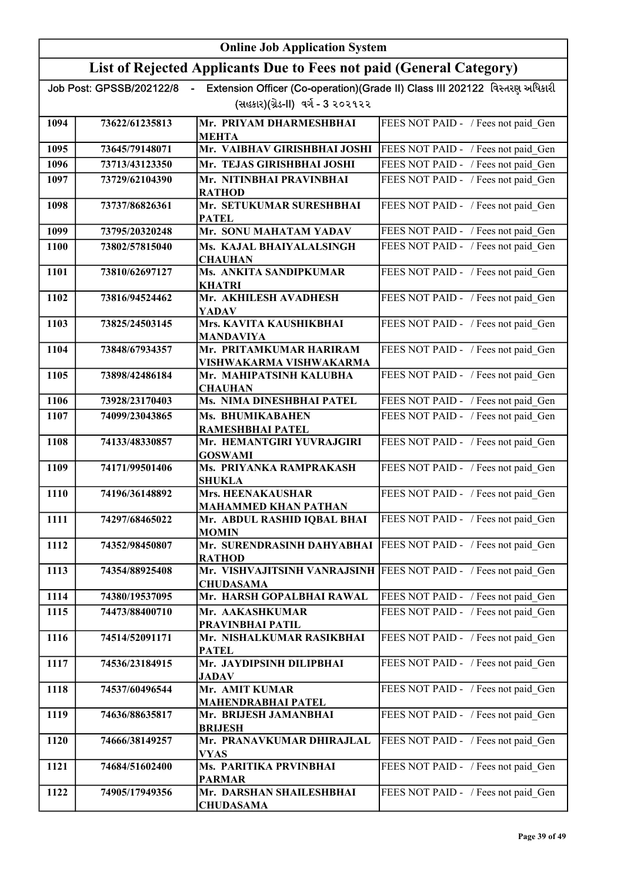|      | <b>Online Job Application System</b> |                                                                                      |                                                                             |
|------|--------------------------------------|--------------------------------------------------------------------------------------|-----------------------------------------------------------------------------|
|      |                                      | List of Rejected Applicants Due to Fees not paid (General Category)                  |                                                                             |
|      | Job Post: GPSSB/202122/8             | $\sim$                                                                               | Extension Officer (Co-operation)(Grade II) Class III 202122 વિસ્તરણ અધિકારી |
|      |                                      | (સહકાર)(ગ્રેડ-II) વર્ગ - 3 ૨૦૨૧૨૨                                                    |                                                                             |
| 1094 | 73622/61235813                       | Mr. PRIYAM DHARMESHBHAI<br><b>MEHTA</b>                                              | FEES NOT PAID - / Fees not paid Gen                                         |
| 1095 | 73645/79148071                       | Mr. VAIBHAV GIRISHBHAI JOSHI                                                         | FEES NOT PAID - / Fees not paid Gen                                         |
| 1096 | 73713/43123350                       | Mr. TEJAS GIRISHBHAI JOSHI                                                           | FEES NOT PAID - / Fees not paid Gen                                         |
| 1097 | 73729/62104390                       | Mr. NITINBHAI PRAVINBHAI<br><b>RATHOD</b>                                            | FEES NOT PAID - / Fees not paid Gen                                         |
| 1098 | 73737/86826361                       | Mr. SETUKUMAR SURESHBHAI<br><b>PATEL</b>                                             | FEES NOT PAID - / Fees not paid Gen                                         |
| 1099 | 73795/20320248                       | Mr. SONU MAHATAM YADAV                                                               | FEES NOT PAID - / Fees not paid Gen                                         |
| 1100 | 73802/57815040                       | Ms. KAJAL BHAIYALALSINGH<br><b>CHAUHAN</b>                                           | FEES NOT PAID - / Fees not paid Gen                                         |
| 1101 | 73810/62697127                       | Ms. ANKITA SANDIPKUMAR<br><b>KHATRI</b>                                              | FEES NOT PAID - / Fees not paid Gen                                         |
| 1102 | 73816/94524462                       | Mr. AKHILESH AVADHESH<br><b>YADAV</b>                                                | FEES NOT PAID - / Fees not paid Gen                                         |
| 1103 | 73825/24503145                       | Mrs. KAVITA KAUSHIKBHAI<br><b>MANDAVIYA</b>                                          | FEES NOT PAID - / Fees not paid Gen                                         |
| 1104 | 73848/67934357                       | Mr. PRITAMKUMAR HARIRAM<br>VISHWAKARMA VISHWAKARMA                                   | FEES NOT PAID - / Fees not paid Gen                                         |
| 1105 | 73898/42486184                       | Mr. MAHIPATSINH KALUBHA<br><b>CHAUHAN</b>                                            | FEES NOT PAID - / Fees not paid Gen                                         |
| 1106 | 73928/23170403                       | Ms. NIMA DINESHBHAI PATEL                                                            | FEES NOT PAID - / Fees not paid Gen                                         |
| 1107 | 74099/23043865                       | Ms. BHUMIKABAHEN<br>RAMESHBHAI PATEL                                                 | FEES NOT PAID - / Fees not paid Gen                                         |
| 1108 | 74133/48330857                       | Mr. HEMANTGIRI YUVRAJGIRI<br><b>GOSWAMI</b>                                          | FEES NOT PAID - / Fees not paid Gen                                         |
| 1109 | 74171/99501406                       | Ms. PRIYANKA RAMPRAKASH<br><b>SHUKLA</b>                                             | FEES NOT PAID - / Fees not paid Gen                                         |
| 1110 | 74196/36148892                       | Mrs. HEENAKAUSHAR<br><b>MAHAMMED KHAN PATHAN</b>                                     | FEES NOT PAID - / Fees not paid Gen                                         |
| 1111 | 74297/68465022                       | Mr. ABDUL RASHID IQBAL BHAI<br><b>MOMIN</b>                                          | FEES NOT PAID - / Fees not paid Gen                                         |
| 1112 | 74352/98450807                       | Mr. SURENDRASINH DAHYABHAI<br><b>RATHOD</b>                                          | FEES NOT PAID - / Fees not paid Gen                                         |
| 1113 | 74354/88925408                       | Mr. VISHVAJITSINH VANRAJSINH FEES NOT PAID - / Fees not paid Gen<br><b>CHUDASAMA</b> |                                                                             |
| 1114 | 74380/19537095                       | Mr. HARSH GOPALBHAI RAWAL                                                            | FEES NOT PAID - / Fees not paid Gen                                         |
| 1115 | 74473/88400710                       | Mr. AAKASHKUMAR<br>PRAVINBHAI PATIL                                                  | FEES NOT PAID - / Fees not paid Gen                                         |
| 1116 | 74514/52091171                       | Mr. NISHALKUMAR RASIKBHAI<br><b>PATEL</b>                                            | FEES NOT PAID - / Fees not paid Gen                                         |
| 1117 | 74536/23184915                       | Mr. JAYDIPSINH DILIPBHAI<br><b>JADAV</b>                                             | FEES NOT PAID - / Fees not paid_Gen                                         |
| 1118 | 74537/60496544                       | Mr. AMIT KUMAR<br><b>MAHENDRABHAI PATEL</b>                                          | FEES NOT PAID - / Fees not paid Gen                                         |
| 1119 | 74636/88635817                       | Mr. BRIJESH JAMANBHAI<br><b>BRIJESH</b>                                              | FEES NOT PAID - / Fees not paid_Gen                                         |
| 1120 | 74666/38149257                       | Mr. PRANAVKUMAR DHIRAJLAL<br><b>VYAS</b>                                             | FEES NOT PAID - / Fees not paid_Gen                                         |
| 1121 | 74684/51602400                       | Ms. PARITIKA PRVINBHAI<br><b>PARMAR</b>                                              | FEES NOT PAID - / Fees not paid_Gen                                         |
| 1122 | 74905/17949356                       | Mr. DARSHAN SHAILESHBHAI<br><b>CHUDASAMA</b>                                         | FEES NOT PAID - / Fees not paid Gen                                         |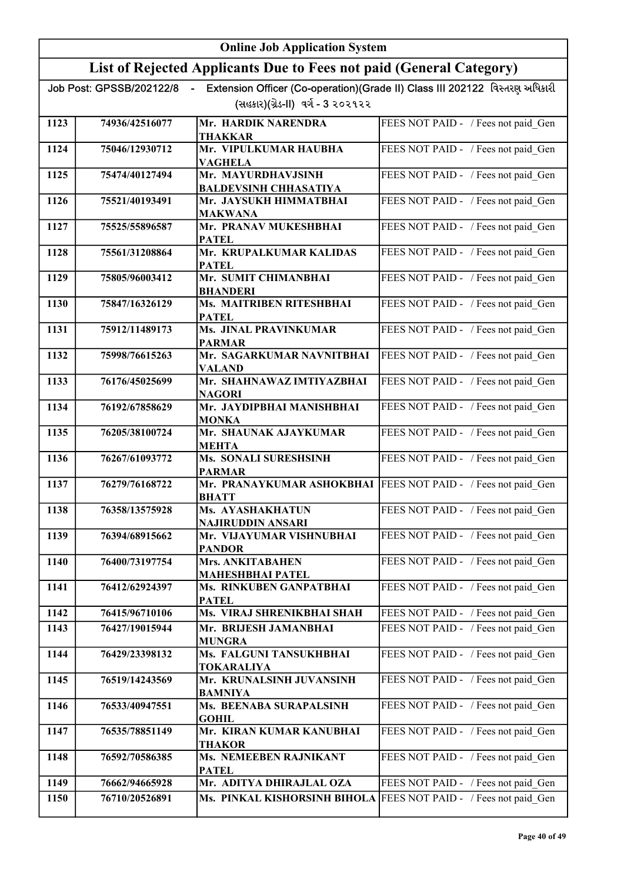|      | <b>Online Job Application System</b> |                                                                     |                                                                             |
|------|--------------------------------------|---------------------------------------------------------------------|-----------------------------------------------------------------------------|
|      |                                      | List of Rejected Applicants Due to Fees not paid (General Category) |                                                                             |
|      | Job Post: GPSSB/202122/8             | (સહકાર)(ગ્રેડ-II) વર્ગ - 3 ૨૦૨૧૨૨                                   | Extension Officer (Co-operation)(Grade II) Class III 202122 વિસ્તરણ અધિકારી |
| 1123 | 74936/42516077                       | Mr. HARDIK NARENDRA<br><b>THAKKAR</b>                               | FEES NOT PAID - / Fees not paid Gen                                         |
| 1124 | 75046/12930712                       | Mr. VIPULKUMAR HAUBHA<br><b>VAGHELA</b>                             | FEES NOT PAID - / Fees not paid Gen                                         |
| 1125 | 75474/40127494                       | Mr. MAYURDHAVJSINH<br><b>BALDEVSINH CHHASATIYA</b>                  | FEES NOT PAID - / Fees not paid Gen                                         |
| 1126 | 75521/40193491                       | Mr. JAYSUKH HIMMATBHAI<br><b>MAKWANA</b>                            | FEES NOT PAID - / Fees not paid Gen                                         |
| 1127 | 75525/55896587                       | Mr. PRANAV MUKESHBHAI<br><b>PATEL</b>                               | FEES NOT PAID - / Fees not paid Gen                                         |
| 1128 | 75561/31208864                       | Mr. KRUPALKUMAR KALIDAS<br><b>PATEL</b>                             | FEES NOT PAID - / Fees not paid Gen                                         |
| 1129 | 75805/96003412                       | Mr. SUMIT CHIMANBHAI<br><b>BHANDERI</b>                             | FEES NOT PAID - / Fees not paid Gen                                         |
| 1130 | 75847/16326129                       | Ms. MAITRIBEN RITESHBHAI<br><b>PATEL</b>                            | FEES NOT PAID - / Fees not paid Gen                                         |
| 1131 | 75912/11489173                       | <b>Ms. JINAL PRAVINKUMAR</b><br><b>PARMAR</b>                       | FEES NOT PAID - / Fees not paid Gen                                         |
| 1132 | 75998/76615263                       | Mr. SAGARKUMAR NAVNITBHAI<br><b>VALAND</b>                          | FEES NOT PAID - / Fees not paid Gen                                         |
| 1133 | 76176/45025699                       | Mr. SHAHNAWAZ IMTIYAZBHAI<br><b>NAGORI</b>                          | FEES NOT PAID - / Fees not paid Gen                                         |
| 1134 | 76192/67858629                       | Mr. JAYDIPBHAI MANISHBHAI<br><b>MONKA</b>                           | FEES NOT PAID - / Fees not paid_Gen                                         |
| 1135 | 76205/38100724                       | Mr. SHAUNAK AJAYKUMAR<br><b>MEHTA</b>                               | FEES NOT PAID - / Fees not paid Gen                                         |
| 1136 | 76267/61093772                       | <b>Ms. SONALI SURESHSINH</b><br><b>PARMAR</b>                       | FEES NOT PAID - / Fees not paid Gen                                         |
| 1137 | 76279/76168722                       | Mr. PRANAYKUMAR ASHOKBHAI<br><b>BHATT</b>                           | FEES NOT PAID - / Fees not paid Gen                                         |
| 1138 | 76358/13575928                       | Ms. AYASHAKHATUN<br><b>NAJIRUDDIN ANSARI</b>                        | FEES NOT PAID - / Fees not paid Gen                                         |
| 1139 | 76394/68915662                       | Mr. VIJAYUMAR VISHNUBHAI<br><b>PANDOR</b>                           | FEES NOT PAID - / Fees not paid Gen                                         |
| 1140 | 76400/73197754                       | <b>Mrs. ANKITABAHEN</b><br><b>MAHESHBHAI PATEL</b>                  | FEES NOT PAID - / Fees not paid_Gen                                         |
| 1141 | 76412/62924397                       | Ms. RINKUBEN GANPATBHAI<br><b>PATEL</b>                             | FEES NOT PAID - / Fees not paid Gen                                         |
| 1142 | 76415/96710106                       | Ms. VIRAJ SHRENIKBHAI SHAH                                          | FEES NOT PAID - / Fees not paid Gen                                         |
| 1143 | 76427/19015944                       | Mr. BRIJESH JAMANBHAI<br><b>MUNGRA</b>                              | FEES NOT PAID - / Fees not paid Gen                                         |
| 1144 | 76429/23398132                       | Ms. FALGUNI TANSUKHBHAI<br><b>TOKARALIYA</b>                        | FEES NOT PAID - / Fees not paid Gen                                         |
| 1145 | 76519/14243569                       | Mr. KRUNALSINH JUVANSINH<br><b>BAMNIYA</b>                          | FEES NOT PAID - / Fees not paid Gen                                         |
| 1146 | 76533/40947551                       | Ms. BEENABA SURAPALSINH<br><b>GOHIL</b>                             | FEES NOT PAID - / Fees not paid_Gen                                         |
| 1147 | 76535/78851149                       | Mr. KIRAN KUMAR KANUBHAI<br><b>THAKOR</b>                           | FEES NOT PAID - / Fees not paid Gen                                         |
| 1148 | 76592/70586385                       | Ms. NEMEEBEN RAJNIKANT<br><b>PATEL</b>                              | FEES NOT PAID - / Fees not paid Gen                                         |
| 1149 | 76662/94665928                       | Mr. ADITYA DHIRAJLAL OZA                                            | FEES NOT PAID - / Fees not paid Gen                                         |
| 1150 | 76710/20526891                       | Ms. PINKAL KISHORSINH BIHOLA                                        | FEES NOT PAID - / Fees not paid Gen                                         |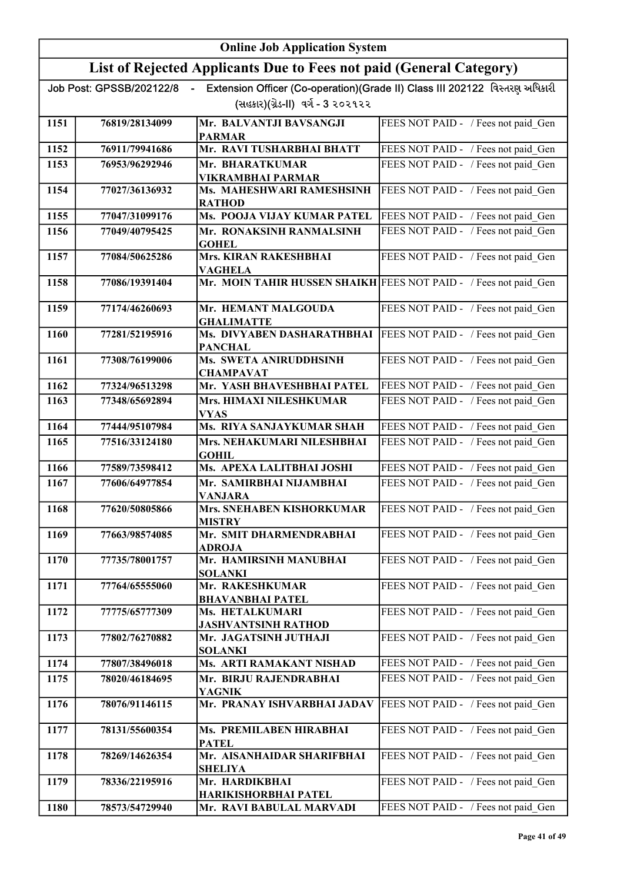|      | <b>Online Job Application System</b> |                                                                     |                                                                             |
|------|--------------------------------------|---------------------------------------------------------------------|-----------------------------------------------------------------------------|
|      |                                      | List of Rejected Applicants Due to Fees not paid (General Category) |                                                                             |
|      | Job Post: GPSSB/202122/8             |                                                                     | Extension Officer (Co-operation)(Grade II) Class III 202122 વિસ્તરણ અધિકારી |
|      |                                      | (સહકાર)(ગ્રેડ-II) વર્ગ - 3 ૨૦૨૧૨૨                                   |                                                                             |
| 1151 | 76819/28134099                       | Mr. BALVANTJI BAVSANGJI<br><b>PARMAR</b>                            | FEES NOT PAID - / Fees not paid Gen                                         |
| 1152 | 76911/79941686                       | Mr. RAVI TUSHARBHAI BHATT                                           | FEES NOT PAID - / Fees not paid Gen                                         |
| 1153 | 76953/96292946                       | Mr. BHARATKUMAR                                                     | FEES NOT PAID - / Fees not paid Gen                                         |
| 1154 | 77027/36136932                       | <b>VIKRAMBHAI PARMAR</b><br>Ms. MAHESHWARI RAMESHSINH               | FEES NOT PAID - / Fees not paid Gen                                         |
|      |                                      | <b>RATHOD</b>                                                       |                                                                             |
| 1155 | 77047/31099176                       | Ms. POOJA VIJAY KUMAR PATEL                                         | FEES NOT PAID - / Fees not paid Gen                                         |
| 1156 | 77049/40795425                       | Mr. RONAKSINH RANMALSINH<br><b>GOHEL</b>                            | FEES NOT PAID - / Fees not paid Gen                                         |
| 1157 | 77084/50625286                       | <b>Mrs. KIRAN RAKESHBHAI</b><br><b>VAGHELA</b>                      | FEES NOT PAID - / Fees not paid_Gen                                         |
| 1158 | 77086/19391404                       | Mr. MOIN TAHIR HUSSEN SHAIKH FEES NOT PAID - / Fees not paid Gen    |                                                                             |
| 1159 | 77174/46260693                       | Mr. HEMANT MALGOUDA<br><b>GHALIMATTE</b>                            | FEES NOT PAID - / Fees not paid Gen                                         |
| 1160 | 77281/52195916                       | Ms. DIVYABEN DASHARATHBHAI<br><b>PANCHAL</b>                        | FEES NOT PAID - / Fees not paid Gen                                         |
| 1161 | 77308/76199006                       | Ms. SWETA ANIRUDDHSINH<br><b>CHAMPAVAT</b>                          | FEES NOT PAID - / Fees not paid Gen                                         |
| 1162 | 77324/96513298                       | Mr. YASH BHAVESHBHAI PATEL                                          | FEES NOT PAID - / Fees not paid Gen                                         |
| 1163 | 77348/65692894                       | Mrs. HIMAXI NILESHKUMAR<br><b>VYAS</b>                              | FEES NOT PAID - / Fees not paid Gen                                         |
| 1164 | 77444/95107984                       | Ms. RIYA SANJAYKUMAR SHAH                                           | FEES NOT PAID - / Fees not paid Gen                                         |
| 1165 | 77516/33124180                       | Mrs. NEHAKUMARI NILESHBHAI<br><b>GOHIL</b>                          | FEES NOT PAID - / Fees not paid Gen                                         |
| 1166 | 77589/73598412                       | Ms. APEXA LALITBHAI JOSHI                                           | FEES NOT PAID - / Fees not paid Gen                                         |
| 1167 | 77606/64977854                       | Mr. SAMIRBHAI NIJAMBHAI                                             | FEES NOT PAID - / Fees not paid Gen                                         |
| 1168 | 77620/50805866                       | <b>VANJARA</b><br>Mrs. SNEHABEN KISHORKUMAR<br><b>MISTRY</b>        | FEES NOT PAID - / Fees not paid Gen                                         |
| 1169 | 77663/98574085                       | Mr. SMIT DHARMENDRABHAI<br><b>ADROJA</b>                            | FEES NOT PAID - / Fees not paid Gen                                         |
| 1170 | 77735/78001757                       | Mr. HAMIRSINH MANUBHAI<br><b>SOLANKI</b>                            | FEES NOT PAID - / Fees not paid Gen                                         |
| 1171 | 77764/65555060                       | Mr. RAKESHKUMAR<br><b>BHAVANBHAI PATEL</b>                          | FEES NOT PAID - / Fees not paid_Gen                                         |
| 1172 | 77775/65777309                       | Ms. HETALKUMARI<br><b>JASHVANTSINH RATHOD</b>                       | FEES NOT PAID - / Fees not paid Gen                                         |
| 1173 | 77802/76270882                       | Mr. JAGATSINH JUTHAJI<br><b>SOLANKI</b>                             | FEES NOT PAID - / Fees not paid Gen                                         |
| 1174 | 77807/38496018                       | Ms. ARTI RAMAKANT NISHAD                                            | FEES NOT PAID - / Fees not paid_Gen                                         |
| 1175 | 78020/46184695                       | Mr. BIRJU RAJENDRABHAI<br><b>YAGNIK</b>                             | FEES NOT PAID - / Fees not paid Gen                                         |
| 1176 | 78076/91146115                       | Mr. PRANAY ISHVARBHAI JADAV                                         | FEES NOT PAID - / Fees not paid_Gen                                         |
| 1177 | 78131/55600354                       | Ms. PREMILABEN HIRABHAI<br><b>PATEL</b>                             | FEES NOT PAID - / Fees not paid Gen                                         |
| 1178 | 78269/14626354                       | Mr. AISANHAIDAR SHARIFBHAI<br><b>SHELIYA</b>                        | FEES NOT PAID - / Fees not paid_Gen                                         |
| 1179 | 78336/22195916                       | Mr. HARDIKBHAI<br>HARIKISHORBHAI PATEL                              | FEES NOT PAID - / Fees not paid Gen                                         |
| 1180 | 78573/54729940                       | Mr. RAVI BABULAL MARVADI                                            | FEES NOT PAID - / Fees not paid Gen                                         |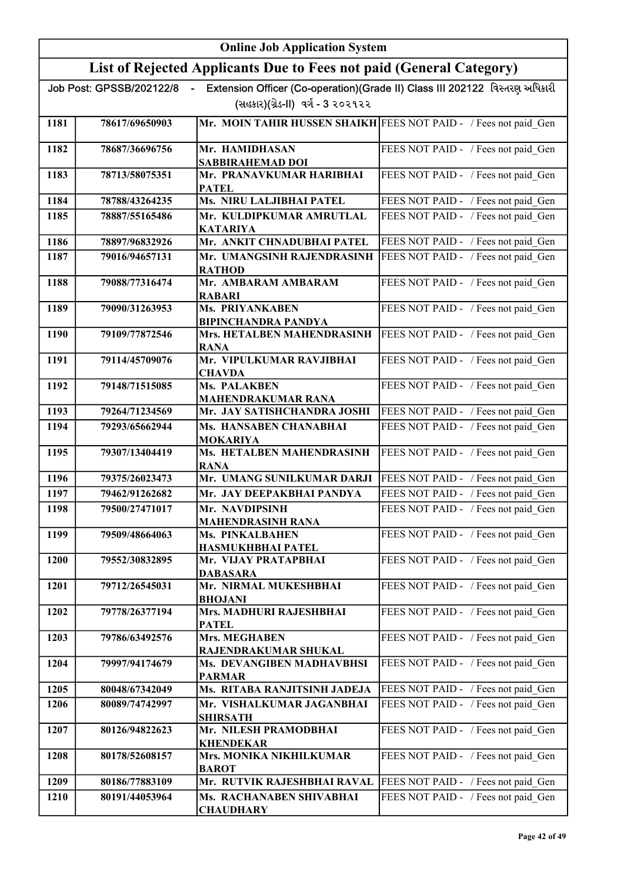|      | <b>Online Job Application System</b> |                                                                     |                                                                             |
|------|--------------------------------------|---------------------------------------------------------------------|-----------------------------------------------------------------------------|
|      |                                      | List of Rejected Applicants Due to Fees not paid (General Category) |                                                                             |
|      | Job Post: GPSSB/202122/8             | $\sim$                                                              | Extension Officer (Co-operation)(Grade II) Class III 202122 વિસ્તરણ અધિકારી |
|      |                                      | (સહકાર)(ગ્રેડ-II) વર્ગ - 3 ૨૦૨૧૨૨                                   |                                                                             |
| 1181 | 78617/69650903                       | Mr. MOIN TAHIR HUSSEN SHAIKH FEES NOT PAID - / Fees not paid Gen    |                                                                             |
| 1182 | 78687/36696756                       | Mr. HAMIDHASAN<br><b>SABBIRAHEMAD DOI</b>                           | FEES NOT PAID - / Fees not paid Gen                                         |
| 1183 | 78713/58075351                       | Mr. PRANAVKUMAR HARIBHAI<br><b>PATEL</b>                            | FEES NOT PAID - / Fees not paid Gen                                         |
| 1184 | 78788/43264235                       | Ms. NIRU LALJIBHAI PATEL                                            | FEES NOT PAID - / Fees not paid Gen                                         |
| 1185 | 78887/55165486                       | Mr. KULDIPKUMAR AMRUTLAL<br><b>KATARIYA</b>                         | FEES NOT PAID - / Fees not paid_Gen                                         |
| 1186 | 78897/96832926                       | Mr. ANKIT CHNADUBHAI PATEL                                          | FEES NOT PAID - / Fees not paid_Gen                                         |
| 1187 | 79016/94657131                       | Mr. UMANGSINH RAJENDRASINH<br><b>RATHOD</b>                         | FEES NOT PAID - / Fees not paid_Gen                                         |
| 1188 | 79088/77316474                       | Mr. AMBARAM AMBARAM<br><b>RABARI</b>                                | FEES NOT PAID - / Fees not paid_Gen                                         |
| 1189 | 79090/31263953                       | <b>Ms. PRIYANKABEN</b><br><b>BIPINCHANDRA PANDYA</b>                | FEES NOT PAID - / Fees not paid_Gen                                         |
| 1190 | 79109/77872546                       | Mrs. HETALBEN MAHENDRASINH<br><b>RANA</b>                           | FEES NOT PAID - / Fees not paid_Gen                                         |
| 1191 | 79114/45709076                       | Mr. VIPULKUMAR RAVJIBHAI<br><b>CHAVDA</b>                           | FEES NOT PAID - / Fees not paid_Gen                                         |
| 1192 | 79148/71515085                       | <b>Ms. PALAKBEN</b>                                                 | FEES NOT PAID - / Fees not paid Gen                                         |
| 1193 | 79264/71234569                       | <b>MAHENDRAKUMAR RANA</b><br>Mr. JAY SATISHCHANDRA JOSHI            | FEES NOT PAID - / Fees not paid Gen                                         |
| 1194 | 79293/65662944                       | Ms. HANSABEN CHANABHAI<br><b>MOKARIYA</b>                           | FEES NOT PAID - / Fees not paid Gen                                         |
| 1195 | 79307/13404419                       | Ms. HETALBEN MAHENDRASINH<br><b>RANA</b>                            | FEES NOT PAID - / Fees not paid Gen                                         |
| 1196 | 79375/26023473                       | Mr. UMANG SUNILKUMAR DARJI                                          | FEES NOT PAID - / Fees not paid Gen                                         |
| 1197 | 79462/91262682                       | Mr. JAY DEEPAKBHAI PANDYA                                           | FEES NOT PAID - / Fees not paid Gen                                         |
| 1198 | 79500/27471017                       | Mr. NAVDIPSINH<br><b>MAHENDRASINH RANA</b>                          | FEES NOT PAID - / Fees not paid Gen                                         |
| 1199 | 79509/48664063                       | Ms. PINKALBAHEN<br>HASMUKHBHAI PATEL                                | FEES NOT PAID - / Fees not paid Gen                                         |
| 1200 | 79552/30832895                       | Mr. VIJAY PRATAPBHAI<br><b>DABASARA</b>                             | FEES NOT PAID - / Fees not paid Gen                                         |
| 1201 | 79712/26545031                       | Mr. NIRMAL MUKESHBHAI<br><b>BHOJANI</b>                             | FEES NOT PAID - / Fees not paid Gen                                         |
| 1202 | 79778/26377194                       | Mrs. MADHURI RAJESHBHAI<br><b>PATEL</b>                             | FEES NOT PAID - / Fees not paid_Gen                                         |
| 1203 | 79786/63492576                       | Mrs. MEGHABEN<br>RAJENDRAKUMAR SHUKAL                               | FEES NOT PAID - / Fees not paid Gen                                         |
| 1204 | 79997/94174679                       | Ms. DEVANGIBEN MADHAVBHSI<br><b>PARMAR</b>                          | FEES NOT PAID - / Fees not paid_Gen                                         |
| 1205 | 80048/67342049                       | Ms. RITABA RANJITSINH JADEJA                                        | FEES NOT PAID - / Fees not paid Gen                                         |
| 1206 | 80089/74742997                       | Mr. VISHALKUMAR JAGANBHAI<br><b>SHIRSATH</b>                        | FEES NOT PAID - / Fees not paid Gen                                         |
| 1207 | 80126/94822623                       | Mr. NILESH PRAMODBHAI<br><b>KHENDEKAR</b>                           | FEES NOT PAID - / Fees not paid Gen                                         |
| 1208 | 80178/52608157                       | Mrs. MONIKA NIKHILKUMAR<br><b>BAROT</b>                             | FEES NOT PAID - / Fees not paid_Gen                                         |
| 1209 | 80186/77883109                       | Mr. RUTVIK RAJESHBHAI RAVAL                                         | FEES NOT PAID - / Fees not paid_Gen                                         |
| 1210 | 80191/44053964                       | Ms. RACHANABEN SHIVABHAI<br><b>CHAUDHARY</b>                        | FEES NOT PAID - / Fees not paid Gen                                         |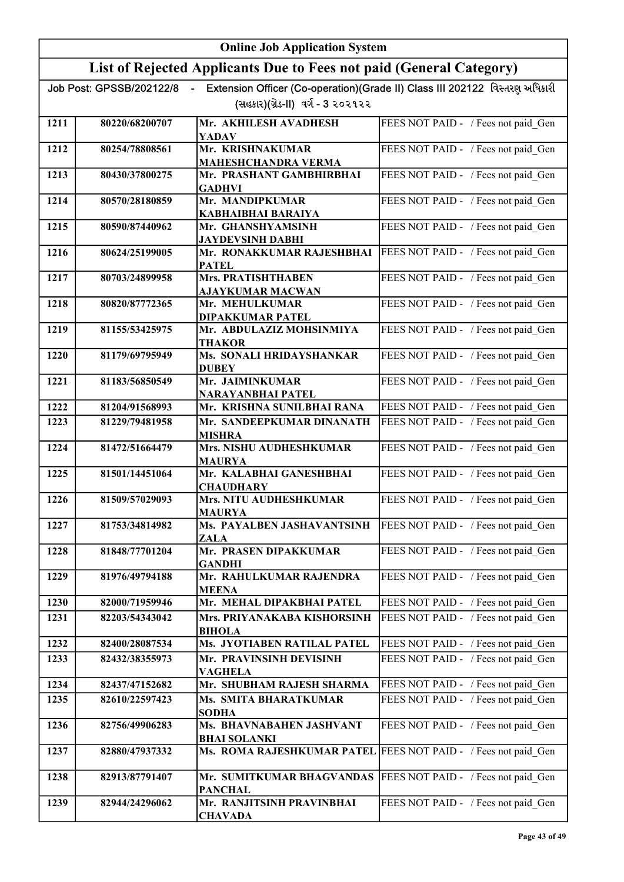|      | <b>Online Job Application System</b> |                                                                     |                                                                             |
|------|--------------------------------------|---------------------------------------------------------------------|-----------------------------------------------------------------------------|
|      |                                      | List of Rejected Applicants Due to Fees not paid (General Category) |                                                                             |
|      | Job Post: GPSSB/202122/8             | $\sim$                                                              | Extension Officer (Co-operation)(Grade II) Class III 202122 વિસ્તરણ અધિકારી |
|      |                                      | (સહકાર)(ગ્રેડ-II) વર્ગ - 3 ૨૦૨૧૨૨                                   |                                                                             |
| 1211 | 80220/68200707                       | Mr. AKHILESH AVADHESH<br><b>YADAV</b>                               | FEES NOT PAID - / Fees not paid Gen                                         |
| 1212 | 80254/78808561                       | Mr. KRISHNAKUMAR                                                    | FEES NOT PAID - / Fees not paid Gen                                         |
|      |                                      | <b>MAHESHCHANDRA VERMA</b>                                          |                                                                             |
| 1213 | 80430/37800275                       | Mr. PRASHANT GAMBHIRBHAI<br><b>GADHVI</b>                           | FEES NOT PAID - / Fees not paid Gen                                         |
| 1214 | 80570/28180859                       | Mr. MANDIPKUMAR<br><b>KABHAIBHAI BARAIYA</b>                        | FEES NOT PAID - / Fees not paid Gen                                         |
| 1215 | 80590/87440962                       | Mr. GHANSHYAMSINH                                                   | FEES NOT PAID - / Fees not paid Gen                                         |
|      |                                      | <b>JAYDEVSINH DABHI</b>                                             |                                                                             |
| 1216 | 80624/25199005                       | Mr. RONAKKUMAR RAJESHBHAI<br><b>PATEL</b>                           | FEES NOT PAID - / Fees not paid Gen                                         |
| 1217 | 80703/24899958                       | <b>Mrs. PRATISHTHABEN</b><br><b>AJAYKUMAR MACWAN</b>                | FEES NOT PAID - / Fees not paid Gen                                         |
| 1218 | 80820/87772365                       | Mr. MEHULKUMAR                                                      | FEES NOT PAID - / Fees not paid Gen                                         |
| 1219 | 81155/53425975                       | <b>DIPAKKUMAR PATEL</b><br>Mr. ABDULAZIZ MOHSINMIYA                 | FEES NOT PAID - / Fees not paid Gen                                         |
|      |                                      | <b>THAKOR</b>                                                       |                                                                             |
| 1220 | 81179/69795949                       | Ms. SONALI HRIDAYSHANKAR<br><b>DUBEY</b>                            | FEES NOT PAID - / Fees not paid Gen                                         |
| 1221 | 81183/56850549                       | Mr. JAIMINKUMAR<br>NARAYANBHAI PATEL                                | FEES NOT PAID - / Fees not paid Gen                                         |
| 1222 | 81204/91568993                       | Mr. KRISHNA SUNILBHAI RANA                                          | FEES NOT PAID - / Fees not paid Gen                                         |
| 1223 | 81229/79481958                       | Mr. SANDEEPKUMAR DINANATH                                           | FEES NOT PAID - / Fees not paid Gen                                         |
|      |                                      | <b>MISHRA</b>                                                       |                                                                             |
| 1224 | 81472/51664479                       | Mrs. NISHU AUDHESHKUMAR<br><b>MAURYA</b>                            | FEES NOT PAID - / Fees not paid Gen                                         |
| 1225 | 81501/14451064                       | Mr. KALABHAI GANESHBHAI<br><b>CHAUDHARY</b>                         | FEES NOT PAID - / Fees not paid Gen                                         |
| 1226 | 81509/57029093                       | Mrs. NITU AUDHESHKUMAR<br><b>MAURYA</b>                             | FEES NOT PAID - / Fees not paid Gen                                         |
| 1227 | 81753/34814982                       | Ms. PAYALBEN JASHAVANTSINH<br>ZALA                                  | FEES NOT PAID - / Fees not paid Gen                                         |
| 1228 | 81848/77701204                       | Mr. PRASEN DIPAKKUMAR                                               | FEES NOT PAID - / Fees not paid_Gen                                         |
| 1229 | 81976/49794188                       | <b>GANDHI</b><br>Mr. RAHULKUMAR RAJENDRA                            | FEES NOT PAID - / Fees not paid Gen                                         |
| 1230 | 82000/71959946                       | <b>MEENA</b><br>Mr. MEHAL DIPAKBHAI PATEL                           | FEES NOT PAID - / Fees not paid Gen                                         |
| 1231 | 82203/54343042                       | Mrs. PRIYANAKABA KISHORSINH                                         | FEES NOT PAID - / Fees not paid Gen                                         |
| 1232 | 82400/28087534                       | <b>BIHOLA</b><br>Ms. JYOTIABEN RATILAL PATEL                        | FEES NOT PAID - / Fees not paid_Gen                                         |
| 1233 | 82432/38355973                       | Mr. PRAVINSINH DEVISINH                                             | FEES NOT PAID - / Fees not paid Gen                                         |
|      |                                      | <b>VAGHELA</b>                                                      |                                                                             |
| 1234 | 82437/47152682                       | Mr. SHUBHAM RAJESH SHARMA                                           | FEES NOT PAID - / Fees not paid_Gen                                         |
| 1235 | 82610/22597423                       | Ms. SMITA BHARATKUMAR<br><b>SODHA</b>                               | FEES NOT PAID - / Fees not paid Gen                                         |
| 1236 | 82756/49906283                       | Ms. BHAVNABAHEN JASHVANT<br><b>BHAI SOLANKI</b>                     | FEES NOT PAID - / Fees not paid_Gen                                         |
| 1237 | 82880/47937332                       | Ms. ROMA RAJESHKUMAR PATEL                                          | FEES NOT PAID - / Fees not paid_Gen                                         |
| 1238 | 82913/87791407                       | Mr. SUMITKUMAR BHAGVANDAS                                           | FEES NOT PAID - / Fees not paid_Gen                                         |
| 1239 | 82944/24296062                       | <b>PANCHAL</b><br>Mr. RANJITSINH PRAVINBHAI<br><b>CHAVADA</b>       | FEES NOT PAID - / Fees not paid Gen                                         |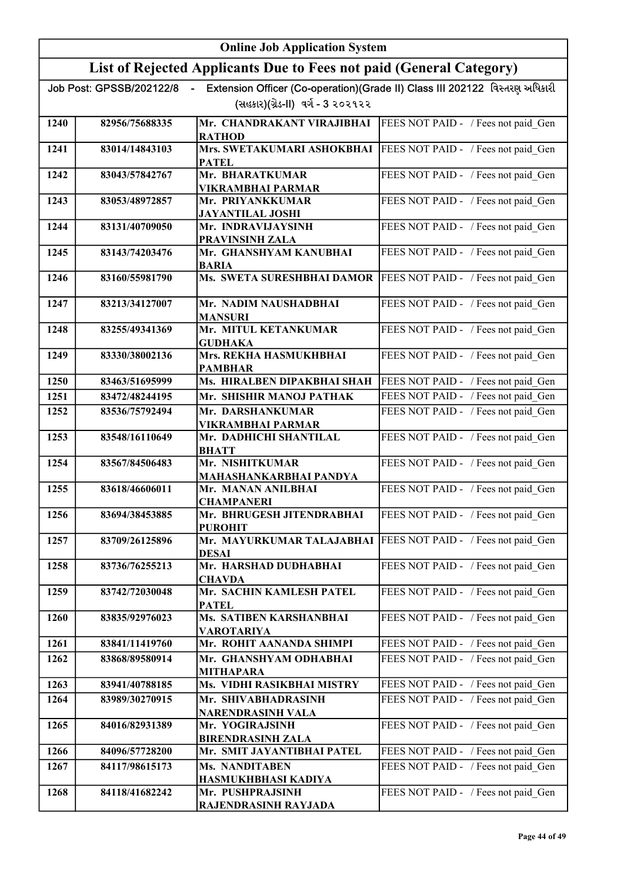|      | <b>Online Job Application System</b> |                                                                     |                                                                             |
|------|--------------------------------------|---------------------------------------------------------------------|-----------------------------------------------------------------------------|
|      |                                      | List of Rejected Applicants Due to Fees not paid (General Category) |                                                                             |
|      | Job Post: GPSSB/202122/8             |                                                                     | Extension Officer (Co-operation)(Grade II) Class III 202122 વિસ્તરણ અધિકારી |
|      |                                      | (સહકાર)(ગ્રેડ-II) વર્ગ - 3 ૨૦૨૧૨૨                                   |                                                                             |
| 1240 | 82956/75688335                       | Mr. CHANDRAKANT VIRAJIBHAI<br><b>RATHOD</b>                         | FEES NOT PAID - / Fees not paid Gen                                         |
| 1241 | 83014/14843103                       | Mrs. SWETAKUMARI ASHOKBHAI<br><b>PATEL</b>                          | FEES NOT PAID - / Fees not paid Gen                                         |
| 1242 | 83043/57842767                       | Mr. BHARATKUMAR<br>VIKRAMBHAI PARMAR                                | FEES NOT PAID - / Fees not paid Gen                                         |
| 1243 | 83053/48972857                       | Mr. PRIYANKKUMAR<br><b>JAYANTILAL JOSHI</b>                         | FEES NOT PAID - / Fees not paid Gen                                         |
| 1244 | 83131/40709050                       | Mr. INDRAVIJAYSINH<br>PRAVINSINH ZALA                               | FEES NOT PAID - / Fees not paid Gen                                         |
| 1245 | 83143/74203476                       | Mr. GHANSHYAM KANUBHAI<br><b>BARIA</b>                              | FEES NOT PAID - / Fees not paid Gen                                         |
| 1246 | 83160/55981790                       | Ms. SWETA SURESHBHAI DAMOR                                          | FEES NOT PAID - / Fees not paid Gen                                         |
| 1247 | 83213/34127007                       | Mr. NADIM NAUSHADBHAI<br><b>MANSURI</b>                             | FEES NOT PAID - / Fees not paid Gen                                         |
| 1248 | 83255/49341369                       | Mr. MITUL KETANKUMAR<br><b>GUDHAKA</b>                              | FEES NOT PAID - / Fees not paid Gen                                         |
| 1249 | 83330/38002136                       | Mrs. REKHA HASMUKHBHAI<br><b>PAMBHAR</b>                            | FEES NOT PAID - / Fees not paid Gen                                         |
| 1250 | 83463/51695999                       | Ms. HIRALBEN DIPAKBHAI SHAH                                         | FEES NOT PAID - / Fees not paid Gen                                         |
| 1251 | 83472/48244195                       | Mr. SHISHIR MANOJ PATHAK                                            | FEES NOT PAID - / Fees not paid Gen                                         |
| 1252 | 83536/75792494                       | Mr. DARSHANKUMAR<br><b>VIKRAMBHAI PARMAR</b>                        | FEES NOT PAID - / Fees not paid Gen                                         |
| 1253 | 83548/16110649                       | Mr. DADHICHI SHANTILAL<br><b>BHATT</b>                              | FEES NOT PAID - / Fees not paid Gen                                         |
| 1254 | 83567/84506483                       | Mr. NISHITKUMAR<br>MAHASHANKARBHAI PANDYA                           | FEES NOT PAID - / Fees not paid Gen                                         |
| 1255 | 83618/46606011                       | Mr. MANAN ANILBHAI<br><b>CHAMPANERI</b>                             | FEES NOT PAID - / Fees not paid Gen                                         |
| 1256 | 83694/38453885                       | Mr. BHRUGESH JITENDRABHAI<br><b>PUROHIT</b>                         | FEES NOT PAID - / Fees not paid Gen                                         |
| 1257 | 83709/26125896                       | Mr. MAYURKUMAR TALAJABHAI<br><b>DESAI</b>                           | FEES NOT PAID - / Fees not paid Gen                                         |
| 1258 | 83736/76255213                       | Mr. HARSHAD DUDHABHAI<br><b>CHAVDA</b>                              | FEES NOT PAID - / Fees not paid Gen                                         |
| 1259 | 83742/72030048                       | Mr. SACHIN KAMLESH PATEL<br><b>PATEL</b>                            | FEES NOT PAID - / Fees not paid_Gen                                         |
| 1260 | 83835/92976023                       | Ms. SATIBEN KARSHANBHAI<br><b>VAROTARIYA</b>                        | FEES NOT PAID - / Fees not paid Gen                                         |
| 1261 | 83841/11419760                       | Mr. ROHIT AANANDA SHIMPI                                            | FEES NOT PAID - / Fees not paid Gen                                         |
| 1262 | 83868/89580914                       | Mr. GHANSHYAM ODHABHAI<br><b>MITHAPARA</b>                          | FEES NOT PAID - / Fees not paid Gen                                         |
| 1263 | 83941/40788185                       | Ms. VIDHI RASIKBHAI MISTRY                                          | FEES NOT PAID - / Fees not paid_Gen                                         |
| 1264 | 83989/30270915                       | Mr. SHIVABHADRASINH<br>NARENDRASINH VALA                            | FEES NOT PAID - / Fees not paid Gen                                         |
| 1265 | 84016/82931389                       | Mr. YOGIRAJSINH<br><b>BIRENDRASINH ZALA</b>                         | FEES NOT PAID - / Fees not paid_Gen                                         |
| 1266 | 84096/57728200                       | Mr. SMIT JAYANTIBHAI PATEL                                          | FEES NOT PAID - / Fees not paid Gen                                         |
| 1267 | 84117/98615173                       | Ms. NANDITABEN                                                      | FEES NOT PAID - / Fees not paid Gen                                         |
| 1268 | 84118/41682242                       | HASMUKHBHASI KADIYA                                                 | FEES NOT PAID - / Fees not paid Gen                                         |
|      |                                      | Mr. PUSHPRAJSINH<br>RAJENDRASINH RAYJADA                            |                                                                             |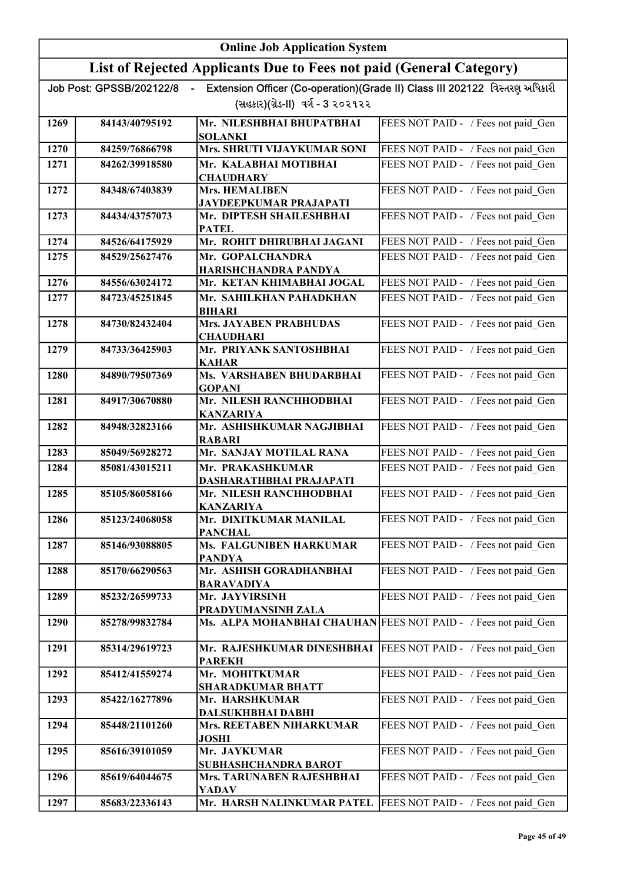|              | <b>Online Job Application System</b> |                                                                     |                                                                             |
|--------------|--------------------------------------|---------------------------------------------------------------------|-----------------------------------------------------------------------------|
|              |                                      | List of Rejected Applicants Due to Fees not paid (General Category) |                                                                             |
|              | Job Post: GPSSB/202122/8             |                                                                     | Extension Officer (Co-operation)(Grade II) Class III 202122 વિસ્તરણ અધિકારી |
|              |                                      | (સહકાર)(ગ્રેડ-II) વર્ગ - 3 ૨૦૨૧૨૨                                   |                                                                             |
| 1269         | 84143/40795192                       | Mr. NILESHBHAI BHUPATBHAI                                           | FEES NOT PAID - / Fees not paid Gen                                         |
|              |                                      | <b>SOLANKI</b>                                                      |                                                                             |
| 1270<br>1271 | 84259/76866798<br>84262/39918580     | Mrs. SHRUTI VIJAYKUMAR SONI<br>Mr. KALABHAI MOTIBHAI                | FEES NOT PAID - / Fees not paid Gen<br>FEES NOT PAID - / Fees not paid Gen  |
|              |                                      | <b>CHAUDHARY</b>                                                    |                                                                             |
| 1272         | 84348/67403839                       | <b>Mrs. HEMALIBEN</b>                                               | FEES NOT PAID - / Fees not paid Gen                                         |
|              |                                      | <b>JAYDEEPKUMAR PRAJAPATI</b>                                       |                                                                             |
| 1273         | 84434/43757073                       | Mr. DIPTESH SHAILESHBHAI<br><b>PATEL</b>                            | FEES NOT PAID - / Fees not paid Gen                                         |
| 1274         | 84526/64175929                       | Mr. ROHIT DHIRUBHAI JAGANI                                          | FEES NOT PAID - / Fees not paid Gen                                         |
| 1275         | 84529/25627476                       | Mr. GOPALCHANDRA<br>HARISHCHANDRA PANDYA                            | FEES NOT PAID - / Fees not paid Gen                                         |
| 1276         | 84556/63024172                       | Mr. KETAN KHIMABHAI JOGAL                                           | FEES NOT PAID - / Fees not paid Gen                                         |
| 1277         | 84723/45251845                       | Mr. SAHILKHAN PAHADKHAN                                             | FEES NOT PAID - / Fees not paid Gen                                         |
|              |                                      | <b>BIHARI</b>                                                       |                                                                             |
| 1278         | 84730/82432404                       | <b>Mrs. JAYABEN PRABHUDAS</b><br><b>CHAUDHARI</b>                   | FEES NOT PAID - / Fees not paid Gen                                         |
| 1279         | 84733/36425903                       | Mr. PRIYANK SANTOSHBHAI<br><b>KAHAR</b>                             | FEES NOT PAID - / Fees not paid Gen                                         |
| 1280         | 84890/79507369                       | Ms. VARSHABEN BHUDARBHAI<br><b>GOPANI</b>                           | FEES NOT PAID - / Fees not paid Gen                                         |
| 1281         | 84917/30670880                       | Mr. NILESH RANCHHODBHAI<br><b>KANZARIYA</b>                         | FEES NOT PAID - / Fees not paid Gen                                         |
| 1282         | 84948/32823166                       | Mr. ASHISHKUMAR NAGJIBHAI<br><b>RABARI</b>                          | FEES NOT PAID - / Fees not paid Gen                                         |
| 1283         | 85049/56928272                       | Mr. SANJAY MOTILAL RANA                                             | FEES NOT PAID - / Fees not paid Gen                                         |
| 1284         | 85081/43015211                       | Mr. PRAKASHKUMAR<br>DASHARATHBHAI PRAJAPATI                         | FEES NOT PAID - / Fees not paid Gen                                         |
| 1285         | 85105/86058166                       | Mr. NILESH RANCHHODBHAI<br><b>KANZARIYA</b>                         | FEES NOT PAID - / Fees not paid Gen                                         |
| 1286         | 85123/24068058                       | Mr. DIXITKUMAR MANILAL<br><b>PANCHAL</b>                            | FEES NOT PAID - / Fees not paid Gen                                         |
| 1287         | 85146/93088805                       | Ms. FALGUNIBEN HARKUMAR                                             | FEES NOT PAID - / Fees not paid Gen                                         |
| 1288         | 85170/66290563                       | <b>PANDYA</b><br>Mr. ASHISH GORADHANBHAI                            | FEES NOT PAID - / Fees not paid Gen                                         |
| 1289         | 85232/26599733                       | <b>BARAVADIYA</b><br>Mr. JAYVIRSINH                                 | FEES NOT PAID - / Fees not paid Gen                                         |
| 1290         | 85278/99832784                       | PRADYUMANSINH ZALA                                                  |                                                                             |
|              |                                      | Ms. ALPA MOHANBHAI CHAUHAN FEES NOT PAID - / Fees not paid Gen      |                                                                             |
| 1291         | 85314/29619723                       | Mr. RAJESHKUMAR DINESHBHAI<br><b>PAREKH</b>                         | FEES NOT PAID - / Fees not paid Gen                                         |
| 1292         | 85412/41559274                       | Mr. MOHITKUMAR<br><b>SHARADKUMAR BHATT</b>                          | FEES NOT PAID - / Fees not paid Gen                                         |
| 1293         | 85422/16277896                       | Mr. HARSHKUMAR<br>DALSUKHBHAI DABHI                                 | FEES NOT PAID - / Fees not paid Gen                                         |
| 1294         | 85448/21101260                       | Mrs. REETABEN NIHARKUMAR<br><b>JOSHI</b>                            | FEES NOT PAID - / Fees not paid_Gen                                         |
| 1295         | 85616/39101059                       | Mr. JAYKUMAR                                                        | FEES NOT PAID - / Fees not paid_Gen                                         |
| 1296         | 85619/64044675                       | SUBHASHCHANDRA BAROT<br>Mrs. TARUNABEN RAJESHBHAI<br><b>YADAV</b>   | FEES NOT PAID - / Fees not paid_Gen                                         |
| 1297         | 85683/22336143                       | Mr. HARSH NALINKUMAR PATEL                                          | FEES NOT PAID - / Fees not paid Gen                                         |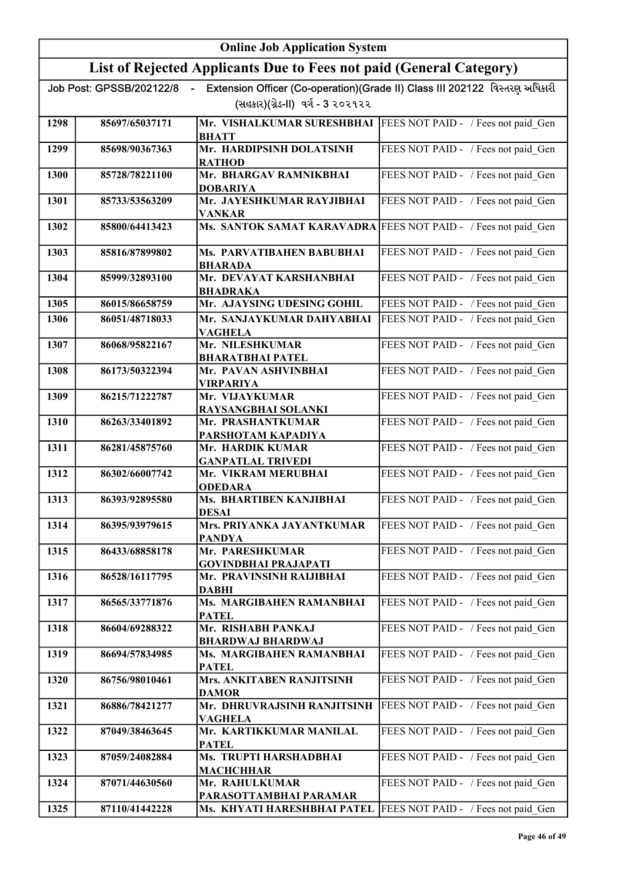|      | <b>Online Job Application System</b> |                                                                                  |                                                                             |
|------|--------------------------------------|----------------------------------------------------------------------------------|-----------------------------------------------------------------------------|
|      |                                      | List of Rejected Applicants Due to Fees not paid (General Category)              |                                                                             |
|      | Job Post: GPSSB/202122/8             |                                                                                  | Extension Officer (Co-operation)(Grade II) Class III 202122 વિસ્તરણ અધિકારી |
|      |                                      | (સહકાર)(ગ્રેડ-II) વર્ગ - 3 ૨૦૨૧૨૨                                                |                                                                             |
| 1298 | 85697/65037171                       | Mr. VISHALKUMAR SURESHBHAI   FEES NOT PAID - / Fees not paid Gen<br><b>BHATT</b> |                                                                             |
| 1299 | 85698/90367363                       | Mr. HARDIPSINH DOLATSINH<br><b>RATHOD</b>                                        | FEES NOT PAID - / Fees not paid Gen                                         |
| 1300 | 85728/78221100                       | Mr. BHARGAV RAMNIKBHAI<br><b>DOBARIYA</b>                                        | FEES NOT PAID - / Fees not paid Gen                                         |
| 1301 | 85733/53563209                       | Mr. JAYESHKUMAR RAYJIBHAI<br><b>VANKAR</b>                                       | FEES NOT PAID - / Fees not paid Gen                                         |
| 1302 | 85800/64413423                       | Ms. SANTOK SAMAT KARAVADRA                                                       | FEES NOT PAID - / Fees not paid Gen                                         |
| 1303 | 85816/87899802                       | Ms. PARVATIBAHEN BABUBHAI<br><b>BHARADA</b>                                      | FEES NOT PAID - / Fees not paid Gen                                         |
| 1304 | 85999/32893100                       | Mr. DEVAYAT KARSHANBHAI<br><b>BHADRAKA</b>                                       | FEES NOT PAID - / Fees not paid Gen                                         |
| 1305 | 86015/86658759                       | Mr. AJAYSING UDESING GOHIL                                                       | FEES NOT PAID - / Fees not paid Gen                                         |
| 1306 | 86051/48718033                       | Mr. SANJAYKUMAR DAHYABHAI<br><b>VAGHELA</b>                                      | FEES NOT PAID - / Fees not paid_Gen                                         |
| 1307 | 86068/95822167                       | Mr. NILESHKUMAR<br><b>BHARATBHAI PATEL</b>                                       | FEES NOT PAID - / Fees not paid Gen                                         |
| 1308 | 86173/50322394                       | Mr. PAVAN ASHVINBHAI<br><b>VIRPARIYA</b>                                         | FEES NOT PAID - / Fees not paid_Gen                                         |
| 1309 | 86215/71222787                       | Mr. VIJAYKUMAR<br>RAYSANGBHAI SOLANKI                                            | FEES NOT PAID - / Fees not paid_Gen                                         |
| 1310 | 86263/33401892                       | Mr. PRASHANTKUMAR<br>PARSHOTAM KAPADIYA                                          | FEES NOT PAID - / Fees not paid_Gen                                         |
| 1311 | 86281/45875760                       | Mr. HARDIK KUMAR<br><b>GANPATLAL TRIVEDI</b>                                     | FEES NOT PAID - / Fees not paid Gen                                         |
| 1312 | 86302/66007742                       | Mr. VIKRAM MERUBHAI<br><b>ODEDARA</b>                                            | FEES NOT PAID - / Fees not paid Gen                                         |
| 1313 | 86393/92895580                       | Ms. BHARTIBEN KANJIBHAI<br><b>DESAI</b>                                          | FEES NOT PAID - / Fees not paid Gen                                         |
| 1314 | 86395/93979615                       | Mrs. PRIYANKA JAYANTKUMAR<br><b>PANDYA</b>                                       | FEES NOT PAID - / Fees not paid Gen                                         |
| 1315 | 86433/68858178                       | Mr. PARESHKUMAR<br><b>GOVINDBHAI PRAJAPATI</b>                                   | FEES NOT PAID - / Fees not paid Gen                                         |
| 1316 | 86528/16117795                       | Mr. PRAVINSINH RAIJIBHAI<br><b>DABHI</b>                                         | FEES NOT PAID - / Fees not paid Gen                                         |
| 1317 | 86565/33771876                       | Ms. MARGIBAHEN RAMANBHAI<br><b>PATEL</b>                                         | FEES NOT PAID - / Fees not paid Gen                                         |
| 1318 | 86604/69288322                       | Mr. RISHABH PANKAJ<br><b>BHARDWAJ BHARDWAJ</b>                                   | FEES NOT PAID - / Fees not paid_Gen                                         |
| 1319 | 86694/57834985                       | Ms. MARGIBAHEN RAMANBHAI<br><b>PATEL</b>                                         | FEES NOT PAID - / Fees not paid Gen                                         |
| 1320 | 86756/98010461                       | Mrs. ANKITABEN RANJITSINH<br><b>DAMOR</b>                                        | FEES NOT PAID - / Fees not paid_Gen                                         |
| 1321 | 86886/78421277                       | Mr. DHRUVRAJSINH RANJITSINH<br><b>VAGHELA</b>                                    | FEES NOT PAID - / Fees not paid Gen                                         |
| 1322 | 87049/38463645                       | Mr. KARTIKKUMAR MANILAL<br><b>PATEL</b>                                          | FEES NOT PAID - / Fees not paid Gen                                         |
| 1323 | 87059/24082884                       | Ms. TRUPTI HARSHADBHAI<br><b>MACHCHHAR</b>                                       | FEES NOT PAID - / Fees not paid Gen                                         |
| 1324 | 87071/44630560                       | Mr. RAHULKUMAR<br>PARASOTTAMBHAI PARAMAR                                         | FEES NOT PAID - / Fees not paid Gen                                         |
| 1325 | 87110/41442228                       | Ms. KHYATI HARESHBHAI PATEL                                                      | FEES NOT PAID - / Fees not paid Gen                                         |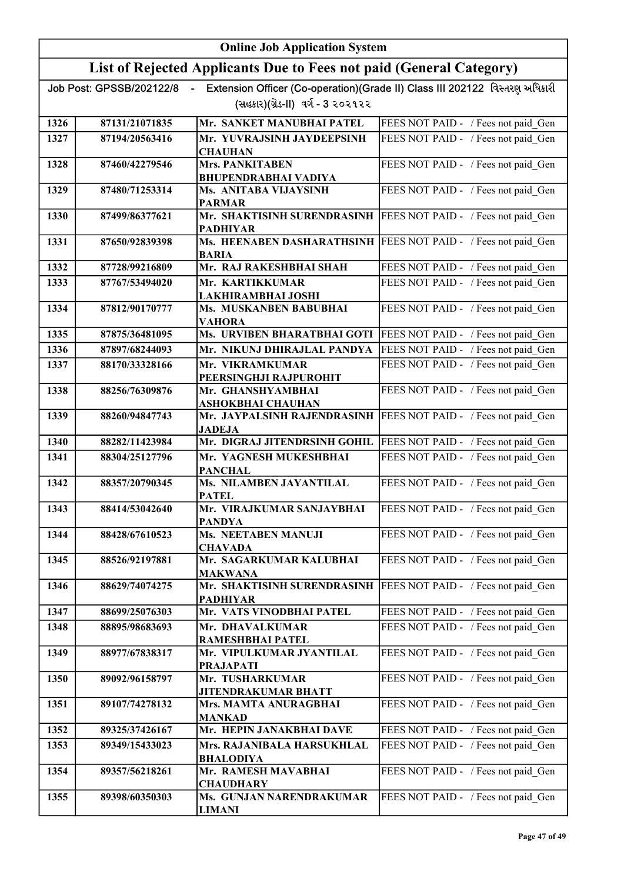|      | <b>Online Job Application System</b> |                                                                                |                                                                             |
|------|--------------------------------------|--------------------------------------------------------------------------------|-----------------------------------------------------------------------------|
|      |                                      | List of Rejected Applicants Due to Fees not paid (General Category)            |                                                                             |
|      | Job Post: GPSSB/202122/8<br>$\sim$   |                                                                                | Extension Officer (Co-operation)(Grade II) Class III 202122 વિસ્તરણ અધિકારી |
|      |                                      | (સહકાર)(ગ્રેડ-II) વર્ગ - 3 ૨૦૨૧૨૨                                              |                                                                             |
| 1326 | 87131/21071835                       | Mr. SANKET MANUBHAI PATEL                                                      | FEES NOT PAID - / Fees not paid Gen                                         |
| 1327 | 87194/20563416                       | Mr. YUVRAJSINH JAYDEEPSINH                                                     | FEES NOT PAID - / Fees not paid Gen                                         |
| 1328 | 87460/42279546                       | <b>CHAUHAN</b><br><b>Mrs. PANKITABEN</b>                                       | FEES NOT PAID - / Fees not paid Gen                                         |
|      |                                      | <b>BHUPENDRABHAI VADIYA</b>                                                    |                                                                             |
| 1329 | 87480/71253314                       | Ms. ANITABA VIJAYSINH<br><b>PARMAR</b>                                         | FEES NOT PAID - / Fees not paid Gen                                         |
| 1330 | 87499/86377621                       | Mr. SHAKTISINH SURENDRASINH<br><b>PADHIYAR</b>                                 | FEES NOT PAID - / Fees not paid Gen                                         |
| 1331 | 87650/92839398                       | Ms. HEENABEN DASHARATHSINH FEES NOT PAID - / Fees not paid Gen<br><b>BARIA</b> |                                                                             |
| 1332 | 87728/99216809                       | Mr. RAJ RAKESHBHAI SHAH                                                        | FEES NOT PAID - / Fees not paid Gen                                         |
| 1333 | 87767/53494020                       | Mr. KARTIKKUMAR<br>LAKHIRAMBHAI JOSHI                                          | FEES NOT PAID - / Fees not paid Gen                                         |
| 1334 | 87812/90170777                       | Ms. MUSKANBEN BABUBHAI<br><b>VAHORA</b>                                        | FEES NOT PAID - / Fees not paid Gen                                         |
| 1335 | 87875/36481095                       | Ms. URVIBEN BHARATBHAI GOTI                                                    | FEES NOT PAID - / Fees not paid Gen                                         |
| 1336 | 87897/68244093                       | Mr. NIKUNJ DHIRAJLAL PANDYA                                                    | FEES NOT PAID - / Fees not paid Gen                                         |
| 1337 | 88170/33328166                       | Mr. VIKRAMKUMAR<br>PEERSINGHJI RAJPUROHIT                                      | FEES NOT PAID - / Fees not paid Gen                                         |
| 1338 | 88256/76309876                       | Mr. GHANSHYAMBHAI<br><b>ASHOKBHAI CHAUHAN</b>                                  | FEES NOT PAID - / Fees not paid Gen                                         |
| 1339 | 88260/94847743                       | Mr. JAYPALSINH RAJENDRASINH<br><b>JADEJA</b>                                   | FEES NOT PAID - / Fees not paid Gen                                         |
| 1340 | 88282/11423984                       | Mr. DIGRAJ JITENDRSINH GOHIL                                                   | FEES NOT PAID - / Fees not paid Gen                                         |
| 1341 | 88304/25127796                       | Mr. YAGNESH MUKESHBHAI<br><b>PANCHAL</b>                                       | FEES NOT PAID - / Fees not paid Gen                                         |
| 1342 | 88357/20790345                       | Ms. NILAMBEN JAYANTILAL<br><b>PATEL</b>                                        | FEES NOT PAID - / Fees not paid_Gen                                         |
| 1343 | 88414/53042640                       | Mr. VIRAJKUMAR SANJAYBHAI<br><b>PANDYA</b>                                     | FEES NOT PAID - / Fees not paid Gen                                         |
| 1344 | 88428/67610523                       | <b>Ms. NEETABEN MANUJI</b><br><b>CHAVADA</b>                                   | FEES NOT PAID - / Fees not paid Gen                                         |
| 1345 | 88526/92197881                       | Mr. SAGARKUMAR KALUBHAI<br><b>MAKWANA</b>                                      | FEES NOT PAID - / Fees not paid Gen                                         |
| 1346 | 88629/74074275                       | Mr. SHAKTISINH SURENDRASINH<br><b>PADHIYAR</b>                                 | FEES NOT PAID - / Fees not paid Gen                                         |
| 1347 | 88699/25076303                       | Mr. VATS VINODBHAI PATEL                                                       | FEES NOT PAID - / Fees not paid Gen                                         |
| 1348 | 88895/98683693                       | Mr. DHAVALKUMAR<br><b>RAMESHBHAI PATEL</b>                                     | FEES NOT PAID - / Fees not paid Gen                                         |
| 1349 | 88977/67838317                       | Mr. VIPULKUMAR JYANTILAL<br><b>PRAJAPATI</b>                                   | FEES NOT PAID - / Fees not paid_Gen                                         |
| 1350 | 89092/96158797                       | Mr. TUSHARKUMAR<br><b>JITENDRAKUMAR BHATT</b>                                  | FEES NOT PAID - / Fees not paid_Gen                                         |
| 1351 | 89107/74278132                       | Mrs. MAMTA ANURAGBHAI<br><b>MANKAD</b>                                         | FEES NOT PAID - / Fees not paid Gen                                         |
| 1352 | 89325/37426167                       | Mr. HEPIN JANAKBHAI DAVE                                                       | FEES NOT PAID - / Fees not paid Gen                                         |
| 1353 | 89349/15433023                       | Mrs. RAJANIBALA HARSUKHLAL                                                     | FEES NOT PAID - / Fees not paid Gen                                         |
| 1354 | 89357/56218261                       | <b>BHALODIYA</b><br>Mr. RAMESH MAVABHAI<br><b>CHAUDHARY</b>                    | FEES NOT PAID - / Fees not paid Gen                                         |
| 1355 | 89398/60350303                       | Ms. GUNJAN NARENDRAKUMAR<br><b>LIMANI</b>                                      | FEES NOT PAID - / Fees not paid Gen                                         |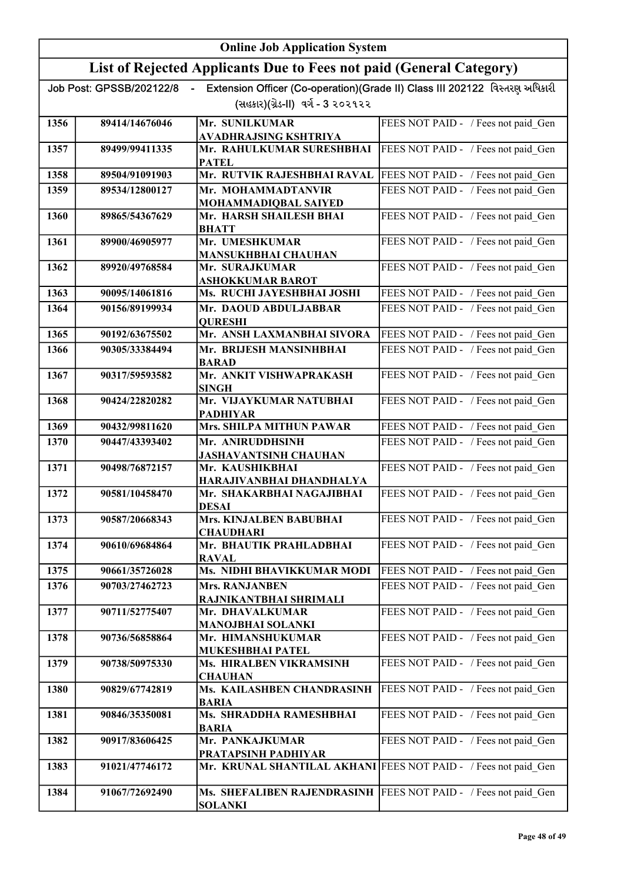|      |                                    | <b>Online Job Application System</b>                                                          |                                                                             |
|------|------------------------------------|-----------------------------------------------------------------------------------------------|-----------------------------------------------------------------------------|
|      |                                    | List of Rejected Applicants Due to Fees not paid (General Category)                           |                                                                             |
|      | Job Post: GPSSB/202122/8<br>$\sim$ |                                                                                               | Extension Officer (Co-operation)(Grade II) Class III 202122 વિસ્તરણ અધિકારી |
|      |                                    | (સહકાર)(ગ્રેડ-II) વર્ગ - 3 ૨૦૨૧૨૨                                                             |                                                                             |
| 1356 | 89414/14676046                     | Mr. SUNILKUMAR                                                                                | FEES NOT PAID - / Fees not paid Gen                                         |
| 1357 | 89499/99411335                     | <b>AVADHRAJSING KSHTRIYA</b><br>Mr. RAHULKUMAR SURESHBHAI                                     | FEES NOT PAID - / Fees not paid Gen                                         |
|      |                                    | <b>PATEL</b>                                                                                  |                                                                             |
| 1358 | 89504/91091903                     | Mr. RUTVIK RAJESHBHAI RAVAL   FEES NOT PAID - / Fees not paid Gen                             |                                                                             |
| 1359 | 89534/12800127                     | Mr. MOHAMMADTANVIR                                                                            | FEES NOT PAID - / Fees not paid Gen                                         |
| 1360 | 89865/54367629                     | MOHAMMADIQBAL SAIYED<br>Mr. HARSH SHAILESH BHAI                                               | FEES NOT PAID - / Fees not paid Gen                                         |
|      |                                    | <b>BHATT</b>                                                                                  |                                                                             |
| 1361 | 89900/46905977                     | Mr. UMESHKUMAR<br><b>MANSUKHBHAI CHAUHAN</b>                                                  | FEES NOT PAID - / Fees not paid Gen                                         |
| 1362 | 89920/49768584                     | Mr. SURAJKUMAR                                                                                | FEES NOT PAID - / Fees not paid Gen                                         |
|      |                                    | <b>ASHOKKUMAR BAROT</b>                                                                       |                                                                             |
| 1363 | 90095/14061816                     | Ms. RUCHI JAYESHBHAI JOSHI                                                                    | FEES NOT PAID - / Fees not paid Gen                                         |
| 1364 | 90156/89199934                     | Mr. DAOUD ABDULJABBAR<br><b>QURESHI</b>                                                       | FEES NOT PAID - / Fees not paid Gen                                         |
| 1365 | 90192/63675502                     | Mr. ANSH LAXMANBHAI SIVORA                                                                    | FEES NOT PAID - / Fees not paid Gen                                         |
| 1366 | 90305/33384494                     | Mr. BRIJESH MANSINHBHAI<br><b>BARAD</b>                                                       | FEES NOT PAID - / Fees not paid Gen                                         |
| 1367 | 90317/59593582                     | Mr. ANKIT VISHWAPRAKASH<br><b>SINGH</b>                                                       | FEES NOT PAID - / Fees not paid Gen                                         |
| 1368 | 90424/22820282                     | Mr. VIJAYKUMAR NATUBHAI<br><b>PADHIYAR</b>                                                    | FEES NOT PAID - / Fees not paid Gen                                         |
| 1369 | 90432/99811620                     | Mrs. SHILPA MITHUN PAWAR                                                                      | FEES NOT PAID - / Fees not paid Gen                                         |
| 1370 | 90447/43393402                     | Mr. ANIRUDDHSINH<br><b>JASHAVANTSINH CHAUHAN</b>                                              | FEES NOT PAID - / Fees not paid Gen                                         |
| 1371 | 90498/76872157                     | Mr. KAUSHIKBHAI<br>HARAJIVANBHAI DHANDHALYA                                                   | FEES NOT PAID - / Fees not paid Gen                                         |
| 1372 | 90581/10458470                     | Mr. SHAKARBHAI NAGAJIBHAI                                                                     | FEES NOT PAID - / Fees not paid Gen                                         |
| 1373 | 90587/20668343                     | <b>DESAI</b><br>Mrs. KINJALBEN BABUBHAI                                                       | FEES NOT PAID - / Fees not paid Gen                                         |
|      |                                    | <b>CHAUDHARI</b>                                                                              |                                                                             |
| 1374 | 90610/69684864                     | Mr. BHAUTIK PRAHLADBHAI<br><b>RAVAL</b>                                                       | FEES NOT PAID - / Fees not paid Gen                                         |
| 1375 | 90661/35726028                     | Ms. NIDHI BHAVIKKUMAR MODI                                                                    | FEES NOT PAID - / Fees not paid Gen                                         |
| 1376 | 90703/27462723                     | <b>Mrs. RANJANBEN</b>                                                                         | FEES NOT PAID - / Fees not paid Gen                                         |
| 1377 | 90711/52775407                     | RAJNIKANTBHAI SHRIMALI<br>Mr. DHAVALKUMAR                                                     | FEES NOT PAID - / Fees not paid_Gen                                         |
|      |                                    | <b>MANOJBHAI SOLANKI</b>                                                                      |                                                                             |
| 1378 | 90736/56858864                     | Mr. HIMANSHUKUMAR<br>MUKESHBHAI PATEL                                                         | FEES NOT PAID - / Fees not paid Gen                                         |
| 1379 | 90738/50975330                     | Ms. HIRALBEN VIKRAMSINH<br><b>CHAUHAN</b>                                                     | FEES NOT PAID - / Fees not paid_Gen                                         |
| 1380 | 90829/67742819                     | Ms. KAILASHBEN CHANDRASINH<br><b>BARIA</b>                                                    | FEES NOT PAID - / Fees not paid Gen                                         |
| 1381 | 90846/35350081                     | Ms. SHRADDHA RAMESHBHAI<br><b>BARIA</b>                                                       | FEES NOT PAID - / Fees not paid_Gen                                         |
| 1382 | 90917/83606425                     | Mr. PANKAJKUMAR                                                                               | FEES NOT PAID - / Fees not paid_Gen                                         |
| 1383 | 91021/47746172                     | <b>PRATAPSINH PADHIYAR</b><br>Mr. KRUNAL SHANTILAL AKHANI FEES NOT PAID - / Fees not paid Gen |                                                                             |
| 1384 | 91067/72692490                     | Ms. SHEFALIBEN RAJENDRASINH<br><b>SOLANKI</b>                                                 | FEES NOT PAID - / Fees not paid Gen                                         |